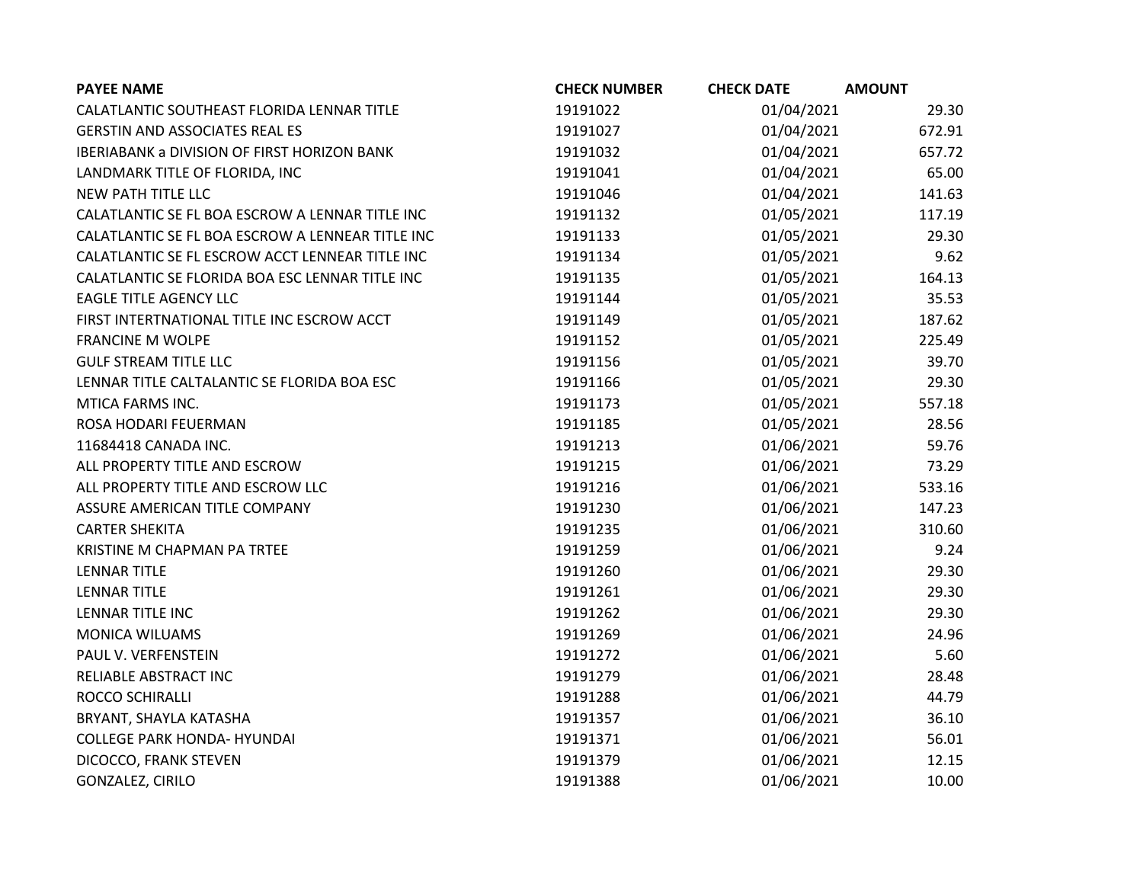| <b>PAYEE NAME</b>                                  | <b>CHECK NUMBER</b> | <b>CHECK DATE</b> | <b>AMOUNT</b> |
|----------------------------------------------------|---------------------|-------------------|---------------|
| CALATLANTIC SOUTHEAST FLORIDA LENNAR TITLE         | 19191022            | 01/04/2021        | 29.30         |
| <b>GERSTIN AND ASSOCIATES REAL ES</b>              | 19191027            | 01/04/2021        | 672.91        |
| <b>IBERIABANK a DIVISION OF FIRST HORIZON BANK</b> | 19191032            | 01/04/2021        | 657.72        |
| LANDMARK TITLE OF FLORIDA, INC                     | 19191041            | 01/04/2021        | 65.00         |
| NEW PATH TITLE LLC                                 | 19191046            | 01/04/2021        | 141.63        |
| CALATLANTIC SE FL BOA ESCROW A LENNAR TITLE INC    | 19191132            | 01/05/2021        | 117.19        |
| CALATLANTIC SE FL BOA ESCROW A LENNEAR TITLE INC   | 19191133            | 01/05/2021        | 29.30         |
| CALATLANTIC SE FL ESCROW ACCT LENNEAR TITLE INC    | 19191134            | 01/05/2021        | 9.62          |
| CALATLANTIC SE FLORIDA BOA ESC LENNAR TITLE INC    | 19191135            | 01/05/2021        | 164.13        |
| <b>EAGLE TITLE AGENCY LLC</b>                      | 19191144            | 01/05/2021        | 35.53         |
| FIRST INTERTNATIONAL TITLE INC ESCROW ACCT         | 19191149            | 01/05/2021        | 187.62        |
| <b>FRANCINE M WOLPE</b>                            | 19191152            | 01/05/2021        | 225.49        |
| <b>GULF STREAM TITLE LLC</b>                       | 19191156            | 01/05/2021        | 39.70         |
| LENNAR TITLE CALTALANTIC SE FLORIDA BOA ESC        | 19191166            | 01/05/2021        | 29.30         |
| MTICA FARMS INC.                                   | 19191173            | 01/05/2021        | 557.18        |
| ROSA HODARI FEUERMAN                               | 19191185            | 01/05/2021        | 28.56         |
| 11684418 CANADA INC.                               | 19191213            | 01/06/2021        | 59.76         |
| ALL PROPERTY TITLE AND ESCROW                      | 19191215            | 01/06/2021        | 73.29         |
| ALL PROPERTY TITLE AND ESCROW LLC                  | 19191216            | 01/06/2021        | 533.16        |
| ASSURE AMERICAN TITLE COMPANY                      | 19191230            | 01/06/2021        | 147.23        |
| <b>CARTER SHEKITA</b>                              | 19191235            | 01/06/2021        | 310.60        |
| KRISTINE M CHAPMAN PA TRTEE                        | 19191259            | 01/06/2021        | 9.24          |
| <b>LENNAR TITLE</b>                                | 19191260            | 01/06/2021        | 29.30         |
| <b>LENNAR TITLE</b>                                | 19191261            | 01/06/2021        | 29.30         |
| LENNAR TITLE INC                                   | 19191262            | 01/06/2021        | 29.30         |
| MONICA WILUAMS                                     | 19191269            | 01/06/2021        | 24.96         |
| PAUL V. VERFENSTEIN                                | 19191272            | 01/06/2021        | 5.60          |
| RELIABLE ABSTRACT INC                              | 19191279            | 01/06/2021        | 28.48         |
| ROCCO SCHIRALLI                                    | 19191288            | 01/06/2021        | 44.79         |
| BRYANT, SHAYLA KATASHA                             | 19191357            | 01/06/2021        | 36.10         |
| <b>COLLEGE PARK HONDA- HYUNDAI</b>                 | 19191371            | 01/06/2021        | 56.01         |
| DICOCCO, FRANK STEVEN                              | 19191379            | 01/06/2021        | 12.15         |
| GONZALEZ, CIRILO                                   | 19191388            | 01/06/2021        | 10.00         |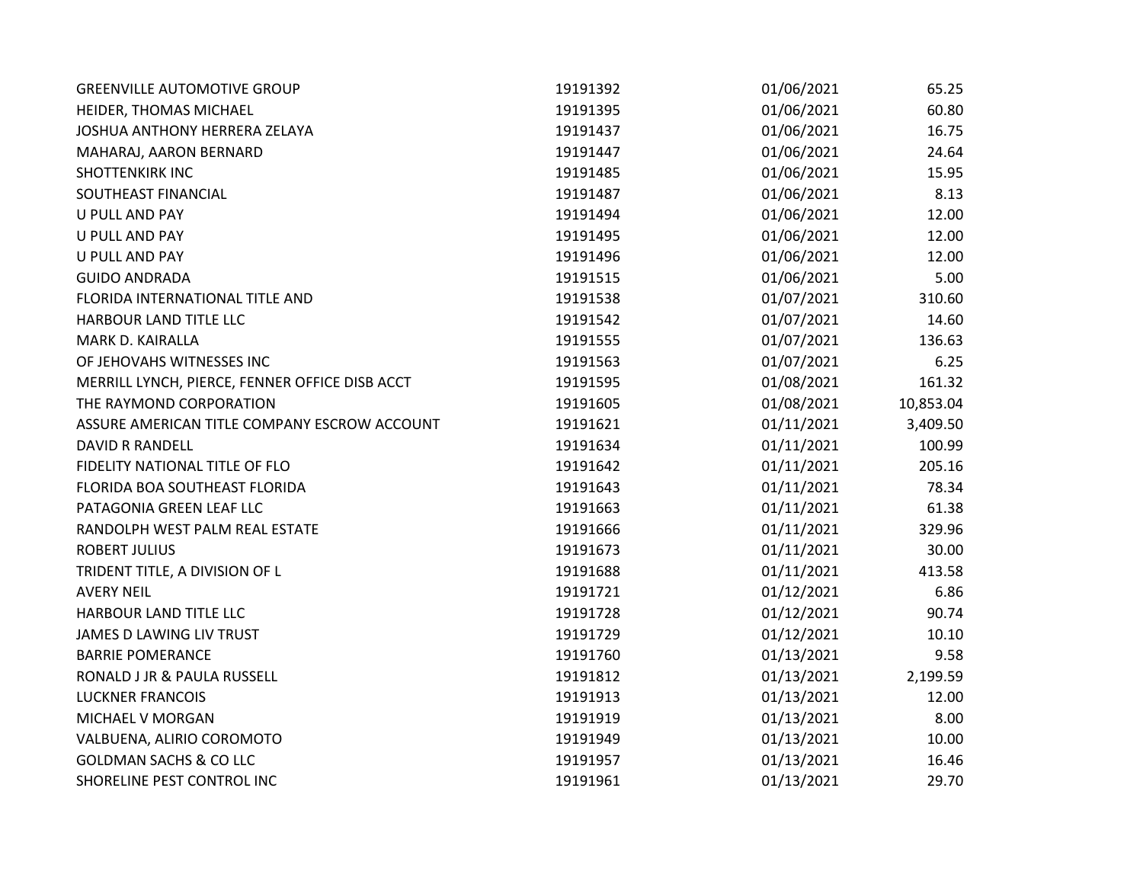| <b>GREENVILLE AUTOMOTIVE GROUP</b>             | 19191392 | 01/06/2021 | 65.25     |
|------------------------------------------------|----------|------------|-----------|
| HEIDER, THOMAS MICHAEL                         | 19191395 | 01/06/2021 | 60.80     |
| JOSHUA ANTHONY HERRERA ZELAYA                  | 19191437 | 01/06/2021 | 16.75     |
| MAHARAJ, AARON BERNARD                         | 19191447 | 01/06/2021 | 24.64     |
| SHOTTENKIRK INC                                | 19191485 | 01/06/2021 | 15.95     |
| SOUTHEAST FINANCIAL                            | 19191487 | 01/06/2021 | 8.13      |
| <b>U PULL AND PAY</b>                          | 19191494 | 01/06/2021 | 12.00     |
| U PULL AND PAY                                 | 19191495 | 01/06/2021 | 12.00     |
| <b>U PULL AND PAY</b>                          | 19191496 | 01/06/2021 | 12.00     |
| <b>GUIDO ANDRADA</b>                           | 19191515 | 01/06/2021 | 5.00      |
| FLORIDA INTERNATIONAL TITLE AND                | 19191538 | 01/07/2021 | 310.60    |
| HARBOUR LAND TITLE LLC                         | 19191542 | 01/07/2021 | 14.60     |
| MARK D. KAIRALLA                               | 19191555 | 01/07/2021 | 136.63    |
| OF JEHOVAHS WITNESSES INC                      | 19191563 | 01/07/2021 | 6.25      |
| MERRILL LYNCH, PIERCE, FENNER OFFICE DISB ACCT | 19191595 | 01/08/2021 | 161.32    |
| THE RAYMOND CORPORATION                        | 19191605 | 01/08/2021 | 10,853.04 |
| ASSURE AMERICAN TITLE COMPANY ESCROW ACCOUNT   | 19191621 | 01/11/2021 | 3,409.50  |
| <b>DAVID R RANDELL</b>                         | 19191634 | 01/11/2021 | 100.99    |
| FIDELITY NATIONAL TITLE OF FLO                 | 19191642 | 01/11/2021 | 205.16    |
| FLORIDA BOA SOUTHEAST FLORIDA                  | 19191643 | 01/11/2021 | 78.34     |
| PATAGONIA GREEN LEAF LLC                       | 19191663 | 01/11/2021 | 61.38     |
| RANDOLPH WEST PALM REAL ESTATE                 | 19191666 | 01/11/2021 | 329.96    |
| <b>ROBERT JULIUS</b>                           | 19191673 | 01/11/2021 | 30.00     |
| TRIDENT TITLE, A DIVISION OF L                 | 19191688 | 01/11/2021 | 413.58    |
| <b>AVERY NEIL</b>                              | 19191721 | 01/12/2021 | 6.86      |
| HARBOUR LAND TITLE LLC                         | 19191728 | 01/12/2021 | 90.74     |
| JAMES D LAWING LIV TRUST                       | 19191729 | 01/12/2021 | 10.10     |
| <b>BARRIE POMERANCE</b>                        | 19191760 | 01/13/2021 | 9.58      |
| RONALD J JR & PAULA RUSSELL                    | 19191812 | 01/13/2021 | 2,199.59  |
| <b>LUCKNER FRANCOIS</b>                        | 19191913 | 01/13/2021 | 12.00     |
| MICHAEL V MORGAN                               | 19191919 | 01/13/2021 | 8.00      |
| VALBUENA, ALIRIO COROMOTO                      | 19191949 | 01/13/2021 | 10.00     |
| <b>GOLDMAN SACHS &amp; CO LLC</b>              | 19191957 | 01/13/2021 | 16.46     |
| SHORELINE PEST CONTROL INC                     | 19191961 | 01/13/2021 | 29.70     |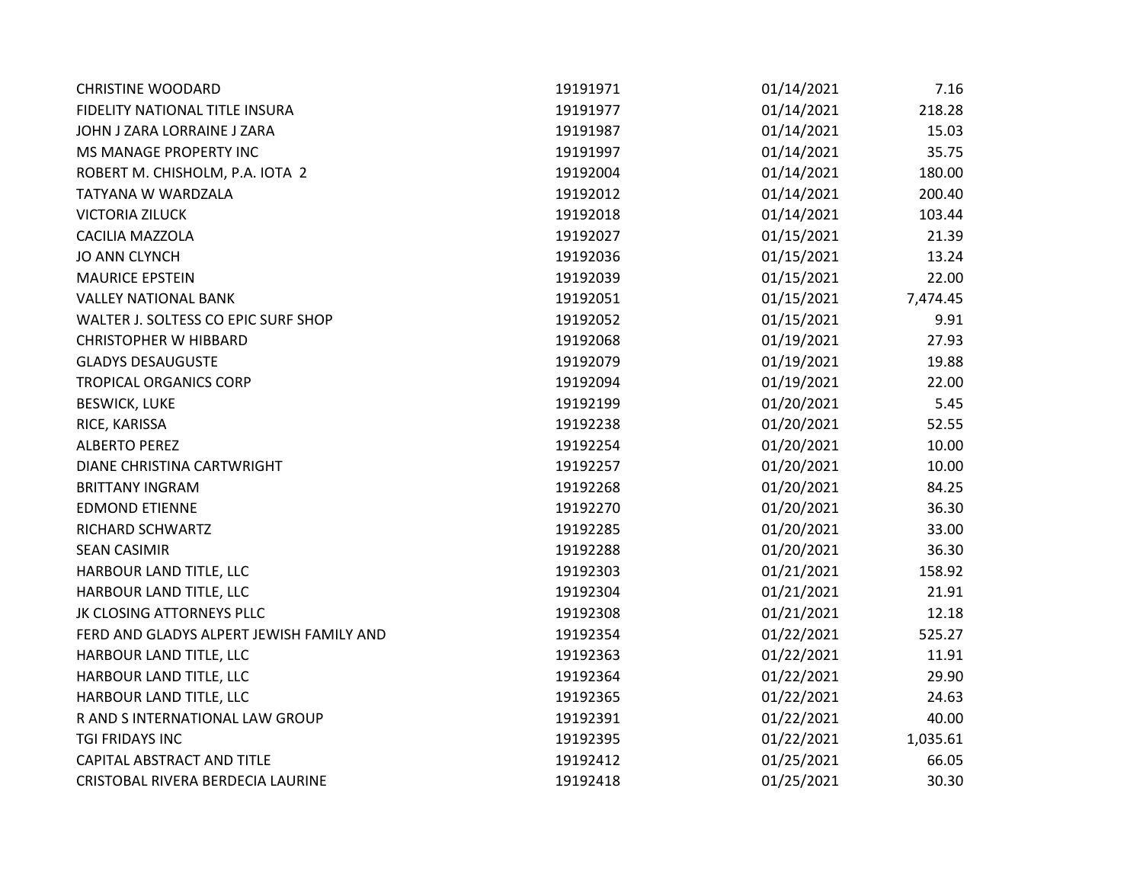| <b>CHRISTINE WOODARD</b>                 | 19191971 | 01/14/2021 | 7.16     |
|------------------------------------------|----------|------------|----------|
| FIDELITY NATIONAL TITLE INSURA           | 19191977 | 01/14/2021 | 218.28   |
| JOHN J ZARA LORRAINE J ZARA              | 19191987 | 01/14/2021 | 15.03    |
| MS MANAGE PROPERTY INC                   | 19191997 | 01/14/2021 | 35.75    |
| ROBERT M. CHISHOLM, P.A. IOTA 2          | 19192004 | 01/14/2021 | 180.00   |
| TATYANA W WARDZALA                       | 19192012 | 01/14/2021 | 200.40   |
| <b>VICTORIA ZILUCK</b>                   | 19192018 | 01/14/2021 | 103.44   |
| <b>CACILIA MAZZOLA</b>                   | 19192027 | 01/15/2021 | 21.39    |
| <b>JO ANN CLYNCH</b>                     | 19192036 | 01/15/2021 | 13.24    |
| <b>MAURICE EPSTEIN</b>                   | 19192039 | 01/15/2021 | 22.00    |
| <b>VALLEY NATIONAL BANK</b>              | 19192051 | 01/15/2021 | 7,474.45 |
| WALTER J. SOLTESS CO EPIC SURF SHOP      | 19192052 | 01/15/2021 | 9.91     |
| <b>CHRISTOPHER W HIBBARD</b>             | 19192068 | 01/19/2021 | 27.93    |
| <b>GLADYS DESAUGUSTE</b>                 | 19192079 | 01/19/2021 | 19.88    |
| <b>TROPICAL ORGANICS CORP</b>            | 19192094 | 01/19/2021 | 22.00    |
| <b>BESWICK, LUKE</b>                     | 19192199 | 01/20/2021 | 5.45     |
| RICE, KARISSA                            | 19192238 | 01/20/2021 | 52.55    |
| <b>ALBERTO PEREZ</b>                     | 19192254 | 01/20/2021 | 10.00    |
| DIANE CHRISTINA CARTWRIGHT               | 19192257 | 01/20/2021 | 10.00    |
| <b>BRITTANY INGRAM</b>                   | 19192268 | 01/20/2021 | 84.25    |
| <b>EDMOND ETIENNE</b>                    | 19192270 | 01/20/2021 | 36.30    |
| RICHARD SCHWARTZ                         | 19192285 | 01/20/2021 | 33.00    |
| <b>SEAN CASIMIR</b>                      | 19192288 | 01/20/2021 | 36.30    |
| HARBOUR LAND TITLE, LLC                  | 19192303 | 01/21/2021 | 158.92   |
| HARBOUR LAND TITLE, LLC                  | 19192304 | 01/21/2021 | 21.91    |
| JK CLOSING ATTORNEYS PLLC                | 19192308 | 01/21/2021 | 12.18    |
| FERD AND GLADYS ALPERT JEWISH FAMILY AND | 19192354 | 01/22/2021 | 525.27   |
| HARBOUR LAND TITLE, LLC                  | 19192363 | 01/22/2021 | 11.91    |
| HARBOUR LAND TITLE, LLC                  | 19192364 | 01/22/2021 | 29.90    |
| HARBOUR LAND TITLE, LLC                  | 19192365 | 01/22/2021 | 24.63    |
| R AND S INTERNATIONAL LAW GROUP          | 19192391 | 01/22/2021 | 40.00    |
| TGI FRIDAYS INC                          | 19192395 | 01/22/2021 | 1,035.61 |
| CAPITAL ABSTRACT AND TITLE               | 19192412 | 01/25/2021 | 66.05    |
| CRISTOBAL RIVERA BERDECIA LAURINE        | 19192418 | 01/25/2021 | 30.30    |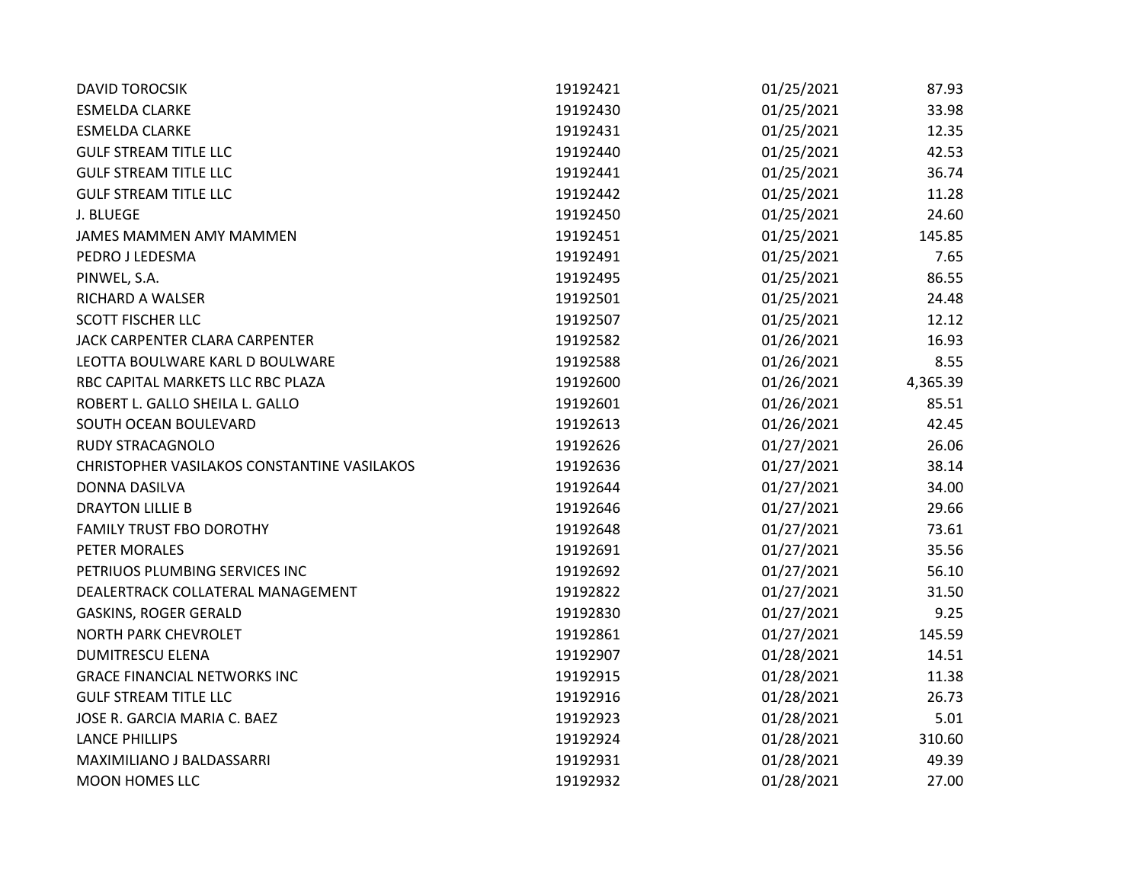| <b>DAVID TOROCSIK</b>                       | 19192421 | 01/25/2021 | 87.93    |
|---------------------------------------------|----------|------------|----------|
| <b>ESMELDA CLARKE</b>                       | 19192430 | 01/25/2021 | 33.98    |
| <b>ESMELDA CLARKE</b>                       | 19192431 | 01/25/2021 | 12.35    |
| <b>GULF STREAM TITLE LLC</b>                | 19192440 | 01/25/2021 | 42.53    |
| <b>GULF STREAM TITLE LLC</b>                | 19192441 | 01/25/2021 | 36.74    |
| <b>GULF STREAM TITLE LLC</b>                | 19192442 | 01/25/2021 | 11.28    |
| J. BLUEGE                                   | 19192450 | 01/25/2021 | 24.60    |
| JAMES MAMMEN AMY MAMMEN                     | 19192451 | 01/25/2021 | 145.85   |
| PEDRO J LEDESMA                             | 19192491 | 01/25/2021 | 7.65     |
| PINWEL, S.A.                                | 19192495 | 01/25/2021 | 86.55    |
| RICHARD A WALSER                            | 19192501 | 01/25/2021 | 24.48    |
| <b>SCOTT FISCHER LLC</b>                    | 19192507 | 01/25/2021 | 12.12    |
| JACK CARPENTER CLARA CARPENTER              | 19192582 | 01/26/2021 | 16.93    |
| LEOTTA BOULWARE KARL D BOULWARE             | 19192588 | 01/26/2021 | 8.55     |
| RBC CAPITAL MARKETS LLC RBC PLAZA           | 19192600 | 01/26/2021 | 4,365.39 |
| ROBERT L. GALLO SHEILA L. GALLO             | 19192601 | 01/26/2021 | 85.51    |
| SOUTH OCEAN BOULEVARD                       | 19192613 | 01/26/2021 | 42.45    |
| <b>RUDY STRACAGNOLO</b>                     | 19192626 | 01/27/2021 | 26.06    |
| CHRISTOPHER VASILAKOS CONSTANTINE VASILAKOS | 19192636 | 01/27/2021 | 38.14    |
| DONNA DASILVA                               | 19192644 | 01/27/2021 | 34.00    |
| <b>DRAYTON LILLIE B</b>                     | 19192646 | 01/27/2021 | 29.66    |
| <b>FAMILY TRUST FBO DOROTHY</b>             | 19192648 | 01/27/2021 | 73.61    |
| PETER MORALES                               | 19192691 | 01/27/2021 | 35.56    |
| PETRIUOS PLUMBING SERVICES INC              | 19192692 | 01/27/2021 | 56.10    |
| DEALERTRACK COLLATERAL MANAGEMENT           | 19192822 | 01/27/2021 | 31.50    |
| GASKINS, ROGER GERALD                       | 19192830 | 01/27/2021 | 9.25     |
| <b>NORTH PARK CHEVROLET</b>                 | 19192861 | 01/27/2021 | 145.59   |
| <b>DUMITRESCU ELENA</b>                     | 19192907 | 01/28/2021 | 14.51    |
| <b>GRACE FINANCIAL NETWORKS INC</b>         | 19192915 | 01/28/2021 | 11.38    |
| <b>GULF STREAM TITLE LLC</b>                | 19192916 | 01/28/2021 | 26.73    |
| JOSE R. GARCIA MARIA C. BAEZ                | 19192923 | 01/28/2021 | 5.01     |
| <b>LANCE PHILLIPS</b>                       | 19192924 | 01/28/2021 | 310.60   |
| MAXIMILIANO J BALDASSARRI                   | 19192931 | 01/28/2021 | 49.39    |
| <b>MOON HOMES LLC</b>                       | 19192932 | 01/28/2021 | 27.00    |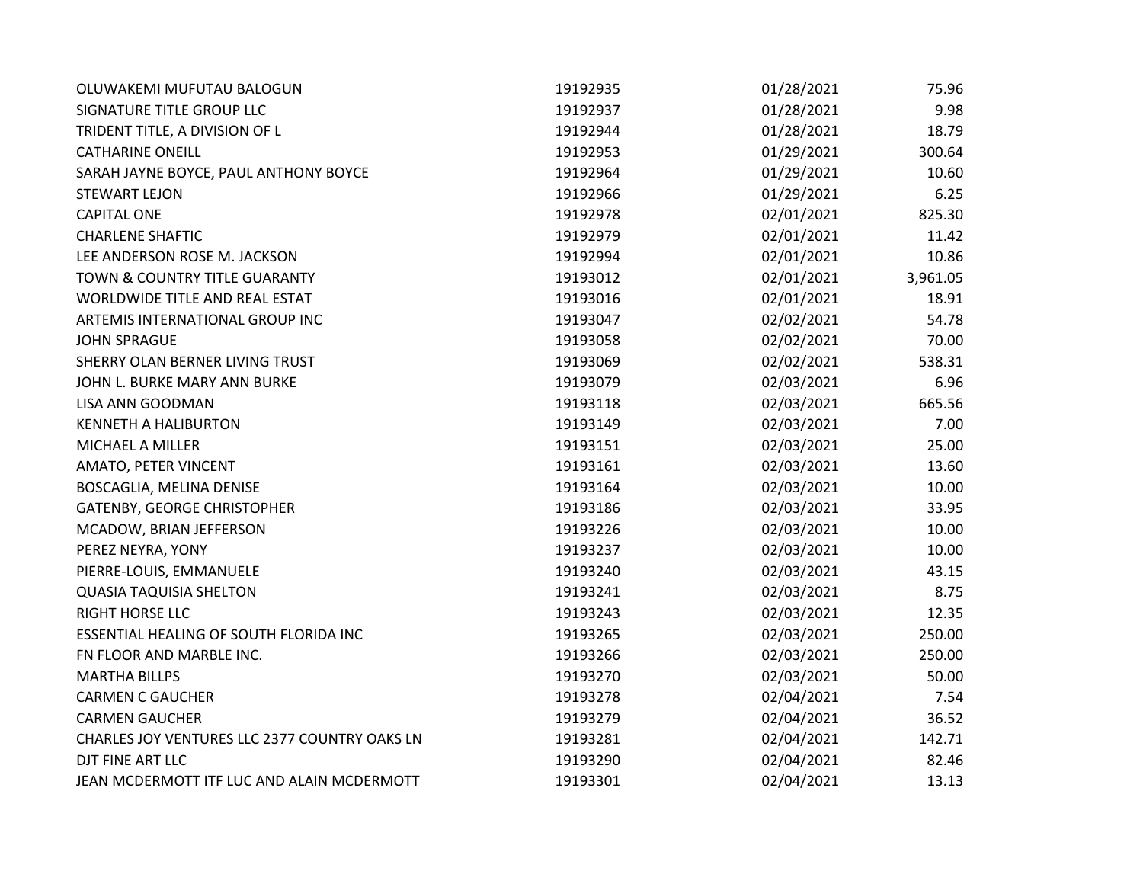| OLUWAKEMI MUFUTAU BALOGUN                     | 19192935 | 01/28/2021 | 75.96    |
|-----------------------------------------------|----------|------------|----------|
| SIGNATURE TITLE GROUP LLC                     | 19192937 | 01/28/2021 | 9.98     |
| TRIDENT TITLE, A DIVISION OF L                | 19192944 | 01/28/2021 | 18.79    |
| <b>CATHARINE ONEILL</b>                       | 19192953 | 01/29/2021 | 300.64   |
| SARAH JAYNE BOYCE, PAUL ANTHONY BOYCE         | 19192964 | 01/29/2021 | 10.60    |
| <b>STEWART LEJON</b>                          | 19192966 | 01/29/2021 | 6.25     |
| <b>CAPITAL ONE</b>                            | 19192978 | 02/01/2021 | 825.30   |
| <b>CHARLENE SHAFTIC</b>                       | 19192979 | 02/01/2021 | 11.42    |
| LEE ANDERSON ROSE M. JACKSON                  | 19192994 | 02/01/2021 | 10.86    |
| TOWN & COUNTRY TITLE GUARANTY                 | 19193012 | 02/01/2021 | 3,961.05 |
| WORLDWIDE TITLE AND REAL ESTAT                | 19193016 | 02/01/2021 | 18.91    |
| ARTEMIS INTERNATIONAL GROUP INC               | 19193047 | 02/02/2021 | 54.78    |
| <b>JOHN SPRAGUE</b>                           | 19193058 | 02/02/2021 | 70.00    |
| SHERRY OLAN BERNER LIVING TRUST               | 19193069 | 02/02/2021 | 538.31   |
| JOHN L. BURKE MARY ANN BURKE                  | 19193079 | 02/03/2021 | 6.96     |
| LISA ANN GOODMAN                              | 19193118 | 02/03/2021 | 665.56   |
| <b>KENNETH A HALIBURTON</b>                   | 19193149 | 02/03/2021 | 7.00     |
| MICHAEL A MILLER                              | 19193151 | 02/03/2021 | 25.00    |
| AMATO, PETER VINCENT                          | 19193161 | 02/03/2021 | 13.60    |
| BOSCAGLIA, MELINA DENISE                      | 19193164 | 02/03/2021 | 10.00    |
| GATENBY, GEORGE CHRISTOPHER                   | 19193186 | 02/03/2021 | 33.95    |
| MCADOW, BRIAN JEFFERSON                       | 19193226 | 02/03/2021 | 10.00    |
| PEREZ NEYRA, YONY                             | 19193237 | 02/03/2021 | 10.00    |
| PIERRE-LOUIS, EMMANUELE                       | 19193240 | 02/03/2021 | 43.15    |
| <b>QUASIA TAQUISIA SHELTON</b>                | 19193241 | 02/03/2021 | 8.75     |
| RIGHT HORSE LLC                               | 19193243 | 02/03/2021 | 12.35    |
| ESSENTIAL HEALING OF SOUTH FLORIDA INC        | 19193265 | 02/03/2021 | 250.00   |
| FN FLOOR AND MARBLE INC.                      | 19193266 | 02/03/2021 | 250.00   |
| <b>MARTHA BILLPS</b>                          | 19193270 | 02/03/2021 | 50.00    |
| <b>CARMEN C GAUCHER</b>                       | 19193278 | 02/04/2021 | 7.54     |
| <b>CARMEN GAUCHER</b>                         | 19193279 | 02/04/2021 | 36.52    |
| CHARLES JOY VENTURES LLC 2377 COUNTRY OAKS LN | 19193281 | 02/04/2021 | 142.71   |
| DJT FINE ART LLC                              | 19193290 | 02/04/2021 | 82.46    |
| JEAN MCDERMOTT ITF LUC AND ALAIN MCDERMOTT    | 19193301 | 02/04/2021 | 13.13    |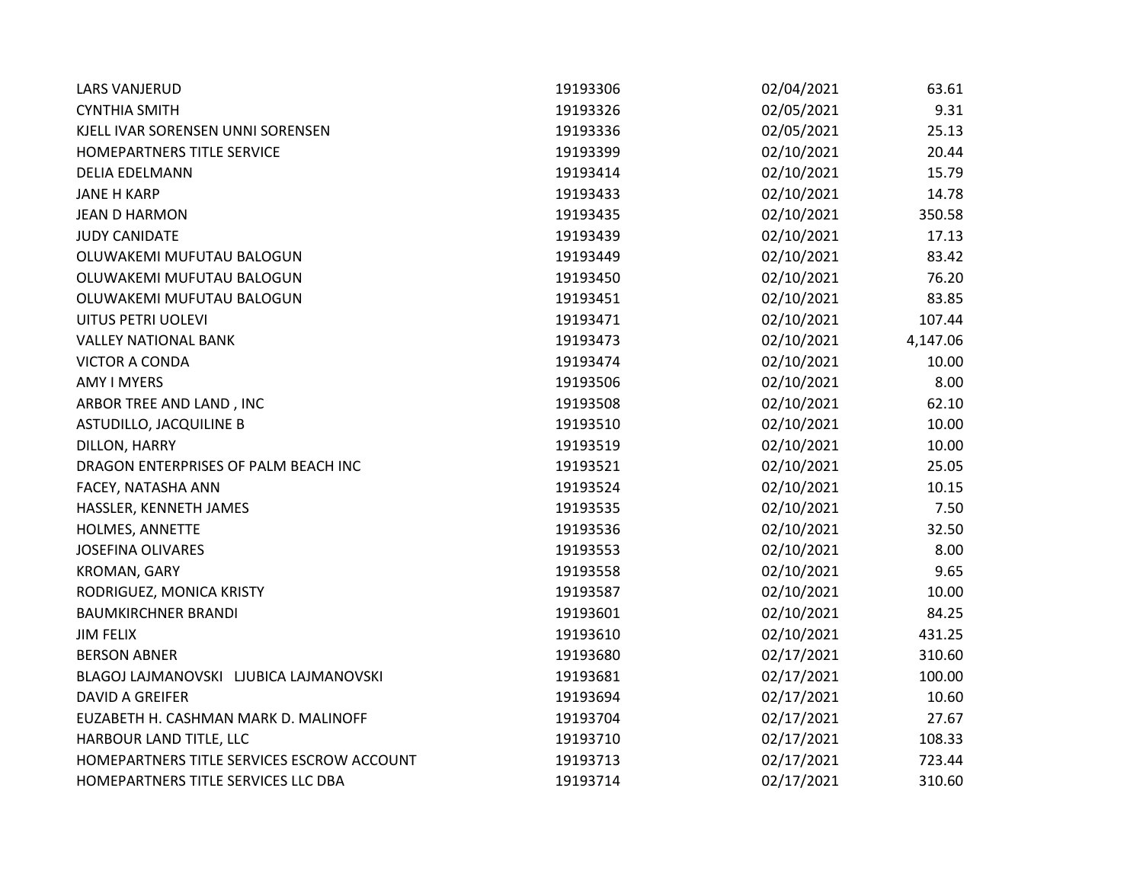| <b>LARS VANJERUD</b>                       | 19193306 | 02/04/2021 | 63.61    |
|--------------------------------------------|----------|------------|----------|
| <b>CYNTHIA SMITH</b>                       | 19193326 | 02/05/2021 | 9.31     |
| KJELL IVAR SORENSEN UNNI SORENSEN          | 19193336 | 02/05/2021 | 25.13    |
| HOMEPARTNERS TITLE SERVICE                 | 19193399 | 02/10/2021 | 20.44    |
| <b>DELIA EDELMANN</b>                      | 19193414 | 02/10/2021 | 15.79    |
| <b>JANE H KARP</b>                         | 19193433 | 02/10/2021 | 14.78    |
| <b>JEAN D HARMON</b>                       | 19193435 | 02/10/2021 | 350.58   |
| <b>JUDY CANIDATE</b>                       | 19193439 | 02/10/2021 | 17.13    |
| OLUWAKEMI MUFUTAU BALOGUN                  | 19193449 | 02/10/2021 | 83.42    |
| OLUWAKEMI MUFUTAU BALOGUN                  | 19193450 | 02/10/2021 | 76.20    |
| OLUWAKEMI MUFUTAU BALOGUN                  | 19193451 | 02/10/2021 | 83.85    |
| UITUS PETRI UOLEVI                         | 19193471 | 02/10/2021 | 107.44   |
| <b>VALLEY NATIONAL BANK</b>                | 19193473 | 02/10/2021 | 4,147.06 |
| <b>VICTOR A CONDA</b>                      | 19193474 | 02/10/2021 | 10.00    |
| <b>AMY I MYERS</b>                         | 19193506 | 02/10/2021 | 8.00     |
| ARBOR TREE AND LAND, INC                   | 19193508 | 02/10/2021 | 62.10    |
| <b>ASTUDILLO, JACQUILINE B</b>             | 19193510 | 02/10/2021 | 10.00    |
| DILLON, HARRY                              | 19193519 | 02/10/2021 | 10.00    |
| DRAGON ENTERPRISES OF PALM BEACH INC       | 19193521 | 02/10/2021 | 25.05    |
| FACEY, NATASHA ANN                         | 19193524 | 02/10/2021 | 10.15    |
| HASSLER, KENNETH JAMES                     | 19193535 | 02/10/2021 | 7.50     |
| HOLMES, ANNETTE                            | 19193536 | 02/10/2021 | 32.50    |
| <b>JOSEFINA OLIVARES</b>                   | 19193553 | 02/10/2021 | 8.00     |
| KROMAN, GARY                               | 19193558 | 02/10/2021 | 9.65     |
| RODRIGUEZ, MONICA KRISTY                   | 19193587 | 02/10/2021 | 10.00    |
| <b>BAUMKIRCHNER BRANDI</b>                 | 19193601 | 02/10/2021 | 84.25    |
| <b>JIM FELIX</b>                           | 19193610 | 02/10/2021 | 431.25   |
| <b>BERSON ABNER</b>                        | 19193680 | 02/17/2021 | 310.60   |
| BLAGOJ LAJMANOVSKI LJUBICA LAJMANOVSKI     | 19193681 | 02/17/2021 | 100.00   |
| <b>DAVID A GREIFER</b>                     | 19193694 | 02/17/2021 | 10.60    |
| EUZABETH H. CASHMAN MARK D. MALINOFF       | 19193704 | 02/17/2021 | 27.67    |
| HARBOUR LAND TITLE, LLC                    | 19193710 | 02/17/2021 | 108.33   |
| HOMEPARTNERS TITLE SERVICES ESCROW ACCOUNT | 19193713 | 02/17/2021 | 723.44   |
| HOMEPARTNERS TITLE SERVICES LLC DBA        | 19193714 | 02/17/2021 | 310.60   |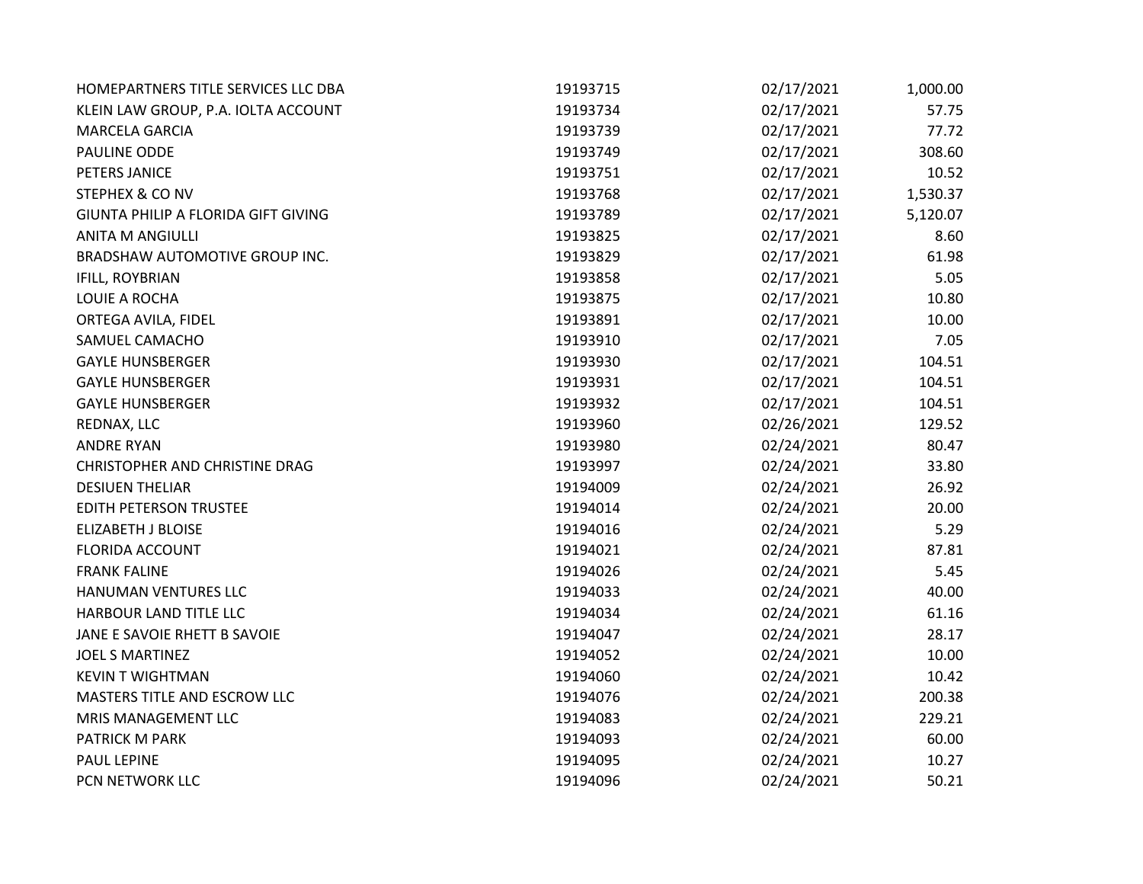| HOMEPARTNERS TITLE SERVICES LLC DBA | 19193715 | 02/17/2021 | 1,000.00 |
|-------------------------------------|----------|------------|----------|
| KLEIN LAW GROUP, P.A. IOLTA ACCOUNT | 19193734 | 02/17/2021 | 57.75    |
| <b>MARCELA GARCIA</b>               | 19193739 | 02/17/2021 | 77.72    |
| PAULINE ODDE                        | 19193749 | 02/17/2021 | 308.60   |
| PETERS JANICE                       | 19193751 | 02/17/2021 | 10.52    |
| <b>STEPHEX &amp; CO NV</b>          | 19193768 | 02/17/2021 | 1,530.37 |
| GIUNTA PHILIP A FLORIDA GIFT GIVING | 19193789 | 02/17/2021 | 5,120.07 |
| <b>ANITA M ANGIULLI</b>             | 19193825 | 02/17/2021 | 8.60     |
| BRADSHAW AUTOMOTIVE GROUP INC.      | 19193829 | 02/17/2021 | 61.98    |
| IFILL, ROYBRIAN                     | 19193858 | 02/17/2021 | 5.05     |
| LOUIE A ROCHA                       | 19193875 | 02/17/2021 | 10.80    |
| ORTEGA AVILA, FIDEL                 | 19193891 | 02/17/2021 | 10.00    |
| SAMUEL CAMACHO                      | 19193910 | 02/17/2021 | 7.05     |
| <b>GAYLE HUNSBERGER</b>             | 19193930 | 02/17/2021 | 104.51   |
| <b>GAYLE HUNSBERGER</b>             | 19193931 | 02/17/2021 | 104.51   |
| <b>GAYLE HUNSBERGER</b>             | 19193932 | 02/17/2021 | 104.51   |
| REDNAX, LLC                         | 19193960 | 02/26/2021 | 129.52   |
| <b>ANDRE RYAN</b>                   | 19193980 | 02/24/2021 | 80.47    |
| CHRISTOPHER AND CHRISTINE DRAG      | 19193997 | 02/24/2021 | 33.80    |
| <b>DESIUEN THELIAR</b>              | 19194009 | 02/24/2021 | 26.92    |
| <b>EDITH PETERSON TRUSTEE</b>       | 19194014 | 02/24/2021 | 20.00    |
| <b>ELIZABETH J BLOISE</b>           | 19194016 | 02/24/2021 | 5.29     |
| <b>FLORIDA ACCOUNT</b>              | 19194021 | 02/24/2021 | 87.81    |
| <b>FRANK FALINE</b>                 | 19194026 | 02/24/2021 | 5.45     |
| HANUMAN VENTURES LLC                | 19194033 | 02/24/2021 | 40.00    |
| HARBOUR LAND TITLE LLC              | 19194034 | 02/24/2021 | 61.16    |
| JANE E SAVOIE RHETT B SAVOIE        | 19194047 | 02/24/2021 | 28.17    |
| <b>JOEL S MARTINEZ</b>              | 19194052 | 02/24/2021 | 10.00    |
| <b>KEVIN T WIGHTMAN</b>             | 19194060 | 02/24/2021 | 10.42    |
| MASTERS TITLE AND ESCROW LLC        | 19194076 | 02/24/2021 | 200.38   |
| MRIS MANAGEMENT LLC                 | 19194083 | 02/24/2021 | 229.21   |
| PATRICK M PARK                      | 19194093 | 02/24/2021 | 60.00    |
| PAUL LEPINE                         | 19194095 | 02/24/2021 | 10.27    |
| PCN NETWORK LLC                     | 19194096 | 02/24/2021 | 50.21    |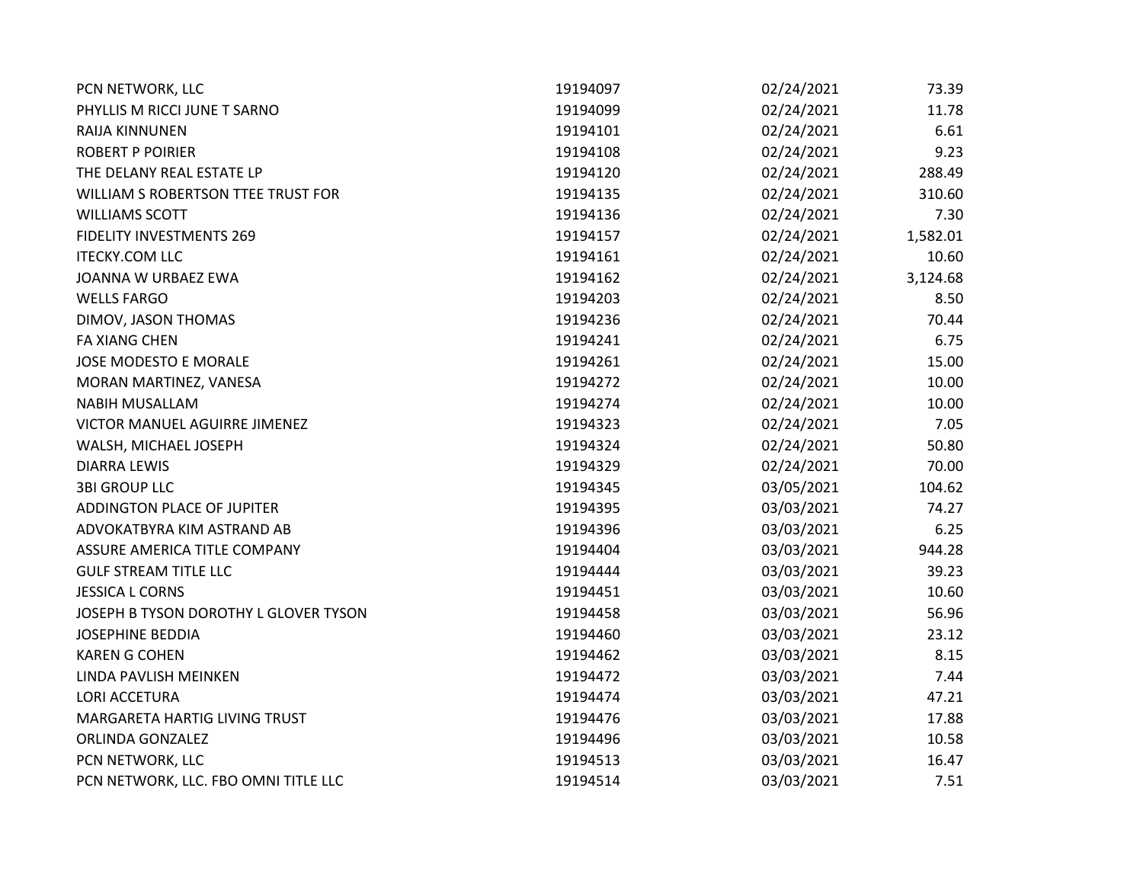| PCN NETWORK, LLC                      | 19194097 | 02/24/2021 | 73.39    |
|---------------------------------------|----------|------------|----------|
| PHYLLIS M RICCI JUNE T SARNO          | 19194099 | 02/24/2021 | 11.78    |
| RAIJA KINNUNEN                        | 19194101 | 02/24/2021 | 6.61     |
| <b>ROBERT P POIRIER</b>               | 19194108 | 02/24/2021 | 9.23     |
| THE DELANY REAL ESTATE LP             | 19194120 | 02/24/2021 | 288.49   |
| WILLIAM S ROBERTSON TTEE TRUST FOR    | 19194135 | 02/24/2021 | 310.60   |
| <b>WILLIAMS SCOTT</b>                 | 19194136 | 02/24/2021 | 7.30     |
| <b>FIDELITY INVESTMENTS 269</b>       | 19194157 | 02/24/2021 | 1,582.01 |
| <b>ITECKY.COM LLC</b>                 | 19194161 | 02/24/2021 | 10.60    |
| JOANNA W URBAEZ EWA                   | 19194162 | 02/24/2021 | 3,124.68 |
| <b>WELLS FARGO</b>                    | 19194203 | 02/24/2021 | 8.50     |
| DIMOV, JASON THOMAS                   | 19194236 | 02/24/2021 | 70.44    |
| <b>FA XIANG CHEN</b>                  | 19194241 | 02/24/2021 | 6.75     |
| JOSE MODESTO E MORALE                 | 19194261 | 02/24/2021 | 15.00    |
| MORAN MARTINEZ, VANESA                | 19194272 | 02/24/2021 | 10.00    |
| <b>NABIH MUSALLAM</b>                 | 19194274 | 02/24/2021 | 10.00    |
| VICTOR MANUEL AGUIRRE JIMENEZ         | 19194323 | 02/24/2021 | 7.05     |
| WALSH, MICHAEL JOSEPH                 | 19194324 | 02/24/2021 | 50.80    |
| <b>DIARRA LEWIS</b>                   | 19194329 | 02/24/2021 | 70.00    |
| <b>3BI GROUP LLC</b>                  | 19194345 | 03/05/2021 | 104.62   |
| ADDINGTON PLACE OF JUPITER            | 19194395 | 03/03/2021 | 74.27    |
| ADVOKATBYRA KIM ASTRAND AB            | 19194396 | 03/03/2021 | 6.25     |
| ASSURE AMERICA TITLE COMPANY          | 19194404 | 03/03/2021 | 944.28   |
| <b>GULF STREAM TITLE LLC</b>          | 19194444 | 03/03/2021 | 39.23    |
| <b>JESSICA L CORNS</b>                | 19194451 | 03/03/2021 | 10.60    |
| JOSEPH B TYSON DOROTHY L GLOVER TYSON | 19194458 | 03/03/2021 | 56.96    |
| <b>JOSEPHINE BEDDIA</b>               | 19194460 | 03/03/2021 | 23.12    |
| <b>KAREN G COHEN</b>                  | 19194462 | 03/03/2021 | 8.15     |
| LINDA PAVLISH MEINKEN                 | 19194472 | 03/03/2021 | 7.44     |
| <b>LORI ACCETURA</b>                  | 19194474 | 03/03/2021 | 47.21    |
| MARGARETA HARTIG LIVING TRUST         | 19194476 | 03/03/2021 | 17.88    |
| ORLINDA GONZALEZ                      | 19194496 | 03/03/2021 | 10.58    |
| PCN NETWORK, LLC                      | 19194513 | 03/03/2021 | 16.47    |
| PCN NETWORK, LLC. FBO OMNI TITLE LLC  | 19194514 | 03/03/2021 | 7.51     |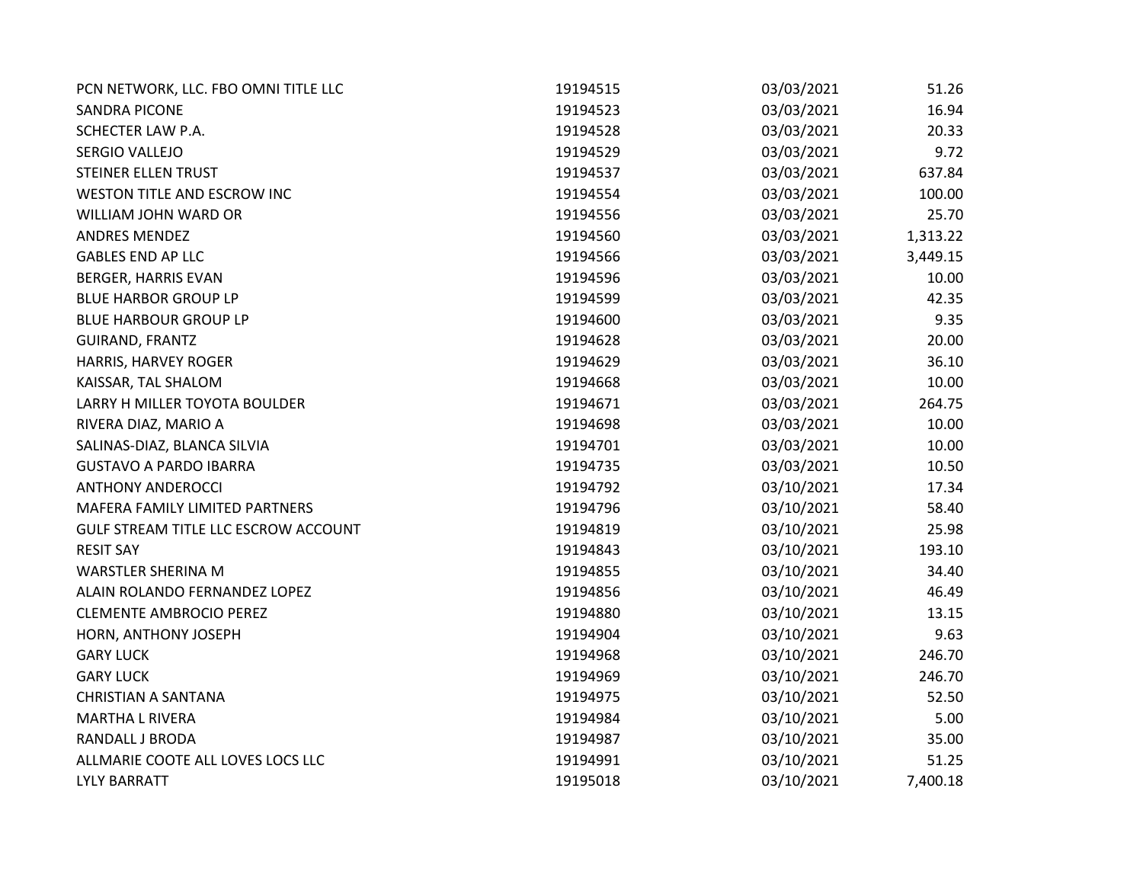| PCN NETWORK, LLC. FBO OMNI TITLE LLC | 19194515 | 03/03/2021 | 51.26    |
|--------------------------------------|----------|------------|----------|
| <b>SANDRA PICONE</b>                 | 19194523 | 03/03/2021 | 16.94    |
| SCHECTER LAW P.A.                    | 19194528 | 03/03/2021 | 20.33    |
| SERGIO VALLEJO                       | 19194529 | 03/03/2021 | 9.72     |
| STEINER ELLEN TRUST                  | 19194537 | 03/03/2021 | 637.84   |
| WESTON TITLE AND ESCROW INC          | 19194554 | 03/03/2021 | 100.00   |
| WILLIAM JOHN WARD OR                 | 19194556 | 03/03/2021 | 25.70    |
| ANDRES MENDEZ                        | 19194560 | 03/03/2021 | 1,313.22 |
| <b>GABLES END AP LLC</b>             | 19194566 | 03/03/2021 | 3,449.15 |
| <b>BERGER, HARRIS EVAN</b>           | 19194596 | 03/03/2021 | 10.00    |
| <b>BLUE HARBOR GROUP LP</b>          | 19194599 | 03/03/2021 | 42.35    |
| <b>BLUE HARBOUR GROUP LP</b>         | 19194600 | 03/03/2021 | 9.35     |
| <b>GUIRAND, FRANTZ</b>               | 19194628 | 03/03/2021 | 20.00    |
| HARRIS, HARVEY ROGER                 | 19194629 | 03/03/2021 | 36.10    |
| KAISSAR, TAL SHALOM                  | 19194668 | 03/03/2021 | 10.00    |
| LARRY H MILLER TOYOTA BOULDER        | 19194671 | 03/03/2021 | 264.75   |
| RIVERA DIAZ, MARIO A                 | 19194698 | 03/03/2021 | 10.00    |
| SALINAS-DIAZ, BLANCA SILVIA          | 19194701 | 03/03/2021 | 10.00    |
| <b>GUSTAVO A PARDO IBARRA</b>        | 19194735 | 03/03/2021 | 10.50    |
| <b>ANTHONY ANDEROCCI</b>             | 19194792 | 03/10/2021 | 17.34    |
| MAFERA FAMILY LIMITED PARTNERS       | 19194796 | 03/10/2021 | 58.40    |
| GULF STREAM TITLE LLC ESCROW ACCOUNT | 19194819 | 03/10/2021 | 25.98    |
| <b>RESIT SAY</b>                     | 19194843 | 03/10/2021 | 193.10   |
| <b>WARSTLER SHERINA M</b>            | 19194855 | 03/10/2021 | 34.40    |
| ALAIN ROLANDO FERNANDEZ LOPEZ        | 19194856 | 03/10/2021 | 46.49    |
| <b>CLEMENTE AMBROCIO PEREZ</b>       | 19194880 | 03/10/2021 | 13.15    |
| HORN, ANTHONY JOSEPH                 | 19194904 | 03/10/2021 | 9.63     |
| <b>GARY LUCK</b>                     | 19194968 | 03/10/2021 | 246.70   |
| <b>GARY LUCK</b>                     | 19194969 | 03/10/2021 | 246.70   |
| <b>CHRISTIAN A SANTANA</b>           | 19194975 | 03/10/2021 | 52.50    |
| <b>MARTHA L RIVERA</b>               | 19194984 | 03/10/2021 | 5.00     |
| RANDALL J BRODA                      | 19194987 | 03/10/2021 | 35.00    |
| ALLMARIE COOTE ALL LOVES LOCS LLC    | 19194991 | 03/10/2021 | 51.25    |
| <b>LYLY BARRATT</b>                  | 19195018 | 03/10/2021 | 7,400.18 |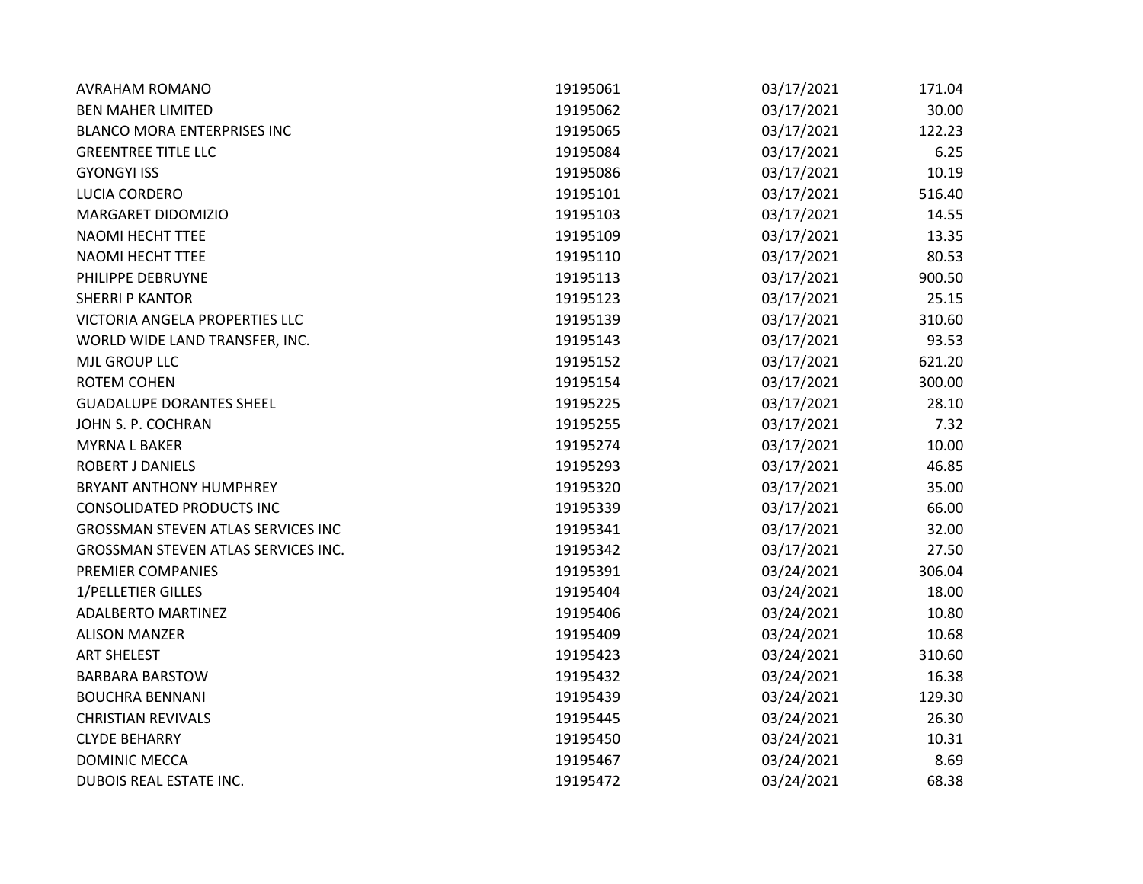| <b>AVRAHAM ROMANO</b>                     | 19195061 | 03/17/2021 | 171.04 |
|-------------------------------------------|----------|------------|--------|
| <b>BEN MAHER LIMITED</b>                  | 19195062 | 03/17/2021 | 30.00  |
| <b>BLANCO MORA ENTERPRISES INC</b>        | 19195065 | 03/17/2021 | 122.23 |
| <b>GREENTREE TITLE LLC</b>                | 19195084 | 03/17/2021 | 6.25   |
| <b>GYONGYI ISS</b>                        | 19195086 | 03/17/2021 | 10.19  |
| LUCIA CORDERO                             | 19195101 | 03/17/2021 | 516.40 |
| MARGARET DIDOMIZIO                        | 19195103 | 03/17/2021 | 14.55  |
| NAOMI HECHT TTEE                          | 19195109 | 03/17/2021 | 13.35  |
| NAOMI HECHT TTEE                          | 19195110 | 03/17/2021 | 80.53  |
| PHILIPPE DEBRUYNE                         | 19195113 | 03/17/2021 | 900.50 |
| <b>SHERRI P KANTOR</b>                    | 19195123 | 03/17/2021 | 25.15  |
| VICTORIA ANGELA PROPERTIES LLC            | 19195139 | 03/17/2021 | 310.60 |
| WORLD WIDE LAND TRANSFER, INC.            | 19195143 | 03/17/2021 | 93.53  |
| MJL GROUP LLC                             | 19195152 | 03/17/2021 | 621.20 |
| <b>ROTEM COHEN</b>                        | 19195154 | 03/17/2021 | 300.00 |
| <b>GUADALUPE DORANTES SHEEL</b>           | 19195225 | 03/17/2021 | 28.10  |
| JOHN S. P. COCHRAN                        | 19195255 | 03/17/2021 | 7.32   |
| <b>MYRNAL BAKER</b>                       | 19195274 | 03/17/2021 | 10.00  |
| <b>ROBERT J DANIELS</b>                   | 19195293 | 03/17/2021 | 46.85  |
| BRYANT ANTHONY HUMPHREY                   | 19195320 | 03/17/2021 | 35.00  |
| <b>CONSOLIDATED PRODUCTS INC</b>          | 19195339 | 03/17/2021 | 66.00  |
| <b>GROSSMAN STEVEN ATLAS SERVICES INC</b> | 19195341 | 03/17/2021 | 32.00  |
| GROSSMAN STEVEN ATLAS SERVICES INC.       | 19195342 | 03/17/2021 | 27.50  |
| PREMIER COMPANIES                         | 19195391 | 03/24/2021 | 306.04 |
| 1/PELLETIER GILLES                        | 19195404 | 03/24/2021 | 18.00  |
| <b>ADALBERTO MARTINEZ</b>                 | 19195406 | 03/24/2021 | 10.80  |
| <b>ALISON MANZER</b>                      | 19195409 | 03/24/2021 | 10.68  |
| <b>ART SHELEST</b>                        | 19195423 | 03/24/2021 | 310.60 |
| <b>BARBARA BARSTOW</b>                    | 19195432 | 03/24/2021 | 16.38  |
| <b>BOUCHRA BENNANI</b>                    | 19195439 | 03/24/2021 | 129.30 |
| <b>CHRISTIAN REVIVALS</b>                 | 19195445 | 03/24/2021 | 26.30  |
| <b>CLYDE BEHARRY</b>                      | 19195450 | 03/24/2021 | 10.31  |
| <b>DOMINIC MECCA</b>                      | 19195467 | 03/24/2021 | 8.69   |
| DUBOIS REAL ESTATE INC.                   | 19195472 | 03/24/2021 | 68.38  |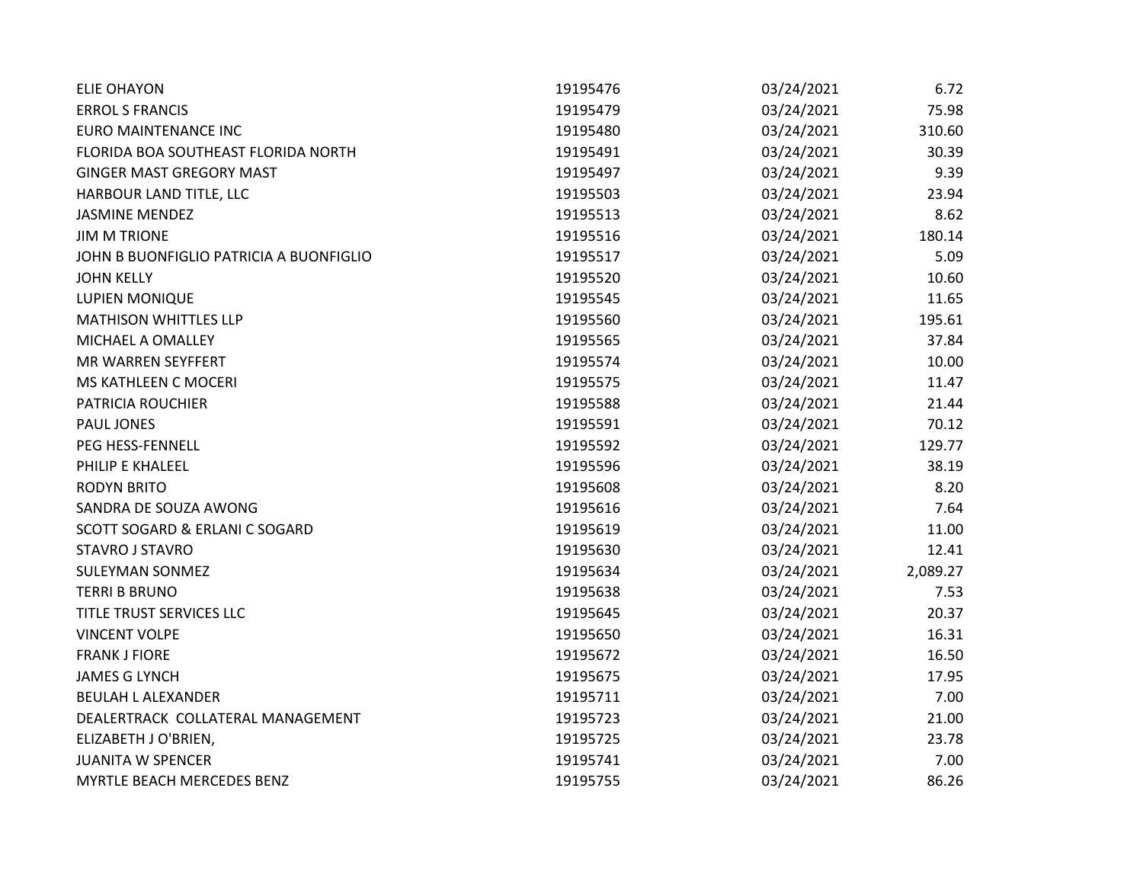| <b>ELIE OHAYON</b>                      | 19195476 | 03/24/2021 | 6.72     |
|-----------------------------------------|----------|------------|----------|
| <b>ERROL S FRANCIS</b>                  | 19195479 | 03/24/2021 | 75.98    |
| <b>EURO MAINTENANCE INC</b>             | 19195480 | 03/24/2021 | 310.60   |
| FLORIDA BOA SOUTHEAST FLORIDA NORTH     | 19195491 | 03/24/2021 | 30.39    |
| <b>GINGER MAST GREGORY MAST</b>         | 19195497 | 03/24/2021 | 9.39     |
| HARBOUR LAND TITLE, LLC                 | 19195503 | 03/24/2021 | 23.94    |
| <b>JASMINE MENDEZ</b>                   | 19195513 | 03/24/2021 | 8.62     |
| <b>JIM M TRIONE</b>                     | 19195516 | 03/24/2021 | 180.14   |
| JOHN B BUONFIGLIO PATRICIA A BUONFIGLIO | 19195517 | 03/24/2021 | 5.09     |
| <b>JOHN KELLY</b>                       | 19195520 | 03/24/2021 | 10.60    |
| LUPIEN MONIQUE                          | 19195545 | 03/24/2021 | 11.65    |
| <b>MATHISON WHITTLES LLP</b>            | 19195560 | 03/24/2021 | 195.61   |
| MICHAEL A OMALLEY                       | 19195565 | 03/24/2021 | 37.84    |
| MR WARREN SEYFFERT                      | 19195574 | 03/24/2021 | 10.00    |
| MS KATHLEEN C MOCERI                    | 19195575 | 03/24/2021 | 11.47    |
| PATRICIA ROUCHIER                       | 19195588 | 03/24/2021 | 21.44    |
| PAUL JONES                              | 19195591 | 03/24/2021 | 70.12    |
| PEG HESS-FENNELL                        | 19195592 | 03/24/2021 | 129.77   |
| PHILIP E KHALEEL                        | 19195596 | 03/24/2021 | 38.19    |
| <b>RODYN BRITO</b>                      | 19195608 | 03/24/2021 | 8.20     |
| SANDRA DE SOUZA AWONG                   | 19195616 | 03/24/2021 | 7.64     |
| SCOTT SOGARD & ERLANI C SOGARD          | 19195619 | 03/24/2021 | 11.00    |
| <b>STAVRO J STAVRO</b>                  | 19195630 | 03/24/2021 | 12.41    |
| <b>SULEYMAN SONMEZ</b>                  | 19195634 | 03/24/2021 | 2,089.27 |
| <b>TERRI B BRUNO</b>                    | 19195638 | 03/24/2021 | 7.53     |
| TITLE TRUST SERVICES LLC                | 19195645 | 03/24/2021 | 20.37    |
| <b>VINCENT VOLPE</b>                    | 19195650 | 03/24/2021 | 16.31    |
| <b>FRANK J FIORE</b>                    | 19195672 | 03/24/2021 | 16.50    |
| <b>JAMES G LYNCH</b>                    | 19195675 | 03/24/2021 | 17.95    |
| <b>BEULAH L ALEXANDER</b>               | 19195711 | 03/24/2021 | 7.00     |
| DEALERTRACK COLLATERAL MANAGEMENT       | 19195723 | 03/24/2021 | 21.00    |
| ELIZABETH J O'BRIEN,                    | 19195725 | 03/24/2021 | 23.78    |
| <b>JUANITA W SPENCER</b>                | 19195741 | 03/24/2021 | 7.00     |
| MYRTLE BEACH MERCEDES BENZ              | 19195755 | 03/24/2021 | 86.26    |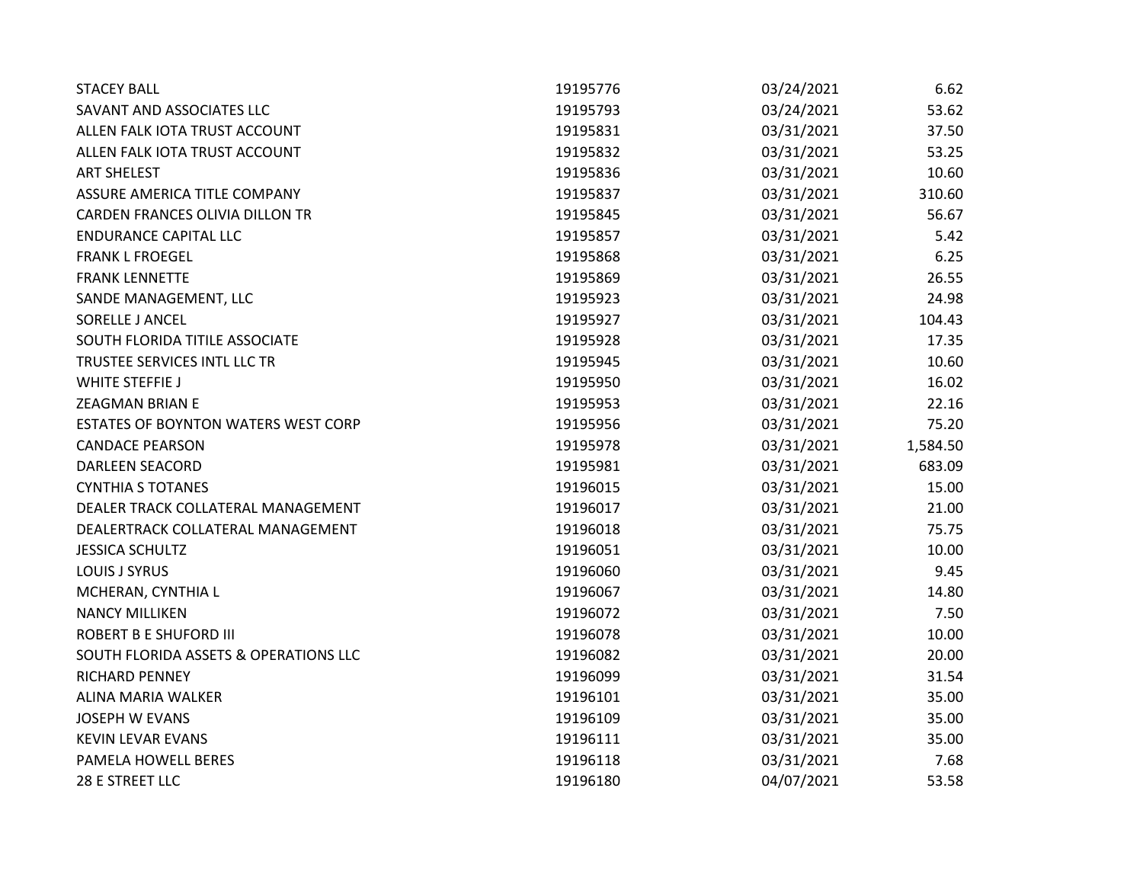| <b>STACEY BALL</b>                    | 19195776 | 03/24/2021 | 6.62     |
|---------------------------------------|----------|------------|----------|
| SAVANT AND ASSOCIATES LLC             | 19195793 | 03/24/2021 | 53.62    |
| ALLEN FALK IOTA TRUST ACCOUNT         | 19195831 | 03/31/2021 | 37.50    |
| ALLEN FALK IOTA TRUST ACCOUNT         | 19195832 | 03/31/2021 | 53.25    |
| <b>ART SHELEST</b>                    | 19195836 | 03/31/2021 | 10.60    |
| ASSURE AMERICA TITLE COMPANY          | 19195837 | 03/31/2021 | 310.60   |
| CARDEN FRANCES OLIVIA DILLON TR       | 19195845 | 03/31/2021 | 56.67    |
| <b>ENDURANCE CAPITAL LLC</b>          | 19195857 | 03/31/2021 | 5.42     |
| <b>FRANK L FROEGEL</b>                | 19195868 | 03/31/2021 | 6.25     |
| <b>FRANK LENNETTE</b>                 | 19195869 | 03/31/2021 | 26.55    |
| SANDE MANAGEMENT, LLC                 | 19195923 | 03/31/2021 | 24.98    |
| SORELLE J ANCEL                       | 19195927 | 03/31/2021 | 104.43   |
| SOUTH FLORIDA TITILE ASSOCIATE        | 19195928 | 03/31/2021 | 17.35    |
| TRUSTEE SERVICES INTL LLC TR          | 19195945 | 03/31/2021 | 10.60    |
| <b>WHITE STEFFIE J</b>                | 19195950 | 03/31/2021 | 16.02    |
| <b>ZEAGMAN BRIAN E</b>                | 19195953 | 03/31/2021 | 22.16    |
| ESTATES OF BOYNTON WATERS WEST CORP   | 19195956 | 03/31/2021 | 75.20    |
| <b>CANDACE PEARSON</b>                | 19195978 | 03/31/2021 | 1,584.50 |
| <b>DARLEEN SEACORD</b>                | 19195981 | 03/31/2021 | 683.09   |
| <b>CYNTHIA S TOTANES</b>              | 19196015 | 03/31/2021 | 15.00    |
| DEALER TRACK COLLATERAL MANAGEMENT    | 19196017 | 03/31/2021 | 21.00    |
| DEALERTRACK COLLATERAL MANAGEMENT     | 19196018 | 03/31/2021 | 75.75    |
| <b>JESSICA SCHULTZ</b>                | 19196051 | 03/31/2021 | 10.00    |
| <b>LOUIS J SYRUS</b>                  | 19196060 | 03/31/2021 | 9.45     |
| MCHERAN, CYNTHIA L                    | 19196067 | 03/31/2021 | 14.80    |
| <b>NANCY MILLIKEN</b>                 | 19196072 | 03/31/2021 | 7.50     |
| <b>ROBERT B E SHUFORD III</b>         | 19196078 | 03/31/2021 | 10.00    |
| SOUTH FLORIDA ASSETS & OPERATIONS LLC | 19196082 | 03/31/2021 | 20.00    |
| <b>RICHARD PENNEY</b>                 | 19196099 | 03/31/2021 | 31.54    |
| ALINA MARIA WALKER                    | 19196101 | 03/31/2021 | 35.00    |
| <b>JOSEPH W EVANS</b>                 | 19196109 | 03/31/2021 | 35.00    |
| <b>KEVIN LEVAR EVANS</b>              | 19196111 | 03/31/2021 | 35.00    |
| PAMELA HOWELL BERES                   | 19196118 | 03/31/2021 | 7.68     |
| 28 E STREET LLC                       | 19196180 | 04/07/2021 | 53.58    |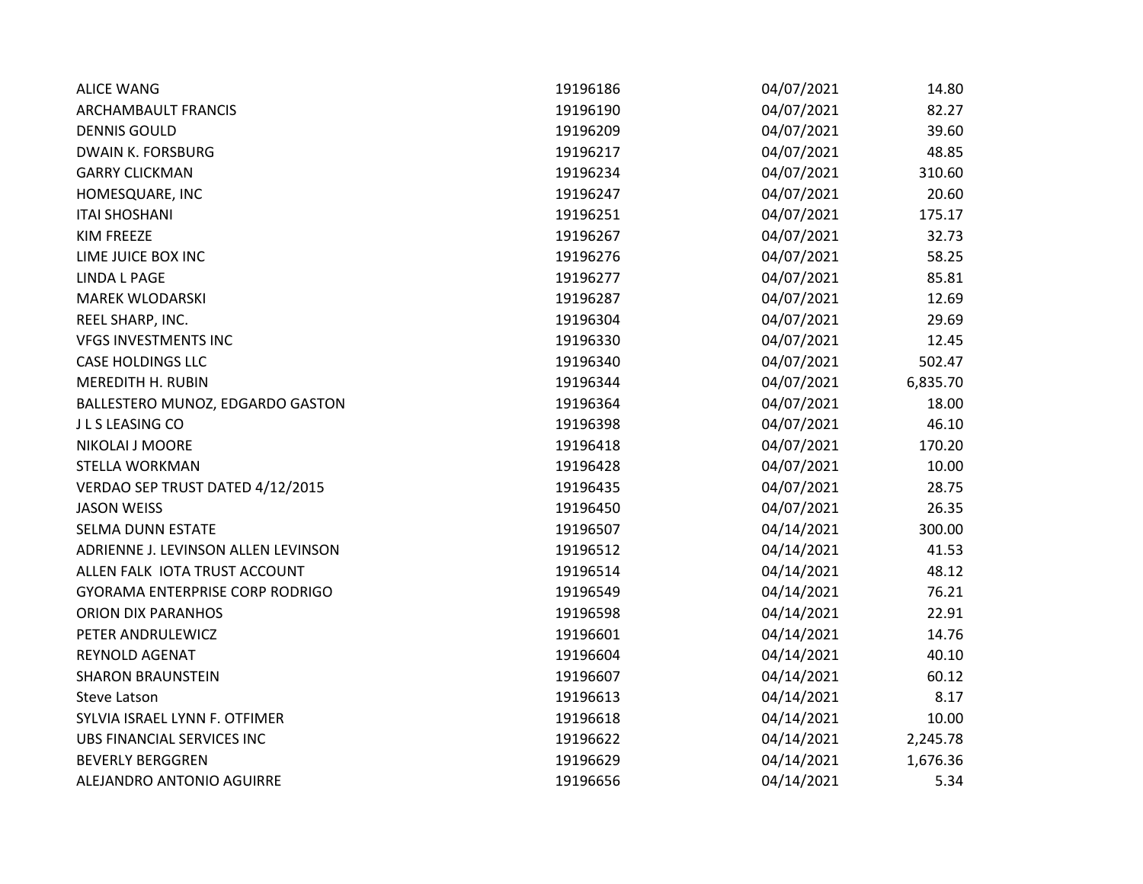| <b>ALICE WANG</b>                      | 19196186 | 04/07/2021 | 14.80    |
|----------------------------------------|----------|------------|----------|
| ARCHAMBAULT FRANCIS                    | 19196190 | 04/07/2021 | 82.27    |
| <b>DENNIS GOULD</b>                    | 19196209 | 04/07/2021 | 39.60    |
| <b>DWAIN K. FORSBURG</b>               | 19196217 | 04/07/2021 | 48.85    |
| <b>GARRY CLICKMAN</b>                  | 19196234 | 04/07/2021 | 310.60   |
| HOMESQUARE, INC                        | 19196247 | 04/07/2021 | 20.60    |
| <b>ITAI SHOSHANI</b>                   | 19196251 | 04/07/2021 | 175.17   |
| <b>KIM FREEZE</b>                      | 19196267 | 04/07/2021 | 32.73    |
| LIME JUICE BOX INC                     | 19196276 | 04/07/2021 | 58.25    |
| <b>LINDA L PAGE</b>                    | 19196277 | 04/07/2021 | 85.81    |
| <b>MAREK WLODARSKI</b>                 | 19196287 | 04/07/2021 | 12.69    |
| REEL SHARP, INC.                       | 19196304 | 04/07/2021 | 29.69    |
| <b>VFGS INVESTMENTS INC</b>            | 19196330 | 04/07/2021 | 12.45    |
| <b>CASE HOLDINGS LLC</b>               | 19196340 | 04/07/2021 | 502.47   |
| MEREDITH H. RUBIN                      | 19196344 | 04/07/2021 | 6,835.70 |
| BALLESTERO MUNOZ, EDGARDO GASTON       | 19196364 | 04/07/2021 | 18.00    |
| J L S LEASING CO                       | 19196398 | 04/07/2021 | 46.10    |
| NIKOLAI J MOORE                        | 19196418 | 04/07/2021 | 170.20   |
| STELLA WORKMAN                         | 19196428 | 04/07/2021 | 10.00    |
| VERDAO SEP TRUST DATED 4/12/2015       | 19196435 | 04/07/2021 | 28.75    |
| <b>JASON WEISS</b>                     | 19196450 | 04/07/2021 | 26.35    |
| SELMA DUNN ESTATE                      | 19196507 | 04/14/2021 | 300.00   |
| ADRIENNE J. LEVINSON ALLEN LEVINSON    | 19196512 | 04/14/2021 | 41.53    |
| ALLEN FALK IOTA TRUST ACCOUNT          | 19196514 | 04/14/2021 | 48.12    |
| <b>GYORAMA ENTERPRISE CORP RODRIGO</b> | 19196549 | 04/14/2021 | 76.21    |
| ORION DIX PARANHOS                     | 19196598 | 04/14/2021 | 22.91    |
| PETER ANDRULEWICZ                      | 19196601 | 04/14/2021 | 14.76    |
| REYNOLD AGENAT                         | 19196604 | 04/14/2021 | 40.10    |
| <b>SHARON BRAUNSTEIN</b>               | 19196607 | 04/14/2021 | 60.12    |
| Steve Latson                           | 19196613 | 04/14/2021 | 8.17     |
| SYLVIA ISRAEL LYNN F. OTFIMER          | 19196618 | 04/14/2021 | 10.00    |
| UBS FINANCIAL SERVICES INC             | 19196622 | 04/14/2021 | 2,245.78 |
| <b>BEVERLY BERGGREN</b>                | 19196629 | 04/14/2021 | 1,676.36 |
| ALEJANDRO ANTONIO AGUIRRE              | 19196656 | 04/14/2021 | 5.34     |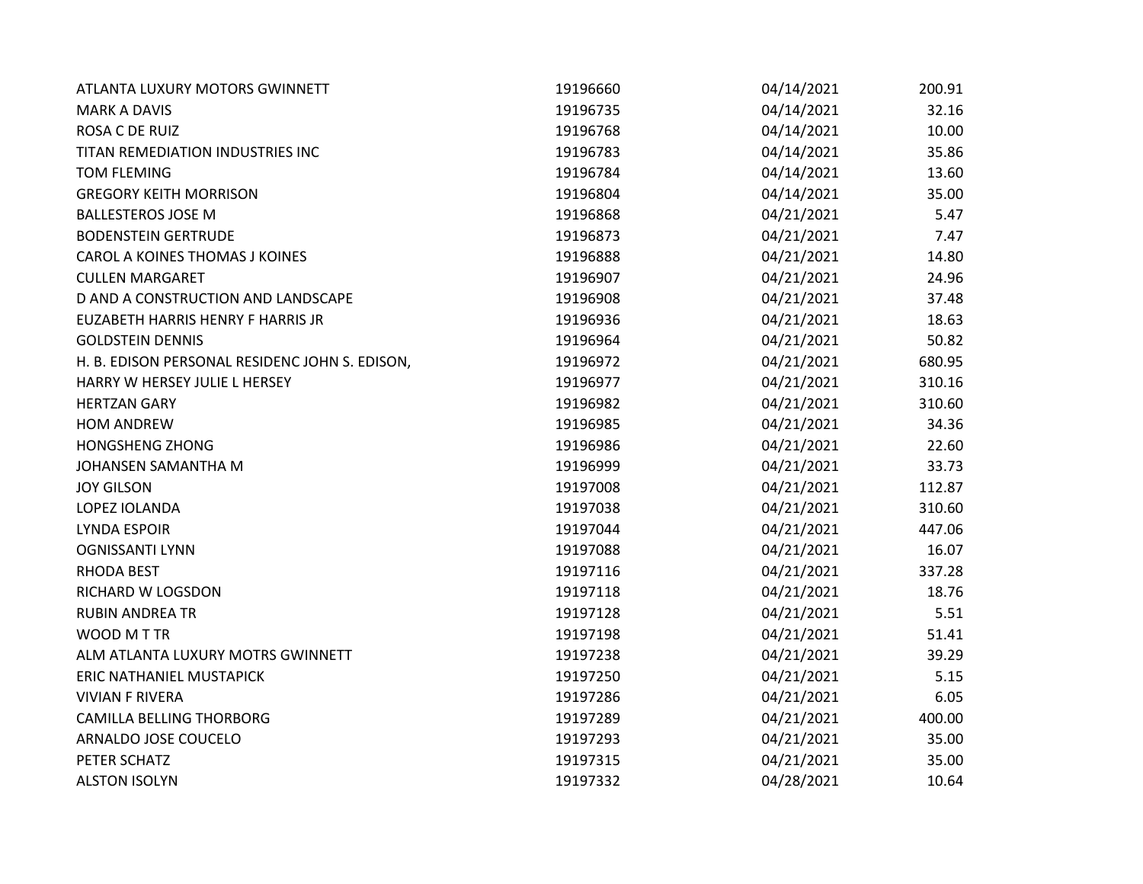| ATLANTA LUXURY MOTORS GWINNETT                 | 19196660 | 04/14/2021 | 200.91 |
|------------------------------------------------|----------|------------|--------|
| <b>MARK A DAVIS</b>                            | 19196735 | 04/14/2021 | 32.16  |
| ROSA C DE RUIZ                                 | 19196768 | 04/14/2021 | 10.00  |
| TITAN REMEDIATION INDUSTRIES INC               | 19196783 | 04/14/2021 | 35.86  |
| <b>TOM FLEMING</b>                             | 19196784 | 04/14/2021 | 13.60  |
| <b>GREGORY KEITH MORRISON</b>                  | 19196804 | 04/14/2021 | 35.00  |
| <b>BALLESTEROS JOSE M</b>                      | 19196868 | 04/21/2021 | 5.47   |
| <b>BODENSTEIN GERTRUDE</b>                     | 19196873 | 04/21/2021 | 7.47   |
| <b>CAROL A KOINES THOMAS J KOINES</b>          | 19196888 | 04/21/2021 | 14.80  |
| <b>CULLEN MARGARET</b>                         | 19196907 | 04/21/2021 | 24.96  |
| D AND A CONSTRUCTION AND LANDSCAPE             | 19196908 | 04/21/2021 | 37.48  |
| EUZABETH HARRIS HENRY F HARRIS JR              | 19196936 | 04/21/2021 | 18.63  |
| <b>GOLDSTEIN DENNIS</b>                        | 19196964 | 04/21/2021 | 50.82  |
| H. B. EDISON PERSONAL RESIDENC JOHN S. EDISON, | 19196972 | 04/21/2021 | 680.95 |
| HARRY W HERSEY JULIE L HERSEY                  | 19196977 | 04/21/2021 | 310.16 |
| <b>HERTZAN GARY</b>                            | 19196982 | 04/21/2021 | 310.60 |
| <b>HOM ANDREW</b>                              | 19196985 | 04/21/2021 | 34.36  |
| <b>HONGSHENG ZHONG</b>                         | 19196986 | 04/21/2021 | 22.60  |
| JOHANSEN SAMANTHA M                            | 19196999 | 04/21/2021 | 33.73  |
| <b>JOY GILSON</b>                              | 19197008 | 04/21/2021 | 112.87 |
| LOPEZ IOLANDA                                  | 19197038 | 04/21/2021 | 310.60 |
| <b>LYNDA ESPOIR</b>                            | 19197044 | 04/21/2021 | 447.06 |
| <b>OGNISSANTI LYNN</b>                         | 19197088 | 04/21/2021 | 16.07  |
| <b>RHODA BEST</b>                              | 19197116 | 04/21/2021 | 337.28 |
| RICHARD W LOGSDON                              | 19197118 | 04/21/2021 | 18.76  |
| <b>RUBIN ANDREA TR</b>                         | 19197128 | 04/21/2021 | 5.51   |
| WOOD M T TR                                    | 19197198 | 04/21/2021 | 51.41  |
| ALM ATLANTA LUXURY MOTRS GWINNETT              | 19197238 | 04/21/2021 | 39.29  |
| <b>ERIC NATHANIEL MUSTAPICK</b>                | 19197250 | 04/21/2021 | 5.15   |
| <b>VIVIAN F RIVERA</b>                         | 19197286 | 04/21/2021 | 6.05   |
| <b>CAMILLA BELLING THORBORG</b>                | 19197289 | 04/21/2021 | 400.00 |
| ARNALDO JOSE COUCELO                           | 19197293 | 04/21/2021 | 35.00  |
| PETER SCHATZ                                   | 19197315 | 04/21/2021 | 35.00  |
| <b>ALSTON ISOLYN</b>                           | 19197332 | 04/28/2021 | 10.64  |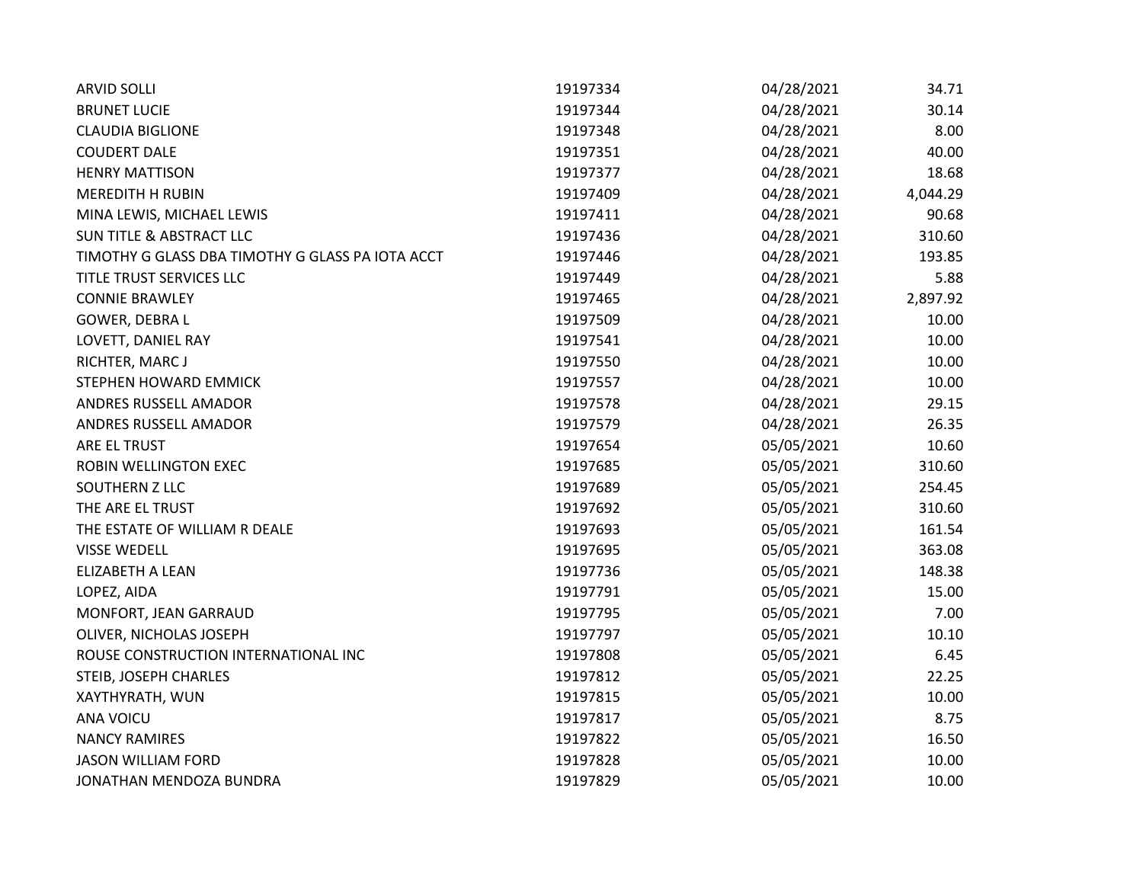| <b>ARVID SOLLI</b>                               | 19197334 | 04/28/2021 | 34.71    |
|--------------------------------------------------|----------|------------|----------|
| <b>BRUNET LUCIE</b>                              | 19197344 | 04/28/2021 | 30.14    |
| <b>CLAUDIA BIGLIONE</b>                          | 19197348 | 04/28/2021 | 8.00     |
| <b>COUDERT DALE</b>                              | 19197351 | 04/28/2021 | 40.00    |
| <b>HENRY MATTISON</b>                            | 19197377 | 04/28/2021 | 18.68    |
| <b>MEREDITH H RUBIN</b>                          | 19197409 | 04/28/2021 | 4,044.29 |
| MINA LEWIS, MICHAEL LEWIS                        | 19197411 | 04/28/2021 | 90.68    |
| <b>SUN TITLE &amp; ABSTRACT LLC</b>              | 19197436 | 04/28/2021 | 310.60   |
| TIMOTHY G GLASS DBA TIMOTHY G GLASS PA IOTA ACCT | 19197446 | 04/28/2021 | 193.85   |
| TITLE TRUST SERVICES LLC                         | 19197449 | 04/28/2021 | 5.88     |
| <b>CONNIE BRAWLEY</b>                            | 19197465 | 04/28/2021 | 2,897.92 |
| GOWER, DEBRA L                                   | 19197509 | 04/28/2021 | 10.00    |
| LOVETT, DANIEL RAY                               | 19197541 | 04/28/2021 | 10.00    |
| RICHTER, MARC J                                  | 19197550 | 04/28/2021 | 10.00    |
| STEPHEN HOWARD EMMICK                            | 19197557 | 04/28/2021 | 10.00    |
| ANDRES RUSSELL AMADOR                            | 19197578 | 04/28/2021 | 29.15    |
| ANDRES RUSSELL AMADOR                            | 19197579 | 04/28/2021 | 26.35    |
| ARE EL TRUST                                     | 19197654 | 05/05/2021 | 10.60    |
| ROBIN WELLINGTON EXEC                            | 19197685 | 05/05/2021 | 310.60   |
| SOUTHERN Z LLC                                   | 19197689 | 05/05/2021 | 254.45   |
| THE ARE EL TRUST                                 | 19197692 | 05/05/2021 | 310.60   |
| THE ESTATE OF WILLIAM R DEALE                    | 19197693 | 05/05/2021 | 161.54   |
| <b>VISSE WEDELL</b>                              | 19197695 | 05/05/2021 | 363.08   |
| ELIZABETH A LEAN                                 | 19197736 | 05/05/2021 | 148.38   |
| LOPEZ, AIDA                                      | 19197791 | 05/05/2021 | 15.00    |
| MONFORT, JEAN GARRAUD                            | 19197795 | 05/05/2021 | 7.00     |
| OLIVER, NICHOLAS JOSEPH                          | 19197797 | 05/05/2021 | 10.10    |
| ROUSE CONSTRUCTION INTERNATIONAL INC             | 19197808 | 05/05/2021 | 6.45     |
| STEIB, JOSEPH CHARLES                            | 19197812 | 05/05/2021 | 22.25    |
| XAYTHYRATH, WUN                                  | 19197815 | 05/05/2021 | 10.00    |
| <b>ANA VOICU</b>                                 | 19197817 | 05/05/2021 | 8.75     |
| <b>NANCY RAMIRES</b>                             | 19197822 | 05/05/2021 | 16.50    |
| <b>JASON WILLIAM FORD</b>                        | 19197828 | 05/05/2021 | 10.00    |
| JONATHAN MENDOZA BUNDRA                          | 19197829 | 05/05/2021 | 10.00    |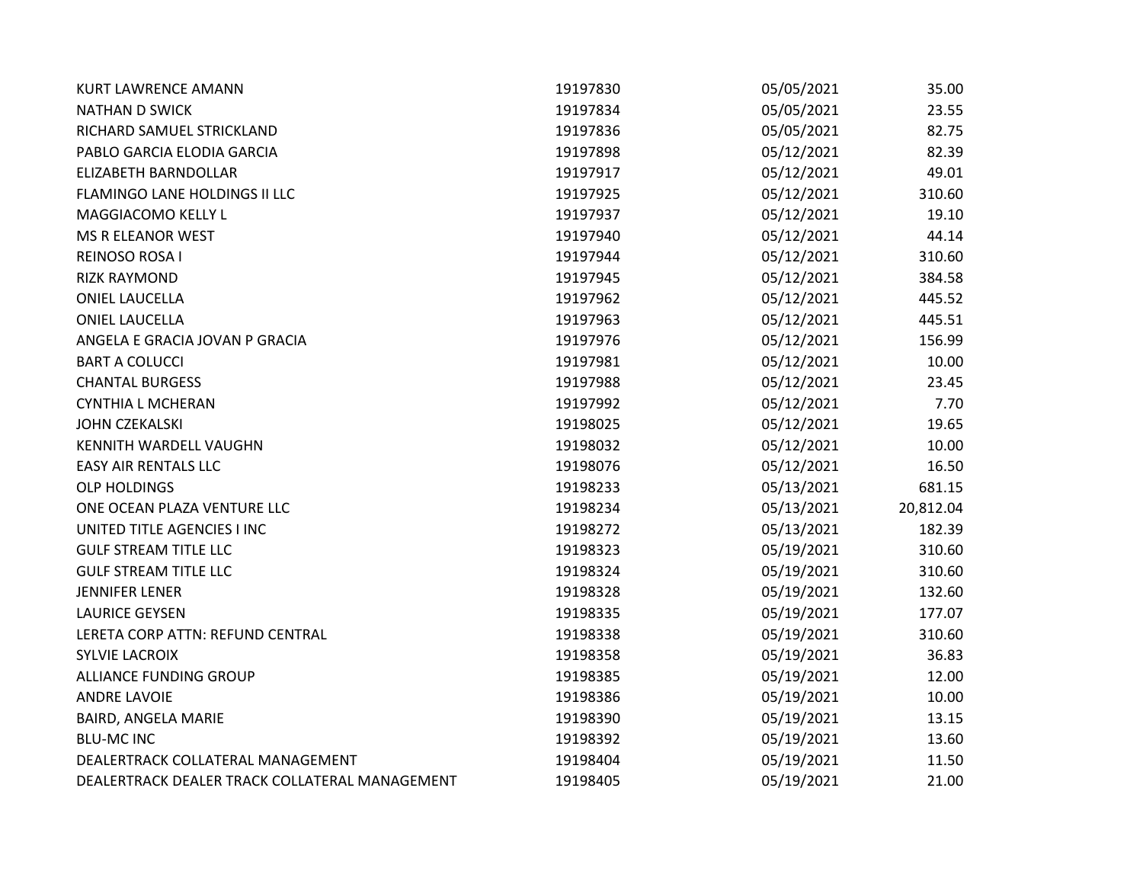| <b>KURT LAWRENCE AMANN</b>                     | 19197830 | 05/05/2021 | 35.00     |
|------------------------------------------------|----------|------------|-----------|
| <b>NATHAN D SWICK</b>                          | 19197834 | 05/05/2021 | 23.55     |
| RICHARD SAMUEL STRICKLAND                      | 19197836 | 05/05/2021 | 82.75     |
| PABLO GARCIA ELODIA GARCIA                     | 19197898 | 05/12/2021 | 82.39     |
| ELIZABETH BARNDOLLAR                           | 19197917 | 05/12/2021 | 49.01     |
| FLAMINGO LANE HOLDINGS II LLC                  | 19197925 | 05/12/2021 | 310.60    |
| MAGGIACOMO KELLY L                             | 19197937 | 05/12/2021 | 19.10     |
| MS R ELEANOR WEST                              | 19197940 | 05/12/2021 | 44.14     |
| REINOSO ROSA I                                 | 19197944 | 05/12/2021 | 310.60    |
| <b>RIZK RAYMOND</b>                            | 19197945 | 05/12/2021 | 384.58    |
| <b>ONIEL LAUCELLA</b>                          | 19197962 | 05/12/2021 | 445.52    |
| <b>ONIEL LAUCELLA</b>                          | 19197963 | 05/12/2021 | 445.51    |
| ANGELA E GRACIA JOVAN P GRACIA                 | 19197976 | 05/12/2021 | 156.99    |
| <b>BART A COLUCCI</b>                          | 19197981 | 05/12/2021 | 10.00     |
| <b>CHANTAL BURGESS</b>                         | 19197988 | 05/12/2021 | 23.45     |
| <b>CYNTHIA L MCHERAN</b>                       | 19197992 | 05/12/2021 | 7.70      |
| <b>JOHN CZEKALSKI</b>                          | 19198025 | 05/12/2021 | 19.65     |
| <b>KENNITH WARDELL VAUGHN</b>                  | 19198032 | 05/12/2021 | 10.00     |
| <b>EASY AIR RENTALS LLC</b>                    | 19198076 | 05/12/2021 | 16.50     |
| <b>OLP HOLDINGS</b>                            | 19198233 | 05/13/2021 | 681.15    |
| ONE OCEAN PLAZA VENTURE LLC                    | 19198234 | 05/13/2021 | 20,812.04 |
| UNITED TITLE AGENCIES I INC                    | 19198272 | 05/13/2021 | 182.39    |
| <b>GULF STREAM TITLE LLC</b>                   | 19198323 | 05/19/2021 | 310.60    |
| <b>GULF STREAM TITLE LLC</b>                   | 19198324 | 05/19/2021 | 310.60    |
| <b>JENNIFER LENER</b>                          | 19198328 | 05/19/2021 | 132.60    |
| <b>LAURICE GEYSEN</b>                          | 19198335 | 05/19/2021 | 177.07    |
| LERETA CORP ATTN: REFUND CENTRAL               | 19198338 | 05/19/2021 | 310.60    |
| <b>SYLVIE LACROIX</b>                          | 19198358 | 05/19/2021 | 36.83     |
| ALLIANCE FUNDING GROUP                         | 19198385 | 05/19/2021 | 12.00     |
| <b>ANDRE LAVOIE</b>                            | 19198386 | 05/19/2021 | 10.00     |
| BAIRD, ANGELA MARIE                            | 19198390 | 05/19/2021 | 13.15     |
| <b>BLU-MC INC</b>                              | 19198392 | 05/19/2021 | 13.60     |
| DEALERTRACK COLLATERAL MANAGEMENT              | 19198404 | 05/19/2021 | 11.50     |
| DEALERTRACK DEALER TRACK COLLATERAL MANAGEMENT | 19198405 | 05/19/2021 | 21.00     |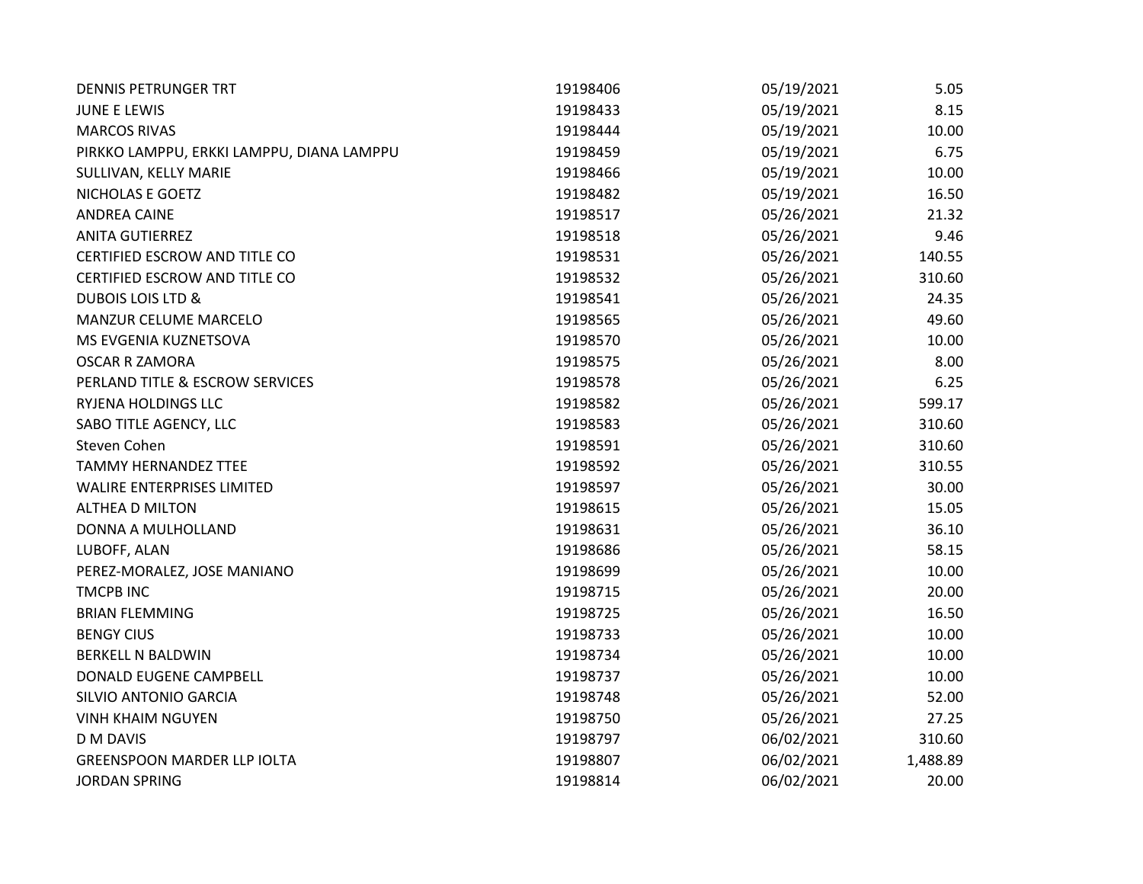| <b>DENNIS PETRUNGER TRT</b>               | 19198406 | 05/19/2021 | 5.05     |
|-------------------------------------------|----------|------------|----------|
| <b>JUNE E LEWIS</b>                       | 19198433 | 05/19/2021 | 8.15     |
| <b>MARCOS RIVAS</b>                       | 19198444 | 05/19/2021 | 10.00    |
| PIRKKO LAMPPU, ERKKI LAMPPU, DIANA LAMPPU | 19198459 | 05/19/2021 | 6.75     |
| SULLIVAN, KELLY MARIE                     | 19198466 | 05/19/2021 | 10.00    |
| NICHOLAS E GOETZ                          | 19198482 | 05/19/2021 | 16.50    |
| <b>ANDREA CAINE</b>                       | 19198517 | 05/26/2021 | 21.32    |
| <b>ANITA GUTIERREZ</b>                    | 19198518 | 05/26/2021 | 9.46     |
| CERTIFIED ESCROW AND TITLE CO             | 19198531 | 05/26/2021 | 140.55   |
| CERTIFIED ESCROW AND TITLE CO             | 19198532 | 05/26/2021 | 310.60   |
| <b>DUBOIS LOIS LTD &amp;</b>              | 19198541 | 05/26/2021 | 24.35    |
| MANZUR CELUME MARCELO                     | 19198565 | 05/26/2021 | 49.60    |
| MS EVGENIA KUZNETSOVA                     | 19198570 | 05/26/2021 | 10.00    |
| <b>OSCAR R ZAMORA</b>                     | 19198575 | 05/26/2021 | 8.00     |
| PERLAND TITLE & ESCROW SERVICES           | 19198578 | 05/26/2021 | 6.25     |
| RYJENA HOLDINGS LLC                       | 19198582 | 05/26/2021 | 599.17   |
| SABO TITLE AGENCY, LLC                    | 19198583 | 05/26/2021 | 310.60   |
| Steven Cohen                              | 19198591 | 05/26/2021 | 310.60   |
| <b>TAMMY HERNANDEZ TTEE</b>               | 19198592 | 05/26/2021 | 310.55   |
| <b>WALIRE ENTERPRISES LIMITED</b>         | 19198597 | 05/26/2021 | 30.00    |
| <b>ALTHEA D MILTON</b>                    | 19198615 | 05/26/2021 | 15.05    |
| DONNA A MULHOLLAND                        | 19198631 | 05/26/2021 | 36.10    |
| LUBOFF, ALAN                              | 19198686 | 05/26/2021 | 58.15    |
| PEREZ-MORALEZ, JOSE MANIANO               | 19198699 | 05/26/2021 | 10.00    |
| <b>TMCPB INC</b>                          | 19198715 | 05/26/2021 | 20.00    |
| <b>BRIAN FLEMMING</b>                     | 19198725 | 05/26/2021 | 16.50    |
| <b>BENGY CIUS</b>                         | 19198733 | 05/26/2021 | 10.00    |
| <b>BERKELL N BALDWIN</b>                  | 19198734 | 05/26/2021 | 10.00    |
| DONALD EUGENE CAMPBELL                    | 19198737 | 05/26/2021 | 10.00    |
| SILVIO ANTONIO GARCIA                     | 19198748 | 05/26/2021 | 52.00    |
| <b>VINH KHAIM NGUYEN</b>                  | 19198750 | 05/26/2021 | 27.25    |
| D M DAVIS                                 | 19198797 | 06/02/2021 | 310.60   |
| <b>GREENSPOON MARDER LLP IOLTA</b>        | 19198807 | 06/02/2021 | 1,488.89 |
| <b>JORDAN SPRING</b>                      | 19198814 | 06/02/2021 | 20.00    |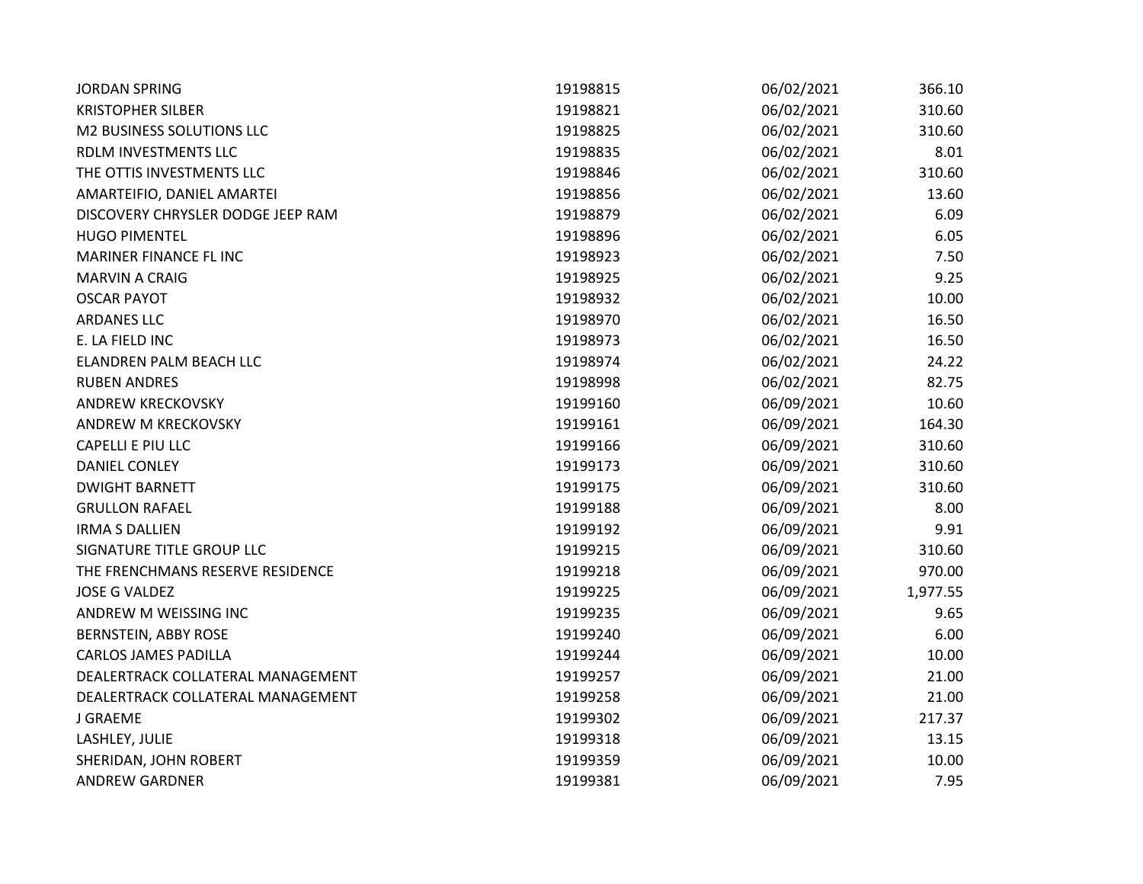| <b>JORDAN SPRING</b>              | 19198815 | 06/02/2021 | 366.10   |
|-----------------------------------|----------|------------|----------|
| <b>KRISTOPHER SILBER</b>          | 19198821 | 06/02/2021 | 310.60   |
| M2 BUSINESS SOLUTIONS LLC         | 19198825 | 06/02/2021 | 310.60   |
| RDLM INVESTMENTS LLC              | 19198835 | 06/02/2021 | 8.01     |
| THE OTTIS INVESTMENTS LLC         | 19198846 | 06/02/2021 | 310.60   |
| AMARTEIFIO, DANIEL AMARTEI        | 19198856 | 06/02/2021 | 13.60    |
| DISCOVERY CHRYSLER DODGE JEEP RAM | 19198879 | 06/02/2021 | 6.09     |
| <b>HUGO PIMENTEL</b>              | 19198896 | 06/02/2021 | 6.05     |
| MARINER FINANCE FL INC            | 19198923 | 06/02/2021 | 7.50     |
| <b>MARVIN A CRAIG</b>             | 19198925 | 06/02/2021 | 9.25     |
| <b>OSCAR PAYOT</b>                | 19198932 | 06/02/2021 | 10.00    |
| <b>ARDANES LLC</b>                | 19198970 | 06/02/2021 | 16.50    |
| E. LA FIELD INC                   | 19198973 | 06/02/2021 | 16.50    |
| ELANDREN PALM BEACH LLC           | 19198974 | 06/02/2021 | 24.22    |
| <b>RUBEN ANDRES</b>               | 19198998 | 06/02/2021 | 82.75    |
| ANDREW KRECKOVSKY                 | 19199160 | 06/09/2021 | 10.60    |
| ANDREW M KRECKOVSKY               | 19199161 | 06/09/2021 | 164.30   |
| CAPELLI E PIU LLC                 | 19199166 | 06/09/2021 | 310.60   |
| <b>DANIEL CONLEY</b>              | 19199173 | 06/09/2021 | 310.60   |
| <b>DWIGHT BARNETT</b>             | 19199175 | 06/09/2021 | 310.60   |
| <b>GRULLON RAFAEL</b>             | 19199188 | 06/09/2021 | 8.00     |
| <b>IRMA S DALLIEN</b>             | 19199192 | 06/09/2021 | 9.91     |
| SIGNATURE TITLE GROUP LLC         | 19199215 | 06/09/2021 | 310.60   |
| THE FRENCHMANS RESERVE RESIDENCE  | 19199218 | 06/09/2021 | 970.00   |
| <b>JOSE G VALDEZ</b>              | 19199225 | 06/09/2021 | 1,977.55 |
| ANDREW M WEISSING INC             | 19199235 | 06/09/2021 | 9.65     |
| <b>BERNSTEIN, ABBY ROSE</b>       | 19199240 | 06/09/2021 | 6.00     |
| <b>CARLOS JAMES PADILLA</b>       | 19199244 | 06/09/2021 | 10.00    |
| DEALERTRACK COLLATERAL MANAGEMENT | 19199257 | 06/09/2021 | 21.00    |
| DEALERTRACK COLLATERAL MANAGEMENT | 19199258 | 06/09/2021 | 21.00    |
| J GRAEME                          | 19199302 | 06/09/2021 | 217.37   |
| LASHLEY, JULIE                    | 19199318 | 06/09/2021 | 13.15    |
| SHERIDAN, JOHN ROBERT             | 19199359 | 06/09/2021 | 10.00    |
| <b>ANDREW GARDNER</b>             | 19199381 | 06/09/2021 | 7.95     |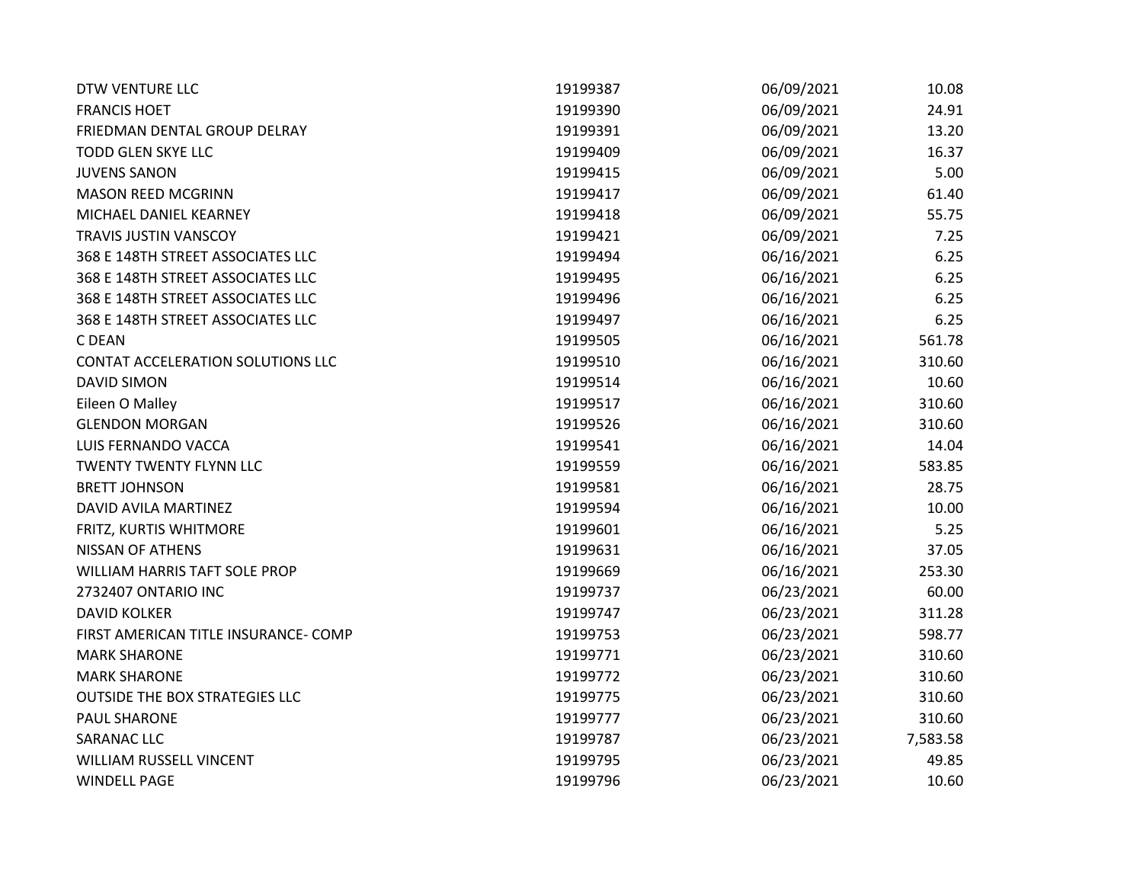| <b>DTW VENTURE LLC</b>                | 19199387 | 06/09/2021 | 10.08    |
|---------------------------------------|----------|------------|----------|
| <b>FRANCIS HOET</b>                   | 19199390 | 06/09/2021 | 24.91    |
| FRIEDMAN DENTAL GROUP DELRAY          | 19199391 | 06/09/2021 | 13.20    |
| <b>TODD GLEN SKYE LLC</b>             | 19199409 | 06/09/2021 | 16.37    |
| <b>JUVENS SANON</b>                   | 19199415 | 06/09/2021 | 5.00     |
| <b>MASON REED MCGRINN</b>             | 19199417 | 06/09/2021 | 61.40    |
| MICHAEL DANIEL KEARNEY                | 19199418 | 06/09/2021 | 55.75    |
| <b>TRAVIS JUSTIN VANSCOY</b>          | 19199421 | 06/09/2021 | 7.25     |
| 368 E 148TH STREET ASSOCIATES LLC     | 19199494 | 06/16/2021 | 6.25     |
| 368 E 148TH STREET ASSOCIATES LLC     | 19199495 | 06/16/2021 | 6.25     |
| 368 E 148TH STREET ASSOCIATES LLC     | 19199496 | 06/16/2021 | 6.25     |
| 368 E 148TH STREET ASSOCIATES LLC     | 19199497 | 06/16/2021 | 6.25     |
| C DEAN                                | 19199505 | 06/16/2021 | 561.78   |
| CONTAT ACCELERATION SOLUTIONS LLC     | 19199510 | 06/16/2021 | 310.60   |
| <b>DAVID SIMON</b>                    | 19199514 | 06/16/2021 | 10.60    |
| Eileen O Malley                       | 19199517 | 06/16/2021 | 310.60   |
| <b>GLENDON MORGAN</b>                 | 19199526 | 06/16/2021 | 310.60   |
| LUIS FERNANDO VACCA                   | 19199541 | 06/16/2021 | 14.04    |
| <b>TWENTY TWENTY FLYNN LLC</b>        | 19199559 | 06/16/2021 | 583.85   |
| <b>BRETT JOHNSON</b>                  | 19199581 | 06/16/2021 | 28.75    |
| DAVID AVILA MARTINEZ                  | 19199594 | 06/16/2021 | 10.00    |
| FRITZ, KURTIS WHITMORE                | 19199601 | 06/16/2021 | 5.25     |
| <b>NISSAN OF ATHENS</b>               | 19199631 | 06/16/2021 | 37.05    |
| WILLIAM HARRIS TAFT SOLE PROP         | 19199669 | 06/16/2021 | 253.30   |
| 2732407 ONTARIO INC                   | 19199737 | 06/23/2021 | 60.00    |
| <b>DAVID KOLKER</b>                   | 19199747 | 06/23/2021 | 311.28   |
| FIRST AMERICAN TITLE INSURANCE- COMP  | 19199753 | 06/23/2021 | 598.77   |
| <b>MARK SHARONE</b>                   | 19199771 | 06/23/2021 | 310.60   |
| <b>MARK SHARONE</b>                   | 19199772 | 06/23/2021 | 310.60   |
| <b>OUTSIDE THE BOX STRATEGIES LLC</b> | 19199775 | 06/23/2021 | 310.60   |
| <b>PAUL SHARONE</b>                   | 19199777 | 06/23/2021 | 310.60   |
| SARANAC LLC                           | 19199787 | 06/23/2021 | 7,583.58 |
| WILLIAM RUSSELL VINCENT               | 19199795 | 06/23/2021 | 49.85    |
| <b>WINDELL PAGE</b>                   | 19199796 | 06/23/2021 | 10.60    |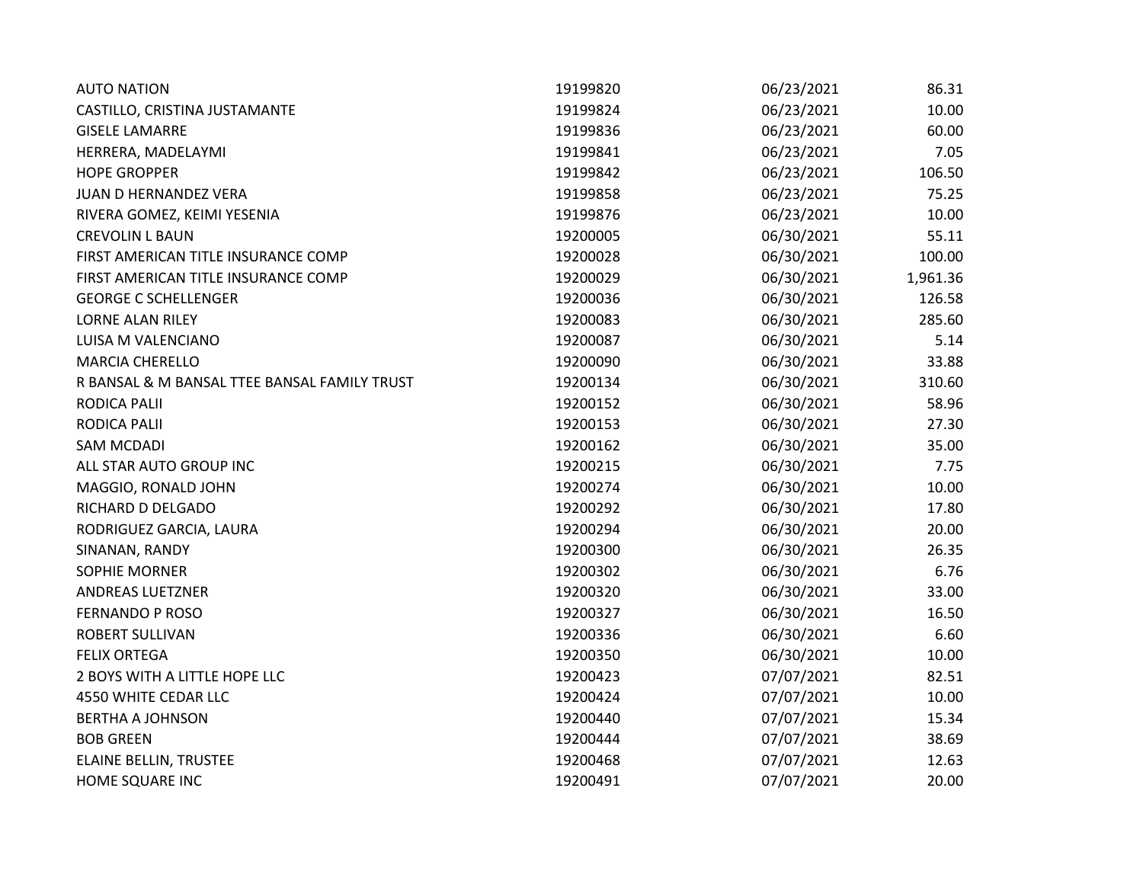| <b>AUTO NATION</b>                           | 19199820 | 06/23/2021 | 86.31    |
|----------------------------------------------|----------|------------|----------|
| CASTILLO, CRISTINA JUSTAMANTE                | 19199824 | 06/23/2021 | 10.00    |
| <b>GISELE LAMARRE</b>                        | 19199836 | 06/23/2021 | 60.00    |
| HERRERA, MADELAYMI                           | 19199841 | 06/23/2021 | 7.05     |
| <b>HOPE GROPPER</b>                          | 19199842 | 06/23/2021 | 106.50   |
| JUAN D HERNANDEZ VERA                        | 19199858 | 06/23/2021 | 75.25    |
| RIVERA GOMEZ, KEIMI YESENIA                  | 19199876 | 06/23/2021 | 10.00    |
| <b>CREVOLIN L BAUN</b>                       | 19200005 | 06/30/2021 | 55.11    |
| FIRST AMERICAN TITLE INSURANCE COMP          | 19200028 | 06/30/2021 | 100.00   |
| FIRST AMERICAN TITLE INSURANCE COMP          | 19200029 | 06/30/2021 | 1,961.36 |
| <b>GEORGE C SCHELLENGER</b>                  | 19200036 | 06/30/2021 | 126.58   |
| <b>LORNE ALAN RILEY</b>                      | 19200083 | 06/30/2021 | 285.60   |
| LUISA M VALENCIANO                           | 19200087 | 06/30/2021 | 5.14     |
| <b>MARCIA CHERELLO</b>                       | 19200090 | 06/30/2021 | 33.88    |
| R BANSAL & M BANSAL TTEE BANSAL FAMILY TRUST | 19200134 | 06/30/2021 | 310.60   |
| <b>RODICA PALII</b>                          | 19200152 | 06/30/2021 | 58.96    |
| <b>RODICA PALII</b>                          | 19200153 | 06/30/2021 | 27.30    |
| <b>SAM MCDADI</b>                            | 19200162 | 06/30/2021 | 35.00    |
| ALL STAR AUTO GROUP INC                      | 19200215 | 06/30/2021 | 7.75     |
| MAGGIO, RONALD JOHN                          | 19200274 | 06/30/2021 | 10.00    |
| RICHARD D DELGADO                            | 19200292 | 06/30/2021 | 17.80    |
| RODRIGUEZ GARCIA, LAURA                      | 19200294 | 06/30/2021 | 20.00    |
| SINANAN, RANDY                               | 19200300 | 06/30/2021 | 26.35    |
| SOPHIE MORNER                                | 19200302 | 06/30/2021 | 6.76     |
| <b>ANDREAS LUETZNER</b>                      | 19200320 | 06/30/2021 | 33.00    |
| <b>FERNANDO P ROSO</b>                       | 19200327 | 06/30/2021 | 16.50    |
| <b>ROBERT SULLIVAN</b>                       | 19200336 | 06/30/2021 | 6.60     |
| <b>FELIX ORTEGA</b>                          | 19200350 | 06/30/2021 | 10.00    |
| 2 BOYS WITH A LITTLE HOPE LLC                | 19200423 | 07/07/2021 | 82.51    |
| 4550 WHITE CEDAR LLC                         | 19200424 | 07/07/2021 | 10.00    |
| <b>BERTHA A JOHNSON</b>                      | 19200440 | 07/07/2021 | 15.34    |
| <b>BOB GREEN</b>                             | 19200444 | 07/07/2021 | 38.69    |
| ELAINE BELLIN, TRUSTEE                       | 19200468 | 07/07/2021 | 12.63    |
| HOME SQUARE INC                              | 19200491 | 07/07/2021 | 20.00    |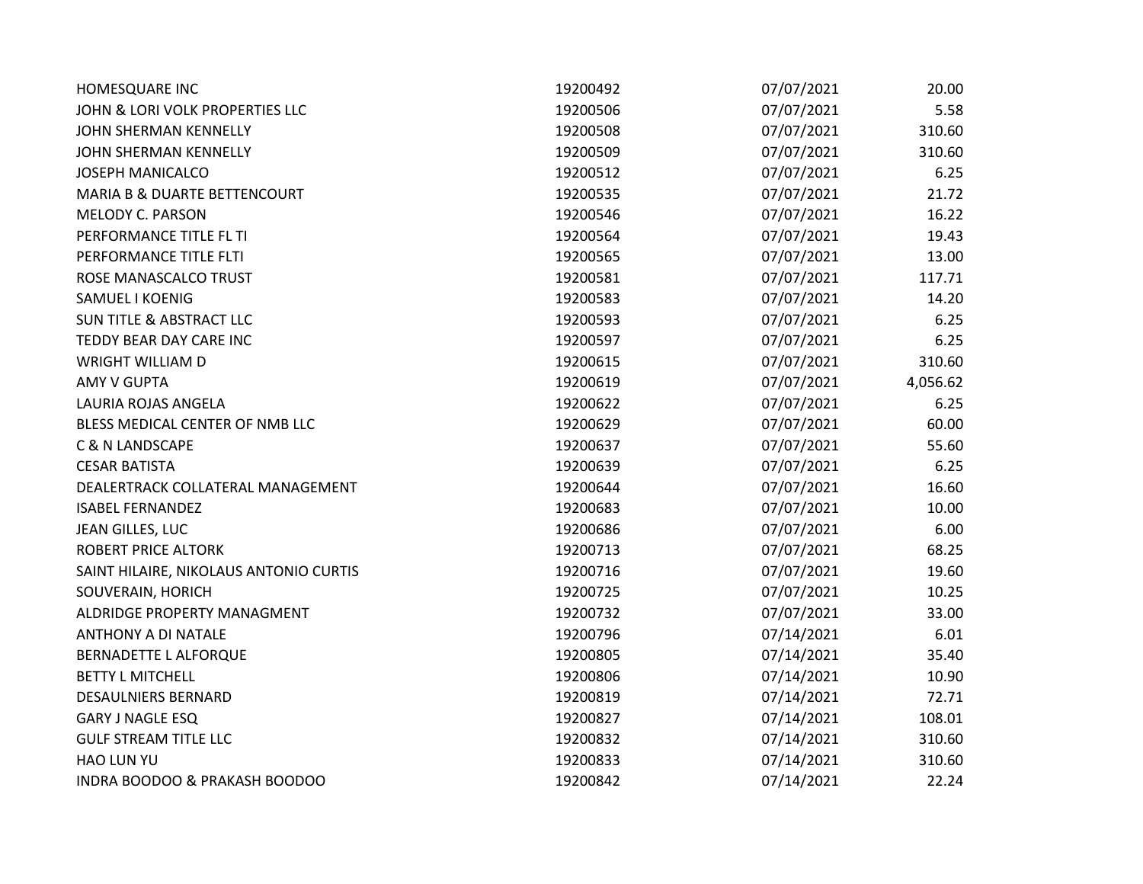| HOMESQUARE INC                          | 19200492 | 07/07/2021 | 20.00    |
|-----------------------------------------|----------|------------|----------|
| JOHN & LORI VOLK PROPERTIES LLC         | 19200506 | 07/07/2021 | 5.58     |
| JOHN SHERMAN KENNELLY                   | 19200508 | 07/07/2021 | 310.60   |
| JOHN SHERMAN KENNELLY                   | 19200509 | 07/07/2021 | 310.60   |
| <b>JOSEPH MANICALCO</b>                 | 19200512 | 07/07/2021 | 6.25     |
| <b>MARIA B &amp; DUARTE BETTENCOURT</b> | 19200535 | 07/07/2021 | 21.72    |
| <b>MELODY C. PARSON</b>                 | 19200546 | 07/07/2021 | 16.22    |
| PERFORMANCE TITLE FL TI                 | 19200564 | 07/07/2021 | 19.43    |
| PERFORMANCE TITLE FLTI                  | 19200565 | 07/07/2021 | 13.00    |
| ROSE MANASCALCO TRUST                   | 19200581 | 07/07/2021 | 117.71   |
| SAMUEL I KOENIG                         | 19200583 | 07/07/2021 | 14.20    |
| <b>SUN TITLE &amp; ABSTRACT LLC</b>     | 19200593 | 07/07/2021 | 6.25     |
| TEDDY BEAR DAY CARE INC                 | 19200597 | 07/07/2021 | 6.25     |
| <b>WRIGHT WILLIAM D</b>                 | 19200615 | 07/07/2021 | 310.60   |
| <b>AMY V GUPTA</b>                      | 19200619 | 07/07/2021 | 4,056.62 |
| LAURIA ROJAS ANGELA                     | 19200622 | 07/07/2021 | 6.25     |
| BLESS MEDICAL CENTER OF NMB LLC         | 19200629 | 07/07/2021 | 60.00    |
| <b>C &amp; N LANDSCAPE</b>              | 19200637 | 07/07/2021 | 55.60    |
| <b>CESAR BATISTA</b>                    | 19200639 | 07/07/2021 | 6.25     |
| DEALERTRACK COLLATERAL MANAGEMENT       | 19200644 | 07/07/2021 | 16.60    |
| <b>ISABEL FERNANDEZ</b>                 | 19200683 | 07/07/2021 | 10.00    |
| JEAN GILLES, LUC                        | 19200686 | 07/07/2021 | 6.00     |
| <b>ROBERT PRICE ALTORK</b>              | 19200713 | 07/07/2021 | 68.25    |
| SAINT HILAIRE, NIKOLAUS ANTONIO CURTIS  | 19200716 | 07/07/2021 | 19.60    |
| SOUVERAIN, HORICH                       | 19200725 | 07/07/2021 | 10.25    |
| ALDRIDGE PROPERTY MANAGMENT             | 19200732 | 07/07/2021 | 33.00    |
| ANTHONY A DI NATALE                     | 19200796 | 07/14/2021 | 6.01     |
| <b>BERNADETTE L ALFORQUE</b>            | 19200805 | 07/14/2021 | 35.40    |
| <b>BETTY L MITCHELL</b>                 | 19200806 | 07/14/2021 | 10.90    |
| <b>DESAULNIERS BERNARD</b>              | 19200819 | 07/14/2021 | 72.71    |
| <b>GARY J NAGLE ESQ</b>                 | 19200827 | 07/14/2021 | 108.01   |
| <b>GULF STREAM TITLE LLC</b>            | 19200832 | 07/14/2021 | 310.60   |
| <b>HAO LUN YU</b>                       | 19200833 | 07/14/2021 | 310.60   |
| INDRA BOODOO & PRAKASH BOODOO           | 19200842 | 07/14/2021 | 22.24    |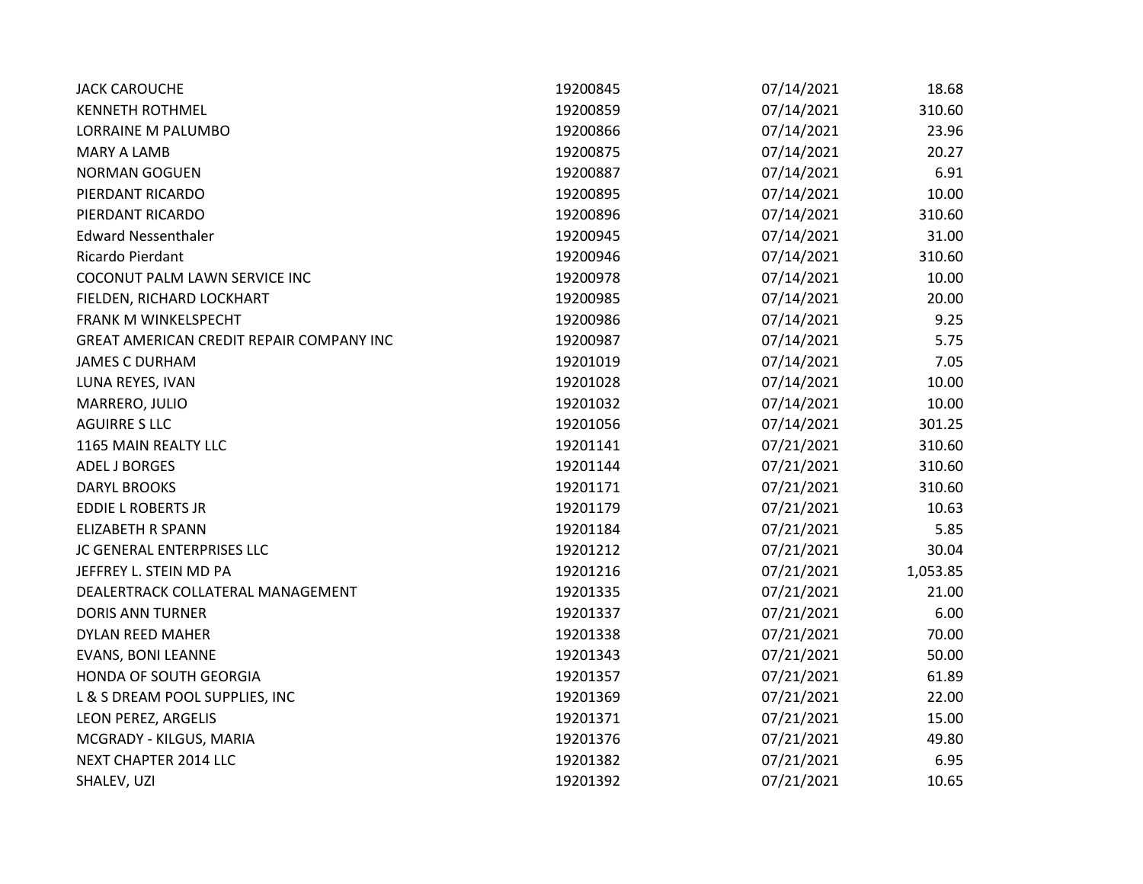| <b>JACK CAROUCHE</b>                     | 19200845 | 07/14/2021 | 18.68    |
|------------------------------------------|----------|------------|----------|
| <b>KENNETH ROTHMEL</b>                   | 19200859 | 07/14/2021 | 310.60   |
| LORRAINE M PALUMBO                       | 19200866 | 07/14/2021 | 23.96    |
| <b>MARY A LAMB</b>                       | 19200875 | 07/14/2021 | 20.27    |
| <b>NORMAN GOGUEN</b>                     | 19200887 | 07/14/2021 | 6.91     |
| PIERDANT RICARDO                         | 19200895 | 07/14/2021 | 10.00    |
| PIERDANT RICARDO                         | 19200896 | 07/14/2021 | 310.60   |
| <b>Edward Nessenthaler</b>               | 19200945 | 07/14/2021 | 31.00    |
| Ricardo Pierdant                         | 19200946 | 07/14/2021 | 310.60   |
| COCONUT PALM LAWN SERVICE INC            | 19200978 | 07/14/2021 | 10.00    |
| FIELDEN, RICHARD LOCKHART                | 19200985 | 07/14/2021 | 20.00    |
| FRANK M WINKELSPECHT                     | 19200986 | 07/14/2021 | 9.25     |
| GREAT AMERICAN CREDIT REPAIR COMPANY INC | 19200987 | 07/14/2021 | 5.75     |
| <b>JAMES C DURHAM</b>                    | 19201019 | 07/14/2021 | 7.05     |
| LUNA REYES, IVAN                         | 19201028 | 07/14/2021 | 10.00    |
| MARRERO, JULIO                           | 19201032 | 07/14/2021 | 10.00    |
| <b>AGUIRRE S LLC</b>                     | 19201056 | 07/14/2021 | 301.25   |
| 1165 MAIN REALTY LLC                     | 19201141 | 07/21/2021 | 310.60   |
| <b>ADEL J BORGES</b>                     | 19201144 | 07/21/2021 | 310.60   |
| <b>DARYL BROOKS</b>                      | 19201171 | 07/21/2021 | 310.60   |
| <b>EDDIE L ROBERTS JR</b>                | 19201179 | 07/21/2021 | 10.63    |
| <b>ELIZABETH R SPANN</b>                 | 19201184 | 07/21/2021 | 5.85     |
| JC GENERAL ENTERPRISES LLC               | 19201212 | 07/21/2021 | 30.04    |
| JEFFREY L. STEIN MD PA                   | 19201216 | 07/21/2021 | 1,053.85 |
| DEALERTRACK COLLATERAL MANAGEMENT        | 19201335 | 07/21/2021 | 21.00    |
| <b>DORIS ANN TURNER</b>                  | 19201337 | 07/21/2021 | 6.00     |
| DYLAN REED MAHER                         | 19201338 | 07/21/2021 | 70.00    |
| <b>EVANS, BONI LEANNE</b>                | 19201343 | 07/21/2021 | 50.00    |
| HONDA OF SOUTH GEORGIA                   | 19201357 | 07/21/2021 | 61.89    |
| L & S DREAM POOL SUPPLIES, INC           | 19201369 | 07/21/2021 | 22.00    |
| LEON PEREZ, ARGELIS                      | 19201371 | 07/21/2021 | 15.00    |
| MCGRADY - KILGUS, MARIA                  | 19201376 | 07/21/2021 | 49.80    |
| NEXT CHAPTER 2014 LLC                    | 19201382 | 07/21/2021 | 6.95     |
| SHALEV, UZI                              | 19201392 | 07/21/2021 | 10.65    |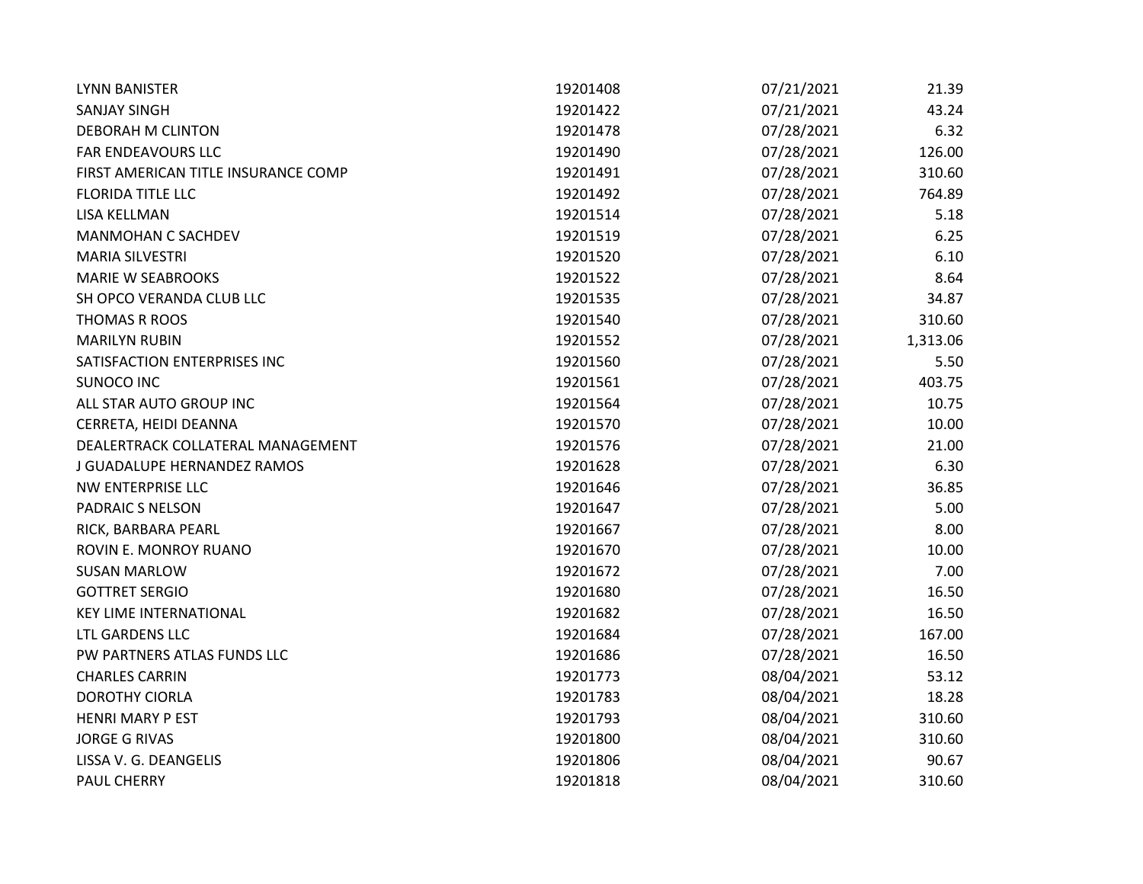| <b>LYNN BANISTER</b>                | 19201408 | 07/21/2021 | 21.39    |
|-------------------------------------|----------|------------|----------|
| <b>SANJAY SINGH</b>                 | 19201422 | 07/21/2021 | 43.24    |
| DEBORAH M CLINTON                   | 19201478 | 07/28/2021 | 6.32     |
| FAR ENDEAVOURS LLC                  | 19201490 | 07/28/2021 | 126.00   |
| FIRST AMERICAN TITLE INSURANCE COMP | 19201491 | 07/28/2021 | 310.60   |
| <b>FLORIDA TITLE LLC</b>            | 19201492 | 07/28/2021 | 764.89   |
| LISA KELLMAN                        | 19201514 | 07/28/2021 | 5.18     |
| MANMOHAN C SACHDEV                  | 19201519 | 07/28/2021 | 6.25     |
| <b>MARIA SILVESTRI</b>              | 19201520 | 07/28/2021 | 6.10     |
| <b>MARIE W SEABROOKS</b>            | 19201522 | 07/28/2021 | 8.64     |
| SH OPCO VERANDA CLUB LLC            | 19201535 | 07/28/2021 | 34.87    |
| THOMAS R ROOS                       | 19201540 | 07/28/2021 | 310.60   |
| <b>MARILYN RUBIN</b>                | 19201552 | 07/28/2021 | 1,313.06 |
| SATISFACTION ENTERPRISES INC        | 19201560 | 07/28/2021 | 5.50     |
| <b>SUNOCO INC</b>                   | 19201561 | 07/28/2021 | 403.75   |
| ALL STAR AUTO GROUP INC             | 19201564 | 07/28/2021 | 10.75    |
| CERRETA, HEIDI DEANNA               | 19201570 | 07/28/2021 | 10.00    |
| DEALERTRACK COLLATERAL MANAGEMENT   | 19201576 | 07/28/2021 | 21.00    |
| J GUADALUPE HERNANDEZ RAMOS         | 19201628 | 07/28/2021 | 6.30     |
| NW ENTERPRISE LLC                   | 19201646 | 07/28/2021 | 36.85    |
| PADRAIC S NELSON                    | 19201647 | 07/28/2021 | 5.00     |
| RICK, BARBARA PEARL                 | 19201667 | 07/28/2021 | 8.00     |
| ROVIN E. MONROY RUANO               | 19201670 | 07/28/2021 | 10.00    |
| <b>SUSAN MARLOW</b>                 | 19201672 | 07/28/2021 | 7.00     |
| <b>GOTTRET SERGIO</b>               | 19201680 | 07/28/2021 | 16.50    |
| <b>KEY LIME INTERNATIONAL</b>       | 19201682 | 07/28/2021 | 16.50    |
| LTL GARDENS LLC                     | 19201684 | 07/28/2021 | 167.00   |
| PW PARTNERS ATLAS FUNDS LLC         | 19201686 | 07/28/2021 | 16.50    |
| <b>CHARLES CARRIN</b>               | 19201773 | 08/04/2021 | 53.12    |
| <b>DOROTHY CIORLA</b>               | 19201783 | 08/04/2021 | 18.28    |
| <b>HENRI MARY P EST</b>             | 19201793 | 08/04/2021 | 310.60   |
| <b>JORGE G RIVAS</b>                | 19201800 | 08/04/2021 | 310.60   |
| LISSA V. G. DEANGELIS               | 19201806 | 08/04/2021 | 90.67    |
| PAUL CHERRY                         | 19201818 | 08/04/2021 | 310.60   |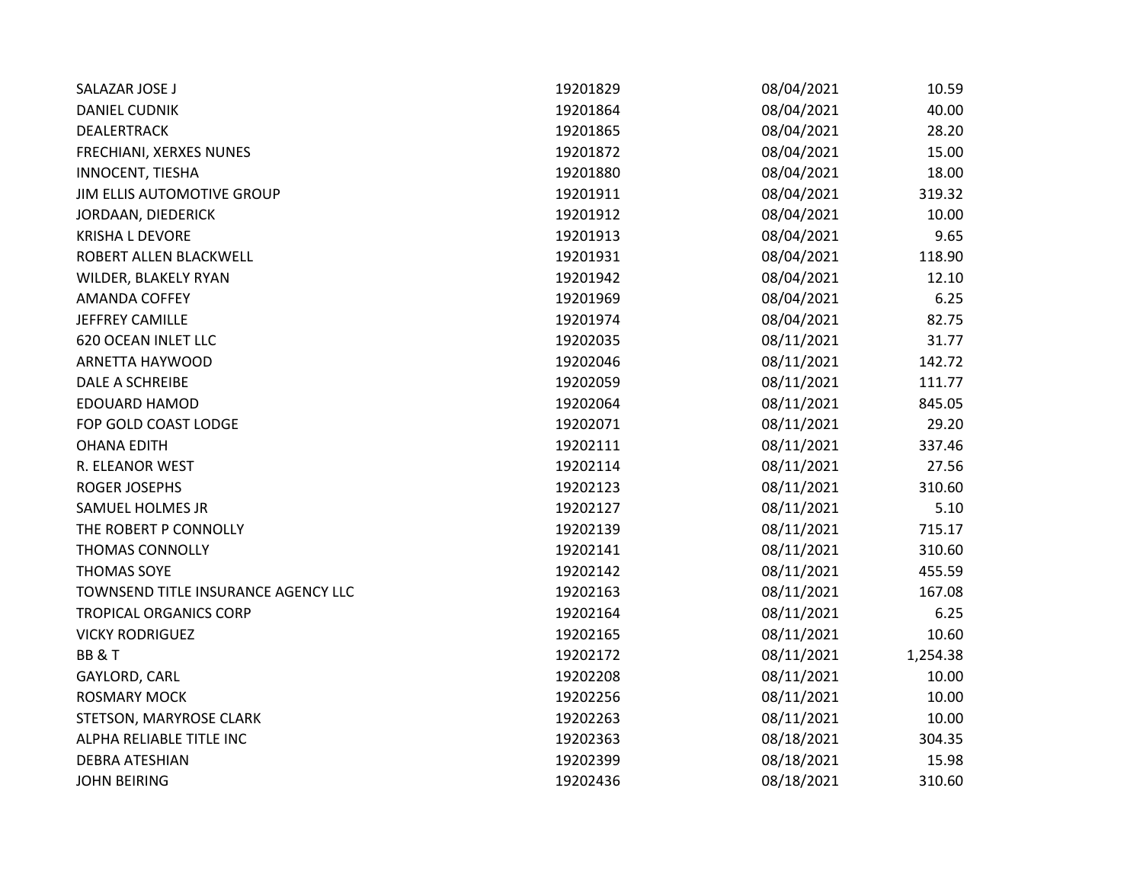| SALAZAR JOSE J                      | 19201829 | 08/04/2021 | 10.59    |
|-------------------------------------|----------|------------|----------|
| <b>DANIEL CUDNIK</b>                | 19201864 | 08/04/2021 | 40.00    |
| DEALERTRACK                         | 19201865 | 08/04/2021 | 28.20    |
| FRECHIANI, XERXES NUNES             | 19201872 | 08/04/2021 | 15.00    |
| INNOCENT, TIESHA                    | 19201880 | 08/04/2021 | 18.00    |
| JIM ELLIS AUTOMOTIVE GROUP          | 19201911 | 08/04/2021 | 319.32   |
| JORDAAN, DIEDERICK                  | 19201912 | 08/04/2021 | 10.00    |
| <b>KRISHA L DEVORE</b>              | 19201913 | 08/04/2021 | 9.65     |
| ROBERT ALLEN BLACKWELL              | 19201931 | 08/04/2021 | 118.90   |
| WILDER, BLAKELY RYAN                | 19201942 | 08/04/2021 | 12.10    |
| <b>AMANDA COFFEY</b>                | 19201969 | 08/04/2021 | 6.25     |
| <b>JEFFREY CAMILLE</b>              | 19201974 | 08/04/2021 | 82.75    |
| <b>620 OCEAN INLET LLC</b>          | 19202035 | 08/11/2021 | 31.77    |
| ARNETTA HAYWOOD                     | 19202046 | 08/11/2021 | 142.72   |
| DALE A SCHREIBE                     | 19202059 | 08/11/2021 | 111.77   |
| <b>EDOUARD HAMOD</b>                | 19202064 | 08/11/2021 | 845.05   |
| FOP GOLD COAST LODGE                | 19202071 | 08/11/2021 | 29.20    |
| <b>OHANA EDITH</b>                  | 19202111 | 08/11/2021 | 337.46   |
| R. ELEANOR WEST                     | 19202114 | 08/11/2021 | 27.56    |
| <b>ROGER JOSEPHS</b>                | 19202123 | 08/11/2021 | 310.60   |
| SAMUEL HOLMES JR                    | 19202127 | 08/11/2021 | 5.10     |
| THE ROBERT P CONNOLLY               | 19202139 | 08/11/2021 | 715.17   |
| <b>THOMAS CONNOLLY</b>              | 19202141 | 08/11/2021 | 310.60   |
| THOMAS SOYE                         | 19202142 | 08/11/2021 | 455.59   |
| TOWNSEND TITLE INSURANCE AGENCY LLC | 19202163 | 08/11/2021 | 167.08   |
| <b>TROPICAL ORGANICS CORP</b>       | 19202164 | 08/11/2021 | 6.25     |
| <b>VICKY RODRIGUEZ</b>              | 19202165 | 08/11/2021 | 10.60    |
| BB&T                                | 19202172 | 08/11/2021 | 1,254.38 |
| GAYLORD, CARL                       | 19202208 | 08/11/2021 | 10.00    |
| <b>ROSMARY MOCK</b>                 | 19202256 | 08/11/2021 | 10.00    |
| STETSON, MARYROSE CLARK             | 19202263 | 08/11/2021 | 10.00    |
| ALPHA RELIABLE TITLE INC            | 19202363 | 08/18/2021 | 304.35   |
| <b>DEBRA ATESHIAN</b>               | 19202399 | 08/18/2021 | 15.98    |
| <b>JOHN BEIRING</b>                 | 19202436 | 08/18/2021 | 310.60   |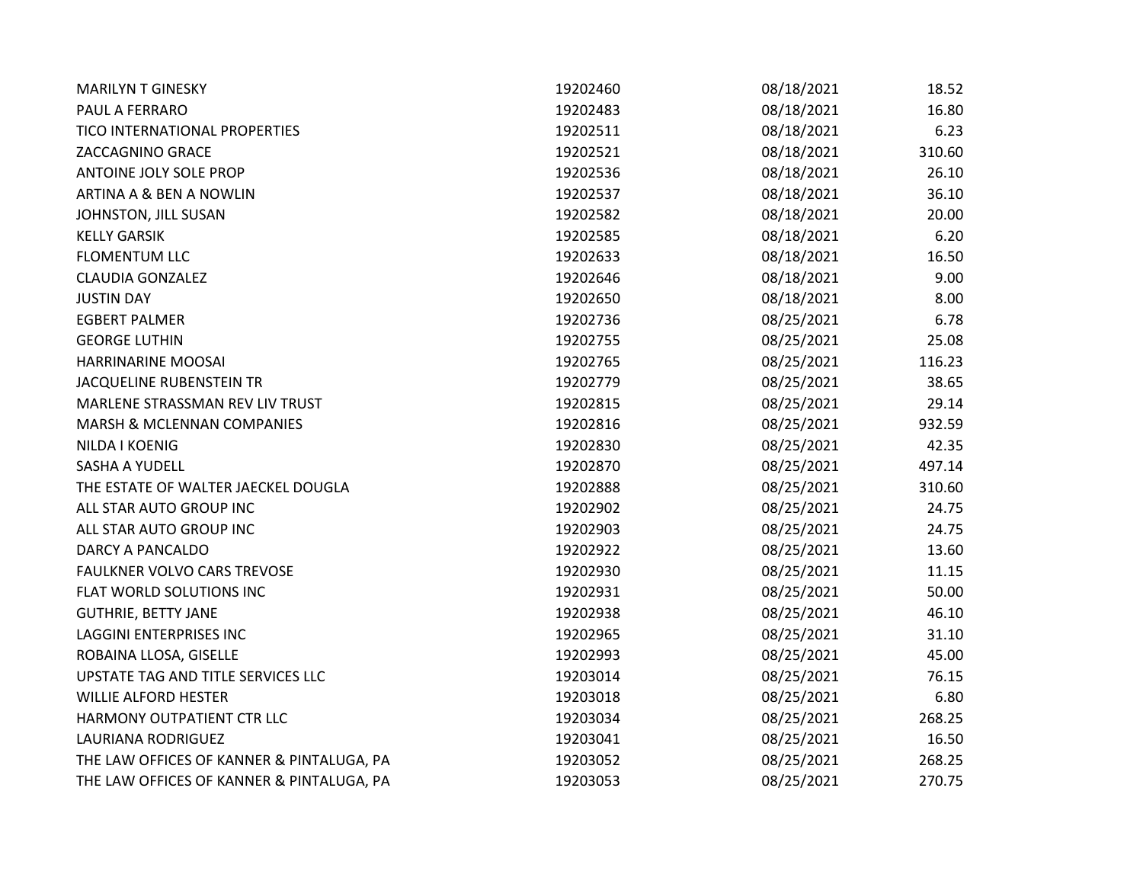| <b>MARILYN T GINESKY</b>                  | 19202460 | 08/18/2021 | 18.52  |
|-------------------------------------------|----------|------------|--------|
| PAUL A FERRARO                            | 19202483 | 08/18/2021 | 16.80  |
| TICO INTERNATIONAL PROPERTIES             | 19202511 | 08/18/2021 | 6.23   |
| ZACCAGNINO GRACE                          | 19202521 | 08/18/2021 | 310.60 |
| ANTOINE JOLY SOLE PROP                    | 19202536 | 08/18/2021 | 26.10  |
| <b>ARTINA A &amp; BEN A NOWLIN</b>        | 19202537 | 08/18/2021 | 36.10  |
| JOHNSTON, JILL SUSAN                      | 19202582 | 08/18/2021 | 20.00  |
| <b>KELLY GARSIK</b>                       | 19202585 | 08/18/2021 | 6.20   |
| <b>FLOMENTUM LLC</b>                      | 19202633 | 08/18/2021 | 16.50  |
| <b>CLAUDIA GONZALEZ</b>                   | 19202646 | 08/18/2021 | 9.00   |
| <b>JUSTIN DAY</b>                         | 19202650 | 08/18/2021 | 8.00   |
| <b>EGBERT PALMER</b>                      | 19202736 | 08/25/2021 | 6.78   |
| <b>GEORGE LUTHIN</b>                      | 19202755 | 08/25/2021 | 25.08  |
| HARRINARINE MOOSAI                        | 19202765 | 08/25/2021 | 116.23 |
| <b>JACQUELINE RUBENSTEIN TR</b>           | 19202779 | 08/25/2021 | 38.65  |
| MARLENE STRASSMAN REV LIV TRUST           | 19202815 | 08/25/2021 | 29.14  |
| <b>MARSH &amp; MCLENNAN COMPANIES</b>     | 19202816 | 08/25/2021 | 932.59 |
| NILDA I KOENIG                            | 19202830 | 08/25/2021 | 42.35  |
| <b>SASHA A YUDELL</b>                     | 19202870 | 08/25/2021 | 497.14 |
| THE ESTATE OF WALTER JAECKEL DOUGLA       | 19202888 | 08/25/2021 | 310.60 |
| ALL STAR AUTO GROUP INC                   | 19202902 | 08/25/2021 | 24.75  |
| ALL STAR AUTO GROUP INC                   | 19202903 | 08/25/2021 | 24.75  |
| DARCY A PANCALDO                          | 19202922 | 08/25/2021 | 13.60  |
| <b>FAULKNER VOLVO CARS TREVOSE</b>        | 19202930 | 08/25/2021 | 11.15  |
| FLAT WORLD SOLUTIONS INC                  | 19202931 | 08/25/2021 | 50.00  |
| <b>GUTHRIE, BETTY JANE</b>                | 19202938 | 08/25/2021 | 46.10  |
| LAGGINI ENTERPRISES INC                   | 19202965 | 08/25/2021 | 31.10  |
| ROBAINA LLOSA, GISELLE                    | 19202993 | 08/25/2021 | 45.00  |
| UPSTATE TAG AND TITLE SERVICES LLC        | 19203014 | 08/25/2021 | 76.15  |
| <b>WILLIE ALFORD HESTER</b>               | 19203018 | 08/25/2021 | 6.80   |
| HARMONY OUTPATIENT CTR LLC                | 19203034 | 08/25/2021 | 268.25 |
| LAURIANA RODRIGUEZ                        | 19203041 | 08/25/2021 | 16.50  |
| THE LAW OFFICES OF KANNER & PINTALUGA, PA | 19203052 | 08/25/2021 | 268.25 |
| THE LAW OFFICES OF KANNER & PINTALUGA, PA | 19203053 | 08/25/2021 | 270.75 |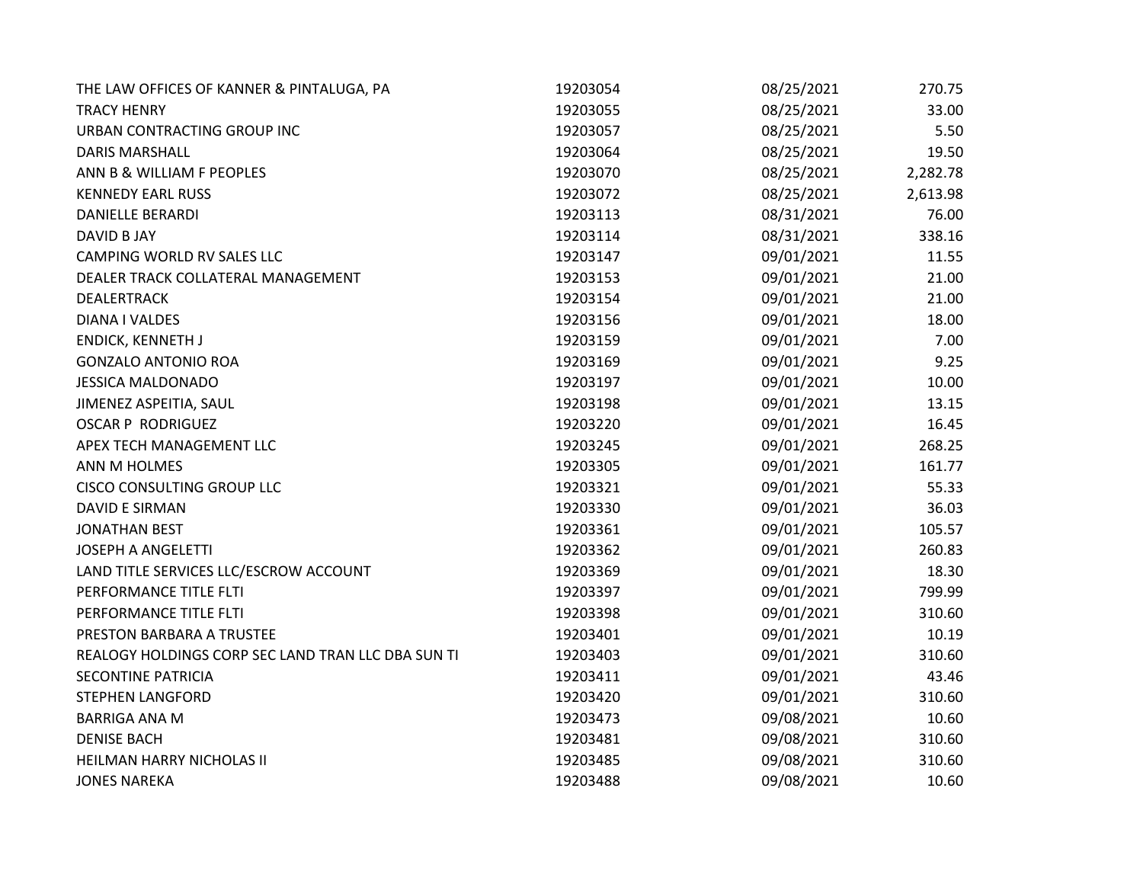| THE LAW OFFICES OF KANNER & PINTALUGA, PA          | 19203054 | 08/25/2021 | 270.75   |
|----------------------------------------------------|----------|------------|----------|
| <b>TRACY HENRY</b>                                 | 19203055 | 08/25/2021 | 33.00    |
| URBAN CONTRACTING GROUP INC                        | 19203057 | 08/25/2021 | 5.50     |
| <b>DARIS MARSHALL</b>                              | 19203064 | 08/25/2021 | 19.50    |
| ANN B & WILLIAM F PEOPLES                          | 19203070 | 08/25/2021 | 2,282.78 |
| <b>KENNEDY EARL RUSS</b>                           | 19203072 | 08/25/2021 | 2,613.98 |
| DANIELLE BERARDI                                   | 19203113 | 08/31/2021 | 76.00    |
| DAVID B JAY                                        | 19203114 | 08/31/2021 | 338.16   |
| CAMPING WORLD RV SALES LLC                         | 19203147 | 09/01/2021 | 11.55    |
| DEALER TRACK COLLATERAL MANAGEMENT                 | 19203153 | 09/01/2021 | 21.00    |
| <b>DEALERTRACK</b>                                 | 19203154 | 09/01/2021 | 21.00    |
| DIANA I VALDES                                     | 19203156 | 09/01/2021 | 18.00    |
| <b>ENDICK, KENNETH J</b>                           | 19203159 | 09/01/2021 | 7.00     |
| <b>GONZALO ANTONIO ROA</b>                         | 19203169 | 09/01/2021 | 9.25     |
| <b>JESSICA MALDONADO</b>                           | 19203197 | 09/01/2021 | 10.00    |
| JIMENEZ ASPEITIA, SAUL                             | 19203198 | 09/01/2021 | 13.15    |
| <b>OSCAR P RODRIGUEZ</b>                           | 19203220 | 09/01/2021 | 16.45    |
| APEX TECH MANAGEMENT LLC                           | 19203245 | 09/01/2021 | 268.25   |
| ANN M HOLMES                                       | 19203305 | 09/01/2021 | 161.77   |
| CISCO CONSULTING GROUP LLC                         | 19203321 | 09/01/2021 | 55.33    |
| <b>DAVID E SIRMAN</b>                              | 19203330 | 09/01/2021 | 36.03    |
| <b>JONATHAN BEST</b>                               | 19203361 | 09/01/2021 | 105.57   |
| <b>JOSEPH A ANGELETTI</b>                          | 19203362 | 09/01/2021 | 260.83   |
| LAND TITLE SERVICES LLC/ESCROW ACCOUNT             | 19203369 | 09/01/2021 | 18.30    |
| PERFORMANCE TITLE FLTI                             | 19203397 | 09/01/2021 | 799.99   |
| PERFORMANCE TITLE FLTI                             | 19203398 | 09/01/2021 | 310.60   |
| PRESTON BARBARA A TRUSTEE                          | 19203401 | 09/01/2021 | 10.19    |
| REALOGY HOLDINGS CORP SEC LAND TRAN LLC DBA SUN TI | 19203403 | 09/01/2021 | 310.60   |
| <b>SECONTINE PATRICIA</b>                          | 19203411 | 09/01/2021 | 43.46    |
| <b>STEPHEN LANGFORD</b>                            | 19203420 | 09/01/2021 | 310.60   |
| <b>BARRIGA ANA M</b>                               | 19203473 | 09/08/2021 | 10.60    |
| <b>DENISE BACH</b>                                 | 19203481 | 09/08/2021 | 310.60   |
| HEILMAN HARRY NICHOLAS II                          | 19203485 | 09/08/2021 | 310.60   |
| <b>JONES NAREKA</b>                                | 19203488 | 09/08/2021 | 10.60    |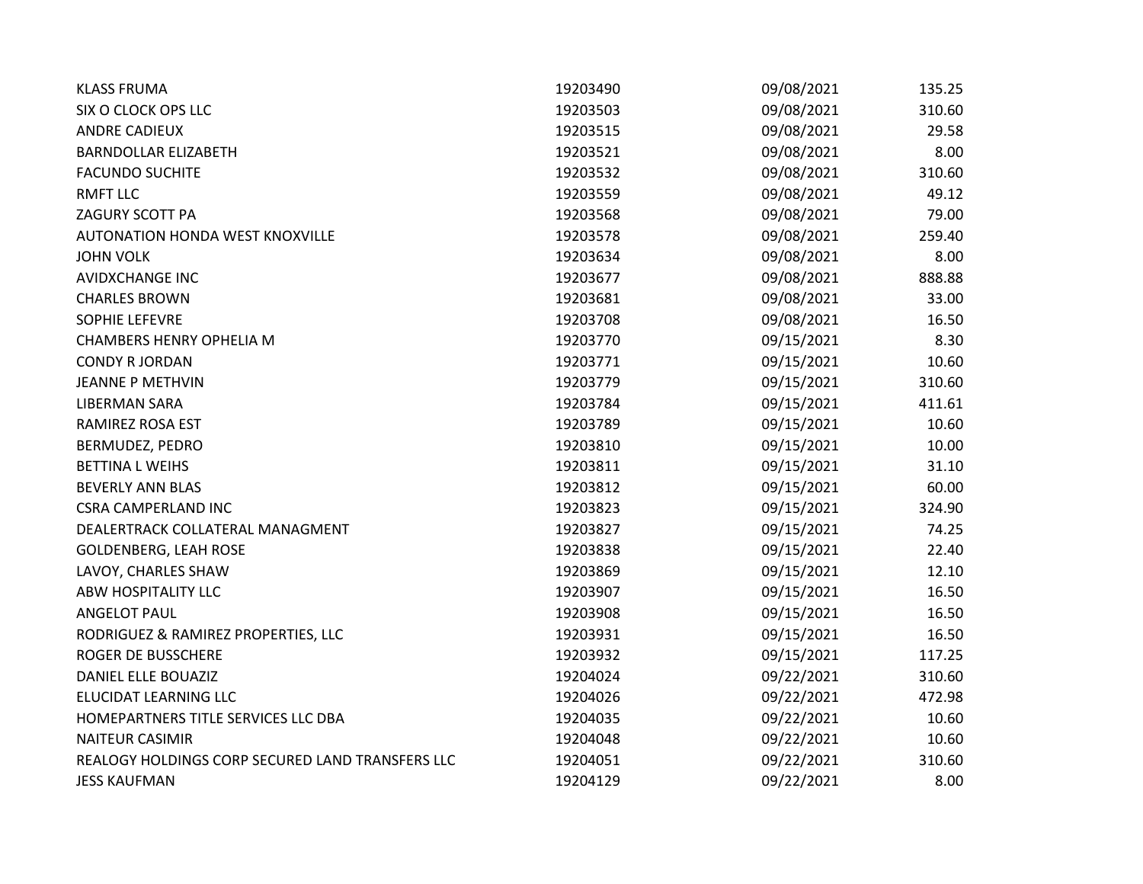| <b>KLASS FRUMA</b>                               | 19203490 | 09/08/2021 | 135.25 |
|--------------------------------------------------|----------|------------|--------|
| SIX O CLOCK OPS LLC                              | 19203503 | 09/08/2021 | 310.60 |
| <b>ANDRE CADIEUX</b>                             | 19203515 | 09/08/2021 | 29.58  |
| <b>BARNDOLLAR ELIZABETH</b>                      | 19203521 | 09/08/2021 | 8.00   |
| <b>FACUNDO SUCHITE</b>                           | 19203532 | 09/08/2021 | 310.60 |
| <b>RMFT LLC</b>                                  | 19203559 | 09/08/2021 | 49.12  |
| ZAGURY SCOTT PA                                  | 19203568 | 09/08/2021 | 79.00  |
| AUTONATION HONDA WEST KNOXVILLE                  | 19203578 | 09/08/2021 | 259.40 |
| <b>JOHN VOLK</b>                                 | 19203634 | 09/08/2021 | 8.00   |
| <b>AVIDXCHANGE INC</b>                           | 19203677 | 09/08/2021 | 888.88 |
| <b>CHARLES BROWN</b>                             | 19203681 | 09/08/2021 | 33.00  |
| SOPHIE LEFEVRE                                   | 19203708 | 09/08/2021 | 16.50  |
| <b>CHAMBERS HENRY OPHELIA M</b>                  | 19203770 | 09/15/2021 | 8.30   |
| <b>CONDY R JORDAN</b>                            | 19203771 | 09/15/2021 | 10.60  |
| <b>JEANNE P METHVIN</b>                          | 19203779 | 09/15/2021 | 310.60 |
| <b>LIBERMAN SARA</b>                             | 19203784 | 09/15/2021 | 411.61 |
| RAMIREZ ROSA EST                                 | 19203789 | 09/15/2021 | 10.60  |
| BERMUDEZ, PEDRO                                  | 19203810 | 09/15/2021 | 10.00  |
| <b>BETTINA L WEIHS</b>                           | 19203811 | 09/15/2021 | 31.10  |
| <b>BEVERLY ANN BLAS</b>                          | 19203812 | 09/15/2021 | 60.00  |
| <b>CSRA CAMPERLAND INC</b>                       | 19203823 | 09/15/2021 | 324.90 |
| DEALERTRACK COLLATERAL MANAGMENT                 | 19203827 | 09/15/2021 | 74.25  |
| <b>GOLDENBERG, LEAH ROSE</b>                     | 19203838 | 09/15/2021 | 22.40  |
| LAVOY, CHARLES SHAW                              | 19203869 | 09/15/2021 | 12.10  |
| ABW HOSPITALITY LLC                              | 19203907 | 09/15/2021 | 16.50  |
| <b>ANGELOT PAUL</b>                              | 19203908 | 09/15/2021 | 16.50  |
| RODRIGUEZ & RAMIREZ PROPERTIES, LLC              | 19203931 | 09/15/2021 | 16.50  |
| <b>ROGER DE BUSSCHERE</b>                        | 19203932 | 09/15/2021 | 117.25 |
| DANIEL ELLE BOUAZIZ                              | 19204024 | 09/22/2021 | 310.60 |
| ELUCIDAT LEARNING LLC                            | 19204026 | 09/22/2021 | 472.98 |
| HOMEPARTNERS TITLE SERVICES LLC DBA              | 19204035 | 09/22/2021 | 10.60  |
| <b>NAITEUR CASIMIR</b>                           | 19204048 | 09/22/2021 | 10.60  |
| REALOGY HOLDINGS CORP SECURED LAND TRANSFERS LLC | 19204051 | 09/22/2021 | 310.60 |
| <b>JESS KAUFMAN</b>                              | 19204129 | 09/22/2021 | 8.00   |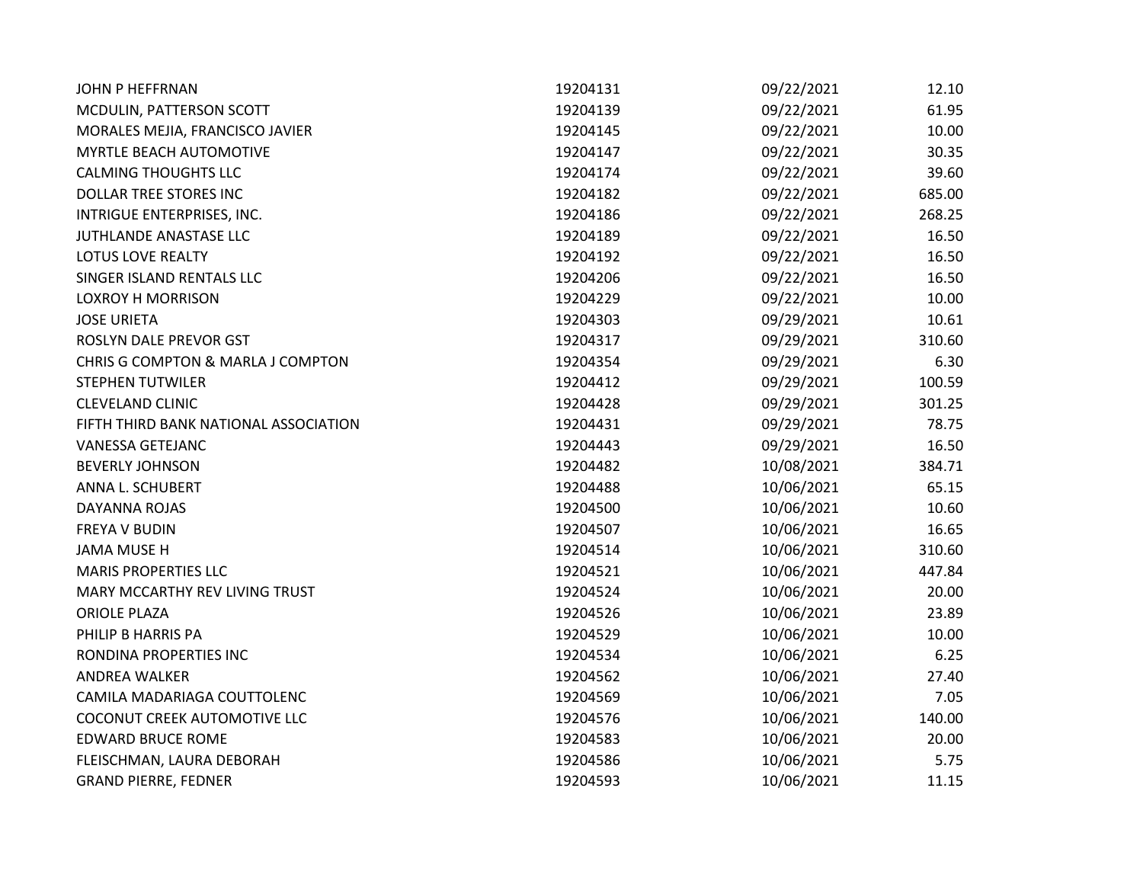| <b>JOHN P HEFFRNAN</b>                | 19204131 | 09/22/2021 | 12.10  |
|---------------------------------------|----------|------------|--------|
| MCDULIN, PATTERSON SCOTT              | 19204139 | 09/22/2021 | 61.95  |
| MORALES MEJIA, FRANCISCO JAVIER       | 19204145 | 09/22/2021 | 10.00  |
| MYRTLE BEACH AUTOMOTIVE               | 19204147 | 09/22/2021 | 30.35  |
| <b>CALMING THOUGHTS LLC</b>           | 19204174 | 09/22/2021 | 39.60  |
| DOLLAR TREE STORES INC                | 19204182 | 09/22/2021 | 685.00 |
| INTRIGUE ENTERPRISES, INC.            | 19204186 | 09/22/2021 | 268.25 |
| JUTHLANDE ANASTASE LLC                | 19204189 | 09/22/2021 | 16.50  |
| <b>LOTUS LOVE REALTY</b>              | 19204192 | 09/22/2021 | 16.50  |
| SINGER ISLAND RENTALS LLC             | 19204206 | 09/22/2021 | 16.50  |
| <b>LOXROY H MORRISON</b>              | 19204229 | 09/22/2021 | 10.00  |
| <b>JOSE URIETA</b>                    | 19204303 | 09/29/2021 | 10.61  |
| ROSLYN DALE PREVOR GST                | 19204317 | 09/29/2021 | 310.60 |
| CHRIS G COMPTON & MARLA J COMPTON     | 19204354 | 09/29/2021 | 6.30   |
| <b>STEPHEN TUTWILER</b>               | 19204412 | 09/29/2021 | 100.59 |
| <b>CLEVELAND CLINIC</b>               | 19204428 | 09/29/2021 | 301.25 |
| FIFTH THIRD BANK NATIONAL ASSOCIATION | 19204431 | 09/29/2021 | 78.75  |
| <b>VANESSA GETEJANC</b>               | 19204443 | 09/29/2021 | 16.50  |
| <b>BEVERLY JOHNSON</b>                | 19204482 | 10/08/2021 | 384.71 |
| ANNA L. SCHUBERT                      | 19204488 | 10/06/2021 | 65.15  |
| DAYANNA ROJAS                         | 19204500 | 10/06/2021 | 10.60  |
| <b>FREYA V BUDIN</b>                  | 19204507 | 10/06/2021 | 16.65  |
| <b>JAMA MUSE H</b>                    | 19204514 | 10/06/2021 | 310.60 |
| <b>MARIS PROPERTIES LLC</b>           | 19204521 | 10/06/2021 | 447.84 |
| MARY MCCARTHY REV LIVING TRUST        | 19204524 | 10/06/2021 | 20.00  |
| <b>ORIOLE PLAZA</b>                   | 19204526 | 10/06/2021 | 23.89  |
| PHILIP B HARRIS PA                    | 19204529 | 10/06/2021 | 10.00  |
| RONDINA PROPERTIES INC                | 19204534 | 10/06/2021 | 6.25   |
| <b>ANDREA WALKER</b>                  | 19204562 | 10/06/2021 | 27.40  |
| CAMILA MADARIAGA COUTTOLENC           | 19204569 | 10/06/2021 | 7.05   |
| COCONUT CREEK AUTOMOTIVE LLC          | 19204576 | 10/06/2021 | 140.00 |
| <b>EDWARD BRUCE ROME</b>              | 19204583 | 10/06/2021 | 20.00  |
| FLEISCHMAN, LAURA DEBORAH             | 19204586 | 10/06/2021 | 5.75   |
| <b>GRAND PIERRE, FEDNER</b>           | 19204593 | 10/06/2021 | 11.15  |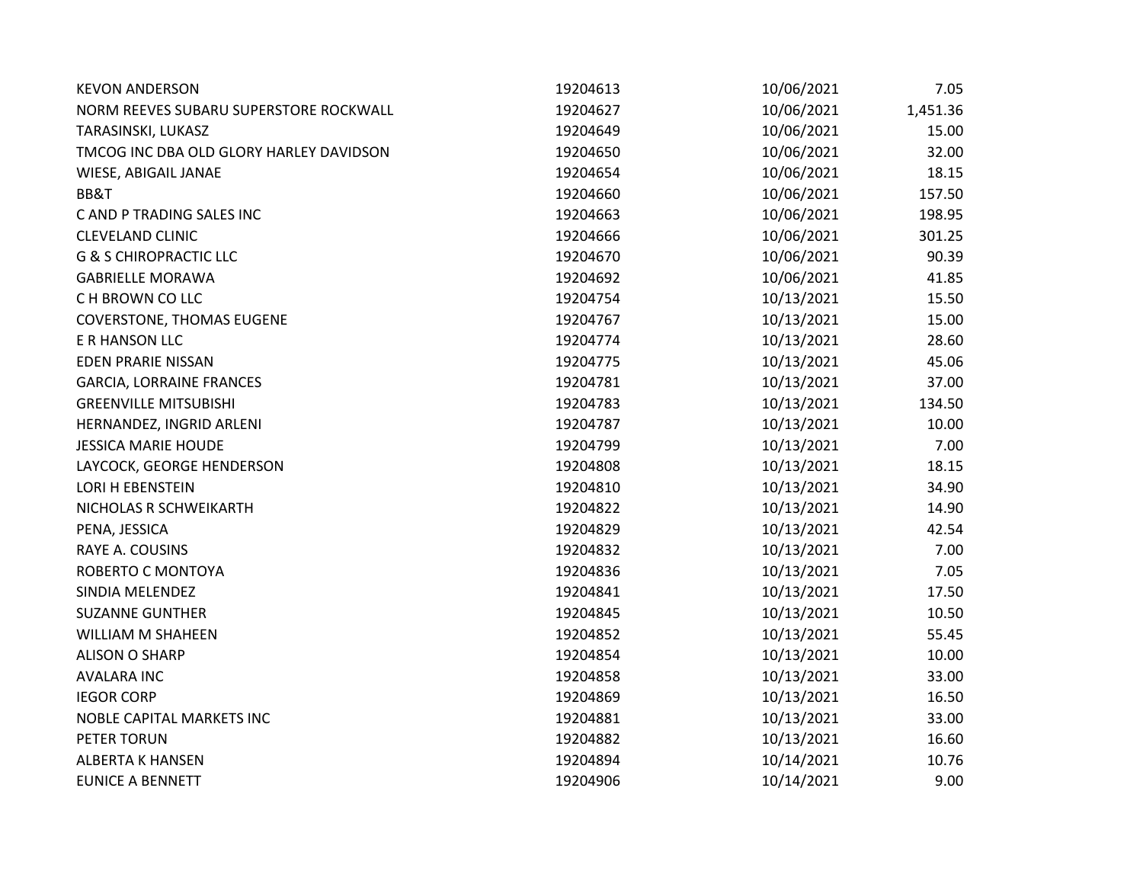| <b>KEVON ANDERSON</b>                   | 19204613 | 10/06/2021 | 7.05     |
|-----------------------------------------|----------|------------|----------|
| NORM REEVES SUBARU SUPERSTORE ROCKWALL  | 19204627 | 10/06/2021 | 1,451.36 |
| TARASINSKI, LUKASZ                      | 19204649 | 10/06/2021 | 15.00    |
| TMCOG INC DBA OLD GLORY HARLEY DAVIDSON | 19204650 | 10/06/2021 | 32.00    |
| WIESE, ABIGAIL JANAE                    | 19204654 | 10/06/2021 | 18.15    |
| BB&T                                    | 19204660 | 10/06/2021 | 157.50   |
| C AND P TRADING SALES INC               | 19204663 | 10/06/2021 | 198.95   |
| <b>CLEVELAND CLINIC</b>                 | 19204666 | 10/06/2021 | 301.25   |
| <b>G &amp; S CHIROPRACTIC LLC</b>       | 19204670 | 10/06/2021 | 90.39    |
| <b>GABRIELLE MORAWA</b>                 | 19204692 | 10/06/2021 | 41.85    |
| C H BROWN CO LLC                        | 19204754 | 10/13/2021 | 15.50    |
| <b>COVERSTONE, THOMAS EUGENE</b>        | 19204767 | 10/13/2021 | 15.00    |
| E R HANSON LLC                          | 19204774 | 10/13/2021 | 28.60    |
| <b>EDEN PRARIE NISSAN</b>               | 19204775 | 10/13/2021 | 45.06    |
| <b>GARCIA, LORRAINE FRANCES</b>         | 19204781 | 10/13/2021 | 37.00    |
| <b>GREENVILLE MITSUBISHI</b>            | 19204783 | 10/13/2021 | 134.50   |
| HERNANDEZ, INGRID ARLENI                | 19204787 | 10/13/2021 | 10.00    |
| <b>JESSICA MARIE HOUDE</b>              | 19204799 | 10/13/2021 | 7.00     |
| LAYCOCK, GEORGE HENDERSON               | 19204808 | 10/13/2021 | 18.15    |
| LORI H EBENSTEIN                        | 19204810 | 10/13/2021 | 34.90    |
| NICHOLAS R SCHWEIKARTH                  | 19204822 | 10/13/2021 | 14.90    |
| PENA, JESSICA                           | 19204829 | 10/13/2021 | 42.54    |
| RAYE A. COUSINS                         | 19204832 | 10/13/2021 | 7.00     |
| ROBERTO C MONTOYA                       | 19204836 | 10/13/2021 | 7.05     |
| SINDIA MELENDEZ                         | 19204841 | 10/13/2021 | 17.50    |
| <b>SUZANNE GUNTHER</b>                  | 19204845 | 10/13/2021 | 10.50    |
| WILLIAM M SHAHEEN                       | 19204852 | 10/13/2021 | 55.45    |
| <b>ALISON O SHARP</b>                   | 19204854 | 10/13/2021 | 10.00    |
| <b>AVALARA INC</b>                      | 19204858 | 10/13/2021 | 33.00    |
| <b>IEGOR CORP</b>                       | 19204869 | 10/13/2021 | 16.50    |
| NOBLE CAPITAL MARKETS INC               | 19204881 | 10/13/2021 | 33.00    |
| PETER TORUN                             | 19204882 | 10/13/2021 | 16.60    |
| <b>ALBERTA K HANSEN</b>                 | 19204894 | 10/14/2021 | 10.76    |
| <b>EUNICE A BENNETT</b>                 | 19204906 | 10/14/2021 | 9.00     |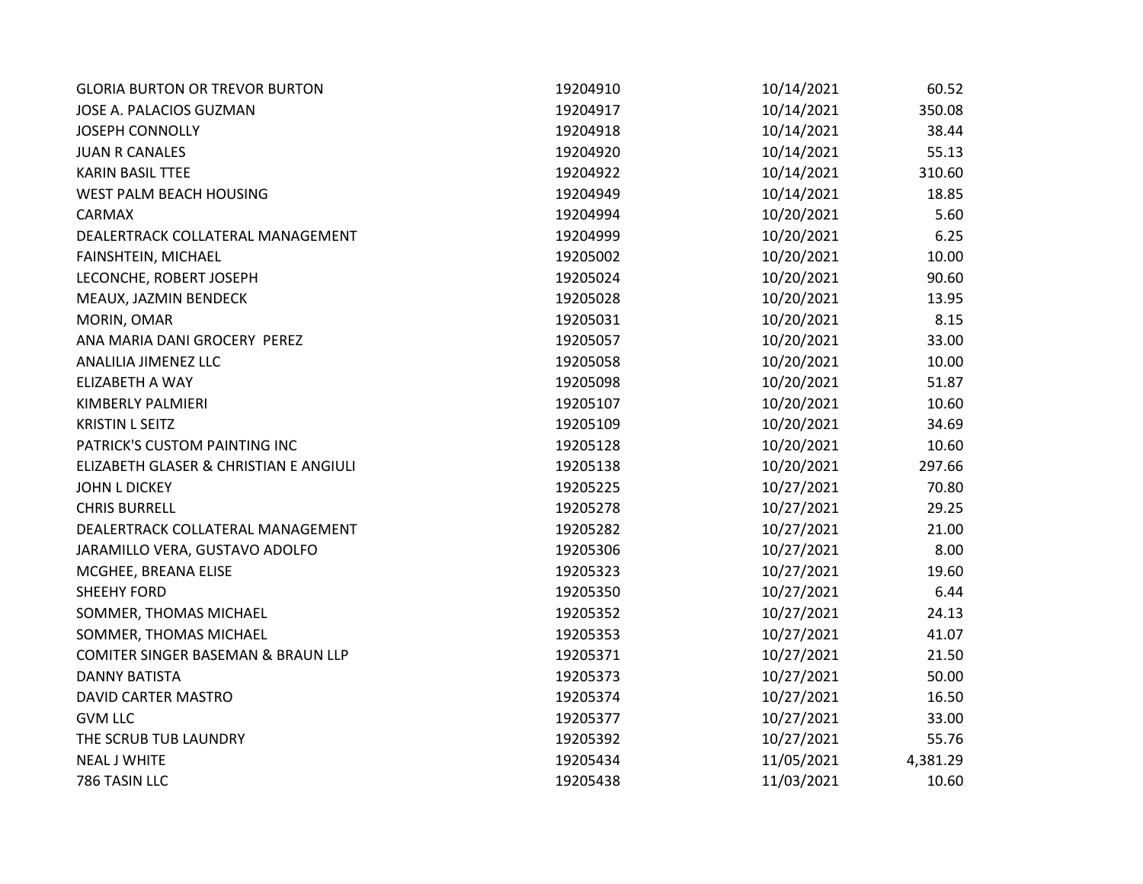| <b>GLORIA BURTON OR TREVOR BURTON</b>  | 19204910 | 10/14/2021 | 60.52    |
|----------------------------------------|----------|------------|----------|
| JOSE A. PALACIOS GUZMAN                | 19204917 | 10/14/2021 | 350.08   |
| <b>JOSEPH CONNOLLY</b>                 | 19204918 | 10/14/2021 | 38.44    |
| <b>JUAN R CANALES</b>                  | 19204920 | 10/14/2021 | 55.13    |
| <b>KARIN BASIL TTEE</b>                | 19204922 | 10/14/2021 | 310.60   |
| WEST PALM BEACH HOUSING                | 19204949 | 10/14/2021 | 18.85    |
| CARMAX                                 | 19204994 | 10/20/2021 | 5.60     |
| DEALERTRACK COLLATERAL MANAGEMENT      | 19204999 | 10/20/2021 | 6.25     |
| FAINSHTEIN, MICHAEL                    | 19205002 | 10/20/2021 | 10.00    |
| LECONCHE, ROBERT JOSEPH                | 19205024 | 10/20/2021 | 90.60    |
| MEAUX, JAZMIN BENDECK                  | 19205028 | 10/20/2021 | 13.95    |
| MORIN, OMAR                            | 19205031 | 10/20/2021 | 8.15     |
| ANA MARIA DANI GROCERY PEREZ           | 19205057 | 10/20/2021 | 33.00    |
| ANALILIA JIMENEZ LLC                   | 19205058 | 10/20/2021 | 10.00    |
| ELIZABETH A WAY                        | 19205098 | 10/20/2021 | 51.87    |
| KIMBERLY PALMIERI                      | 19205107 | 10/20/2021 | 10.60    |
| <b>KRISTIN L SEITZ</b>                 | 19205109 | 10/20/2021 | 34.69    |
| PATRICK'S CUSTOM PAINTING INC          | 19205128 | 10/20/2021 | 10.60    |
| ELIZABETH GLASER & CHRISTIAN E ANGIULI | 19205138 | 10/20/2021 | 297.66   |
| <b>JOHN L DICKEY</b>                   | 19205225 | 10/27/2021 | 70.80    |
| <b>CHRIS BURRELL</b>                   | 19205278 | 10/27/2021 | 29.25    |
| DEALERTRACK COLLATERAL MANAGEMENT      | 19205282 | 10/27/2021 | 21.00    |
| JARAMILLO VERA, GUSTAVO ADOLFO         | 19205306 | 10/27/2021 | 8.00     |
| MCGHEE, BREANA ELISE                   | 19205323 | 10/27/2021 | 19.60    |
| <b>SHEEHY FORD</b>                     | 19205350 | 10/27/2021 | 6.44     |
| SOMMER, THOMAS MICHAEL                 | 19205352 | 10/27/2021 | 24.13    |
| SOMMER, THOMAS MICHAEL                 | 19205353 | 10/27/2021 | 41.07    |
| COMITER SINGER BASEMAN & BRAUN LLP     | 19205371 | 10/27/2021 | 21.50    |
| <b>DANNY BATISTA</b>                   | 19205373 | 10/27/2021 | 50.00    |
| DAVID CARTER MASTRO                    | 19205374 | 10/27/2021 | 16.50    |
| <b>GVM LLC</b>                         | 19205377 | 10/27/2021 | 33.00    |
| THE SCRUB TUB LAUNDRY                  | 19205392 | 10/27/2021 | 55.76    |
| <b>NEAL J WHITE</b>                    | 19205434 | 11/05/2021 | 4,381.29 |
| 786 TASIN LLC                          | 19205438 | 11/03/2021 | 10.60    |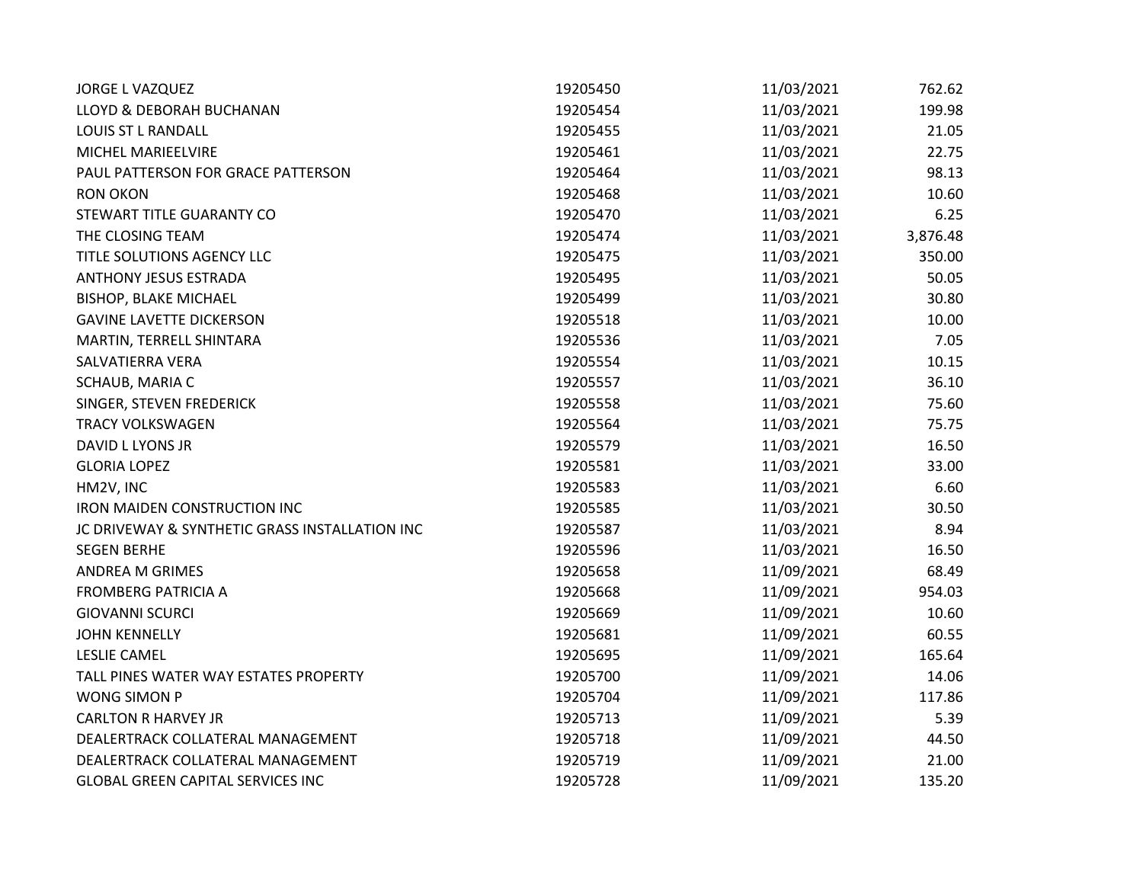| <b>JORGE L VAZQUEZ</b>                         | 19205450 | 11/03/2021 | 762.62   |
|------------------------------------------------|----------|------------|----------|
| LLOYD & DEBORAH BUCHANAN                       | 19205454 | 11/03/2021 | 199.98   |
| <b>LOUIS ST L RANDALL</b>                      | 19205455 | 11/03/2021 | 21.05    |
| MICHEL MARIEELVIRE                             | 19205461 | 11/03/2021 | 22.75    |
| PAUL PATTERSON FOR GRACE PATTERSON             | 19205464 | 11/03/2021 | 98.13    |
| <b>RON OKON</b>                                | 19205468 | 11/03/2021 | 10.60    |
| STEWART TITLE GUARANTY CO                      | 19205470 | 11/03/2021 | 6.25     |
| THE CLOSING TEAM                               | 19205474 | 11/03/2021 | 3,876.48 |
| TITLE SOLUTIONS AGENCY LLC                     | 19205475 | 11/03/2021 | 350.00   |
| <b>ANTHONY JESUS ESTRADA</b>                   | 19205495 | 11/03/2021 | 50.05    |
| <b>BISHOP, BLAKE MICHAEL</b>                   | 19205499 | 11/03/2021 | 30.80    |
| <b>GAVINE LAVETTE DICKERSON</b>                | 19205518 | 11/03/2021 | 10.00    |
| MARTIN, TERRELL SHINTARA                       | 19205536 | 11/03/2021 | 7.05     |
| SALVATIERRA VERA                               | 19205554 | 11/03/2021 | 10.15    |
| SCHAUB, MARIA C                                | 19205557 | 11/03/2021 | 36.10    |
| SINGER, STEVEN FREDERICK                       | 19205558 | 11/03/2021 | 75.60    |
| <b>TRACY VOLKSWAGEN</b>                        | 19205564 | 11/03/2021 | 75.75    |
| DAVID L LYONS JR                               | 19205579 | 11/03/2021 | 16.50    |
| <b>GLORIA LOPEZ</b>                            | 19205581 | 11/03/2021 | 33.00    |
| HM2V, INC                                      | 19205583 | 11/03/2021 | 6.60     |
| <b>IRON MAIDEN CONSTRUCTION INC</b>            | 19205585 | 11/03/2021 | 30.50    |
| JC DRIVEWAY & SYNTHETIC GRASS INSTALLATION INC | 19205587 | 11/03/2021 | 8.94     |
| <b>SEGEN BERHE</b>                             | 19205596 | 11/03/2021 | 16.50    |
| ANDREA M GRIMES                                | 19205658 | 11/09/2021 | 68.49    |
| <b>FROMBERG PATRICIA A</b>                     | 19205668 | 11/09/2021 | 954.03   |
| <b>GIOVANNI SCURCI</b>                         | 19205669 | 11/09/2021 | 10.60    |
| <b>JOHN KENNELLY</b>                           | 19205681 | 11/09/2021 | 60.55    |
| <b>LESLIE CAMEL</b>                            | 19205695 | 11/09/2021 | 165.64   |
| TALL PINES WATER WAY ESTATES PROPERTY          | 19205700 | 11/09/2021 | 14.06    |
| WONG SIMON P                                   | 19205704 | 11/09/2021 | 117.86   |
| <b>CARLTON R HARVEY JR</b>                     | 19205713 | 11/09/2021 | 5.39     |
| DEALERTRACK COLLATERAL MANAGEMENT              | 19205718 | 11/09/2021 | 44.50    |
| DEALERTRACK COLLATERAL MANAGEMENT              | 19205719 | 11/09/2021 | 21.00    |
| <b>GLOBAL GREEN CAPITAL SERVICES INC</b>       | 19205728 | 11/09/2021 | 135.20   |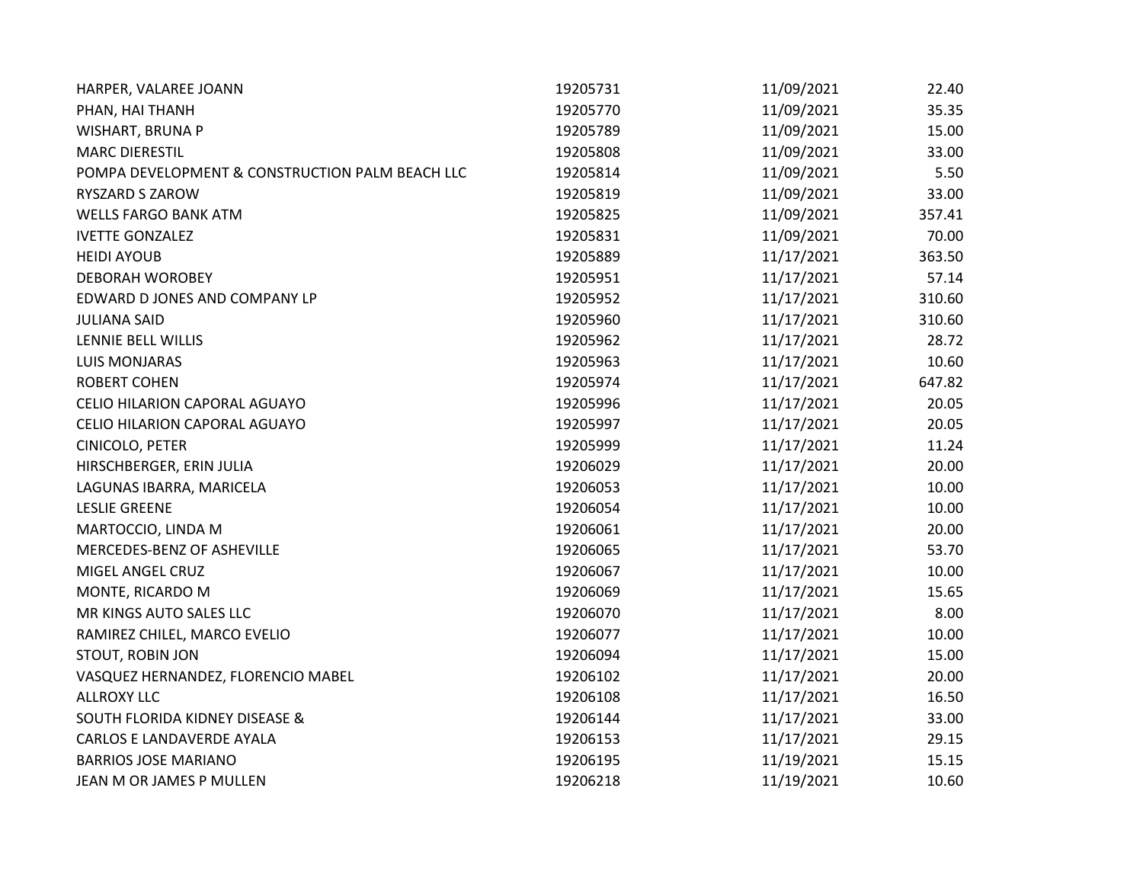| HARPER, VALAREE JOANN                           | 19205731 | 11/09/2021 | 22.40  |
|-------------------------------------------------|----------|------------|--------|
| PHAN, HAI THANH                                 | 19205770 | 11/09/2021 | 35.35  |
| WISHART, BRUNA P                                | 19205789 | 11/09/2021 | 15.00  |
| <b>MARC DIERESTIL</b>                           | 19205808 | 11/09/2021 | 33.00  |
| POMPA DEVELOPMENT & CONSTRUCTION PALM BEACH LLC | 19205814 | 11/09/2021 | 5.50   |
| RYSZARD S ZAROW                                 | 19205819 | 11/09/2021 | 33.00  |
| <b>WELLS FARGO BANK ATM</b>                     | 19205825 | 11/09/2021 | 357.41 |
| <b>IVETTE GONZALEZ</b>                          | 19205831 | 11/09/2021 | 70.00  |
| <b>HEIDI AYOUB</b>                              | 19205889 | 11/17/2021 | 363.50 |
| <b>DEBORAH WOROBEY</b>                          | 19205951 | 11/17/2021 | 57.14  |
| EDWARD D JONES AND COMPANY LP                   | 19205952 | 11/17/2021 | 310.60 |
| <b>JULIANA SAID</b>                             | 19205960 | 11/17/2021 | 310.60 |
| LENNIE BELL WILLIS                              | 19205962 | 11/17/2021 | 28.72  |
| <b>LUIS MONJARAS</b>                            | 19205963 | 11/17/2021 | 10.60  |
| <b>ROBERT COHEN</b>                             | 19205974 | 11/17/2021 | 647.82 |
| CELIO HILARION CAPORAL AGUAYO                   | 19205996 | 11/17/2021 | 20.05  |
| CELIO HILARION CAPORAL AGUAYO                   | 19205997 | 11/17/2021 | 20.05  |
| CINICOLO, PETER                                 | 19205999 | 11/17/2021 | 11.24  |
| HIRSCHBERGER, ERIN JULIA                        | 19206029 | 11/17/2021 | 20.00  |
| LAGUNAS IBARRA, MARICELA                        | 19206053 | 11/17/2021 | 10.00  |
| <b>LESLIE GREENE</b>                            | 19206054 | 11/17/2021 | 10.00  |
| MARTOCCIO, LINDA M                              | 19206061 | 11/17/2021 | 20.00  |
| MERCEDES-BENZ OF ASHEVILLE                      | 19206065 | 11/17/2021 | 53.70  |
| MIGEL ANGEL CRUZ                                | 19206067 | 11/17/2021 | 10.00  |
| MONTE, RICARDO M                                | 19206069 | 11/17/2021 | 15.65  |
| MR KINGS AUTO SALES LLC                         | 19206070 | 11/17/2021 | 8.00   |
| RAMIREZ CHILEL, MARCO EVELIO                    | 19206077 | 11/17/2021 | 10.00  |
| STOUT, ROBIN JON                                | 19206094 | 11/17/2021 | 15.00  |
| VASQUEZ HERNANDEZ, FLORENCIO MABEL              | 19206102 | 11/17/2021 | 20.00  |
| <b>ALLROXY LLC</b>                              | 19206108 | 11/17/2021 | 16.50  |
| <b>SOUTH FLORIDA KIDNEY DISEASE &amp;</b>       | 19206144 | 11/17/2021 | 33.00  |
| CARLOS E LANDAVERDE AYALA                       | 19206153 | 11/17/2021 | 29.15  |
| <b>BARRIOS JOSE MARIANO</b>                     | 19206195 | 11/19/2021 | 15.15  |
| JEAN M OR JAMES P MULLEN                        | 19206218 | 11/19/2021 | 10.60  |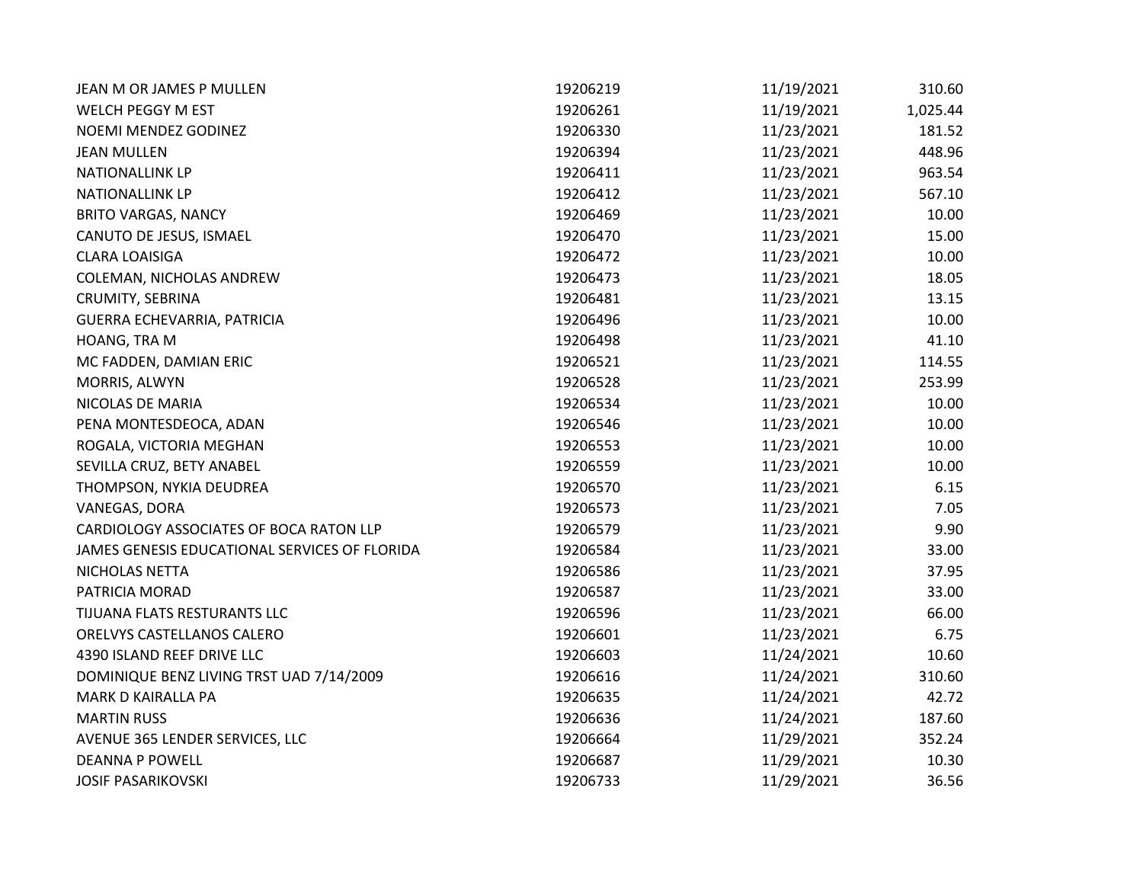| JEAN M OR JAMES P MULLEN                      | 19206219 | 11/19/2021 | 310.60   |
|-----------------------------------------------|----------|------------|----------|
| WELCH PEGGY M EST                             | 19206261 | 11/19/2021 | 1,025.44 |
| NOEMI MENDEZ GODINEZ                          | 19206330 | 11/23/2021 | 181.52   |
| <b>JEAN MULLEN</b>                            | 19206394 | 11/23/2021 | 448.96   |
| <b>NATIONALLINK LP</b>                        | 19206411 | 11/23/2021 | 963.54   |
| <b>NATIONALLINK LP</b>                        | 19206412 | 11/23/2021 | 567.10   |
| <b>BRITO VARGAS, NANCY</b>                    | 19206469 | 11/23/2021 | 10.00    |
| CANUTO DE JESUS, ISMAEL                       | 19206470 | 11/23/2021 | 15.00    |
| <b>CLARA LOAISIGA</b>                         | 19206472 | 11/23/2021 | 10.00    |
| COLEMAN, NICHOLAS ANDREW                      | 19206473 | 11/23/2021 | 18.05    |
| CRUMITY, SEBRINA                              | 19206481 | 11/23/2021 | 13.15    |
| GUERRA ECHEVARRIA, PATRICIA                   | 19206496 | 11/23/2021 | 10.00    |
| HOANG, TRA M                                  | 19206498 | 11/23/2021 | 41.10    |
| MC FADDEN, DAMIAN ERIC                        | 19206521 | 11/23/2021 | 114.55   |
| MORRIS, ALWYN                                 | 19206528 | 11/23/2021 | 253.99   |
| NICOLAS DE MARIA                              | 19206534 | 11/23/2021 | 10.00    |
| PENA MONTESDEOCA, ADAN                        | 19206546 | 11/23/2021 | 10.00    |
| ROGALA, VICTORIA MEGHAN                       | 19206553 | 11/23/2021 | 10.00    |
| SEVILLA CRUZ, BETY ANABEL                     | 19206559 | 11/23/2021 | 10.00    |
| THOMPSON, NYKIA DEUDREA                       | 19206570 | 11/23/2021 | 6.15     |
| VANEGAS, DORA                                 | 19206573 | 11/23/2021 | 7.05     |
| CARDIOLOGY ASSOCIATES OF BOCA RATON LLP       | 19206579 | 11/23/2021 | 9.90     |
| JAMES GENESIS EDUCATIONAL SERVICES OF FLORIDA | 19206584 | 11/23/2021 | 33.00    |
| NICHOLAS NETTA                                | 19206586 | 11/23/2021 | 37.95    |
| PATRICIA MORAD                                | 19206587 | 11/23/2021 | 33.00    |
| TIJUANA FLATS RESTURANTS LLC                  | 19206596 | 11/23/2021 | 66.00    |
| ORELVYS CASTELLANOS CALERO                    | 19206601 | 11/23/2021 | 6.75     |
| 4390 ISLAND REEF DRIVE LLC                    | 19206603 | 11/24/2021 | 10.60    |
| DOMINIQUE BENZ LIVING TRST UAD 7/14/2009      | 19206616 | 11/24/2021 | 310.60   |
| MARK D KAIRALLA PA                            | 19206635 | 11/24/2021 | 42.72    |
| <b>MARTIN RUSS</b>                            | 19206636 | 11/24/2021 | 187.60   |
| AVENUE 365 LENDER SERVICES, LLC               | 19206664 | 11/29/2021 | 352.24   |
| <b>DEANNA P POWELL</b>                        | 19206687 | 11/29/2021 | 10.30    |
| <b>JOSIF PASARIKOVSKI</b>                     | 19206733 | 11/29/2021 | 36.56    |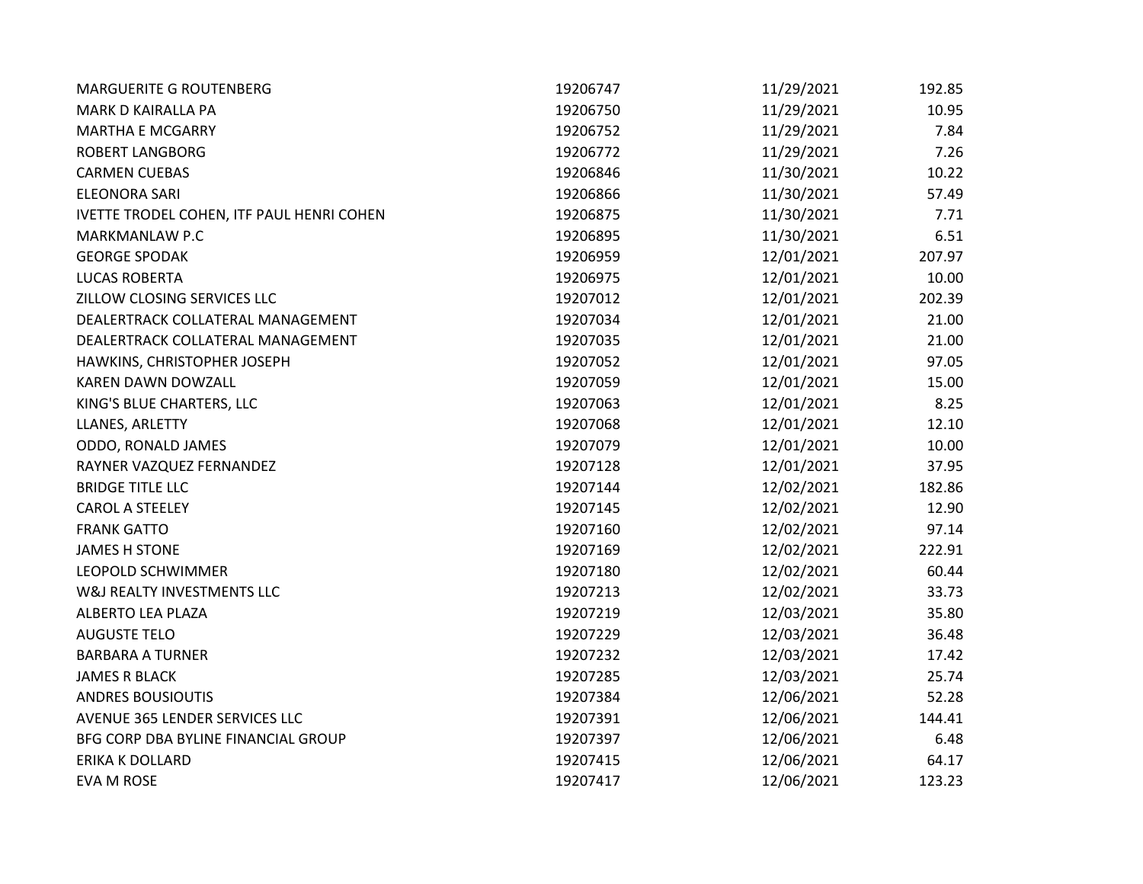| <b>MARGUERITE G ROUTENBERG</b>            | 19206747 | 11/29/2021 | 192.85 |
|-------------------------------------------|----------|------------|--------|
| MARK D KAIRALLA PA                        | 19206750 | 11/29/2021 | 10.95  |
| <b>MARTHA E MCGARRY</b>                   | 19206752 | 11/29/2021 | 7.84   |
| <b>ROBERT LANGBORG</b>                    | 19206772 | 11/29/2021 | 7.26   |
| <b>CARMEN CUEBAS</b>                      | 19206846 | 11/30/2021 | 10.22  |
| <b>ELEONORA SARI</b>                      | 19206866 | 11/30/2021 | 57.49  |
| IVETTE TRODEL COHEN, ITF PAUL HENRI COHEN | 19206875 | 11/30/2021 | 7.71   |
| MARKMANLAW P.C                            | 19206895 | 11/30/2021 | 6.51   |
| <b>GEORGE SPODAK</b>                      | 19206959 | 12/01/2021 | 207.97 |
| <b>LUCAS ROBERTA</b>                      | 19206975 | 12/01/2021 | 10.00  |
| ZILLOW CLOSING SERVICES LLC               | 19207012 | 12/01/2021 | 202.39 |
| DEALERTRACK COLLATERAL MANAGEMENT         | 19207034 | 12/01/2021 | 21.00  |
| DEALERTRACK COLLATERAL MANAGEMENT         | 19207035 | 12/01/2021 | 21.00  |
| HAWKINS, CHRISTOPHER JOSEPH               | 19207052 | 12/01/2021 | 97.05  |
| KAREN DAWN DOWZALL                        | 19207059 | 12/01/2021 | 15.00  |
| KING'S BLUE CHARTERS, LLC                 | 19207063 | 12/01/2021 | 8.25   |
| LLANES, ARLETTY                           | 19207068 | 12/01/2021 | 12.10  |
| ODDO, RONALD JAMES                        | 19207079 | 12/01/2021 | 10.00  |
| RAYNER VAZQUEZ FERNANDEZ                  | 19207128 | 12/01/2021 | 37.95  |
| <b>BRIDGE TITLE LLC</b>                   | 19207144 | 12/02/2021 | 182.86 |
| <b>CAROL A STEELEY</b>                    | 19207145 | 12/02/2021 | 12.90  |
| <b>FRANK GATTO</b>                        | 19207160 | 12/02/2021 | 97.14  |
| <b>JAMES H STONE</b>                      | 19207169 | 12/02/2021 | 222.91 |
| LEOPOLD SCHWIMMER                         | 19207180 | 12/02/2021 | 60.44  |
| W&J REALTY INVESTMENTS LLC                | 19207213 | 12/02/2021 | 33.73  |
| ALBERTO LEA PLAZA                         | 19207219 | 12/03/2021 | 35.80  |
| <b>AUGUSTE TELO</b>                       | 19207229 | 12/03/2021 | 36.48  |
| <b>BARBARA A TURNER</b>                   | 19207232 | 12/03/2021 | 17.42  |
| <b>JAMES R BLACK</b>                      | 19207285 | 12/03/2021 | 25.74  |
| <b>ANDRES BOUSIOUTIS</b>                  | 19207384 | 12/06/2021 | 52.28  |
| AVENUE 365 LENDER SERVICES LLC            | 19207391 | 12/06/2021 | 144.41 |
| BFG CORP DBA BYLINE FINANCIAL GROUP       | 19207397 | 12/06/2021 | 6.48   |
| <b>ERIKA K DOLLARD</b>                    | 19207415 | 12/06/2021 | 64.17  |
| EVA M ROSE                                | 19207417 | 12/06/2021 | 123.23 |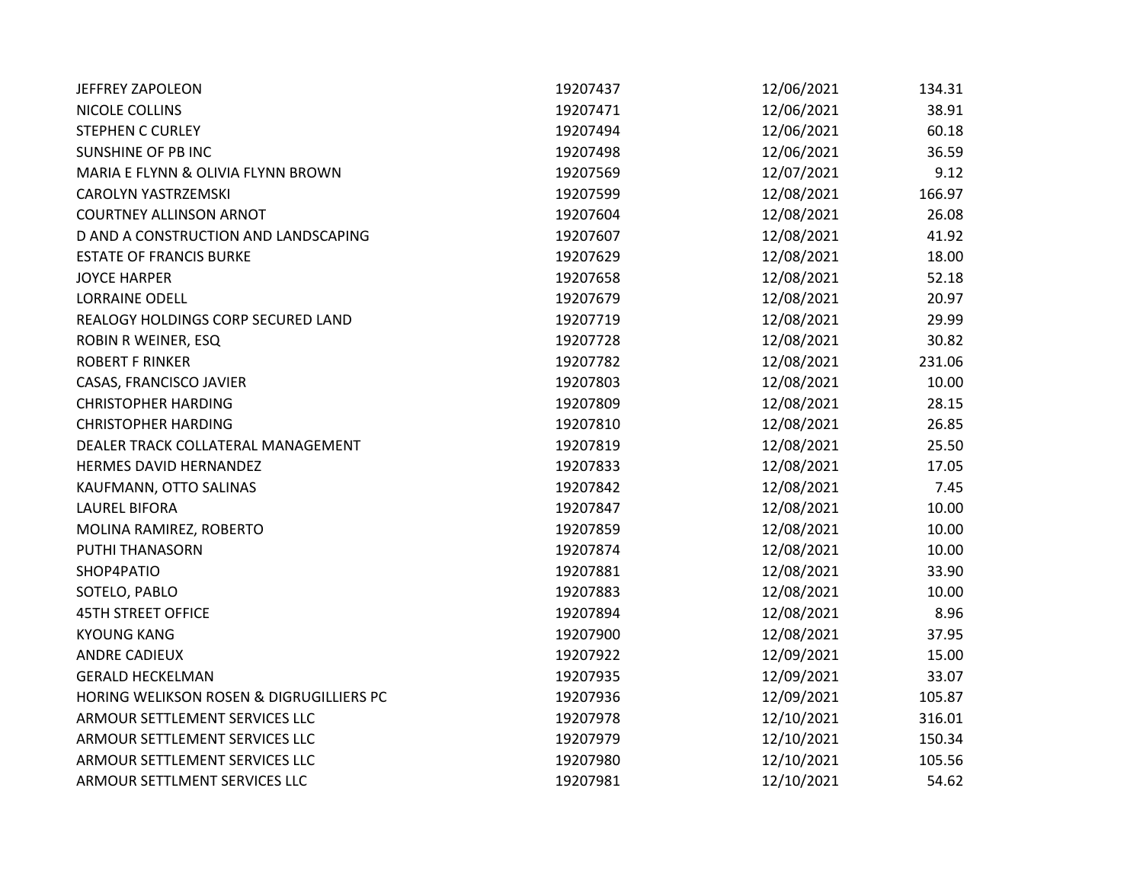| <b>JEFFREY ZAPOLEON</b>                  | 19207437 | 12/06/2021 | 134.31 |
|------------------------------------------|----------|------------|--------|
| NICOLE COLLINS                           | 19207471 | 12/06/2021 | 38.91  |
| <b>STEPHEN C CURLEY</b>                  | 19207494 | 12/06/2021 | 60.18  |
| <b>SUNSHINE OF PB INC</b>                | 19207498 | 12/06/2021 | 36.59  |
| MARIA E FLYNN & OLIVIA FLYNN BROWN       | 19207569 | 12/07/2021 | 9.12   |
| <b>CAROLYN YASTRZEMSKI</b>               | 19207599 | 12/08/2021 | 166.97 |
| <b>COURTNEY ALLINSON ARNOT</b>           | 19207604 | 12/08/2021 | 26.08  |
| D AND A CONSTRUCTION AND LANDSCAPING     | 19207607 | 12/08/2021 | 41.92  |
| <b>ESTATE OF FRANCIS BURKE</b>           | 19207629 | 12/08/2021 | 18.00  |
| <b>JOYCE HARPER</b>                      | 19207658 | 12/08/2021 | 52.18  |
| <b>LORRAINE ODELL</b>                    | 19207679 | 12/08/2021 | 20.97  |
| REALOGY HOLDINGS CORP SECURED LAND       | 19207719 | 12/08/2021 | 29.99  |
| ROBIN R WEINER, ESQ                      | 19207728 | 12/08/2021 | 30.82  |
| <b>ROBERT F RINKER</b>                   | 19207782 | 12/08/2021 | 231.06 |
| CASAS, FRANCISCO JAVIER                  | 19207803 | 12/08/2021 | 10.00  |
| <b>CHRISTOPHER HARDING</b>               | 19207809 | 12/08/2021 | 28.15  |
| <b>CHRISTOPHER HARDING</b>               | 19207810 | 12/08/2021 | 26.85  |
| DEALER TRACK COLLATERAL MANAGEMENT       | 19207819 | 12/08/2021 | 25.50  |
| HERMES DAVID HERNANDEZ                   | 19207833 | 12/08/2021 | 17.05  |
| KAUFMANN, OTTO SALINAS                   | 19207842 | 12/08/2021 | 7.45   |
| <b>LAUREL BIFORA</b>                     | 19207847 | 12/08/2021 | 10.00  |
| MOLINA RAMIREZ, ROBERTO                  | 19207859 | 12/08/2021 | 10.00  |
| PUTHI THANASORN                          | 19207874 | 12/08/2021 | 10.00  |
| SHOP4PATIO                               | 19207881 | 12/08/2021 | 33.90  |
| SOTELO, PABLO                            | 19207883 | 12/08/2021 | 10.00  |
| <b>45TH STREET OFFICE</b>                | 19207894 | 12/08/2021 | 8.96   |
| <b>KYOUNG KANG</b>                       | 19207900 | 12/08/2021 | 37.95  |
| <b>ANDRE CADIEUX</b>                     | 19207922 | 12/09/2021 | 15.00  |
| <b>GERALD HECKELMAN</b>                  | 19207935 | 12/09/2021 | 33.07  |
| HORING WELIKSON ROSEN & DIGRUGILLIERS PC | 19207936 | 12/09/2021 | 105.87 |
| ARMOUR SETTLEMENT SERVICES LLC           | 19207978 | 12/10/2021 | 316.01 |
| ARMOUR SETTLEMENT SERVICES LLC           | 19207979 | 12/10/2021 | 150.34 |
| ARMOUR SETTLEMENT SERVICES LLC           | 19207980 | 12/10/2021 | 105.56 |
| ARMOUR SETTLMENT SERVICES LLC            | 19207981 | 12/10/2021 | 54.62  |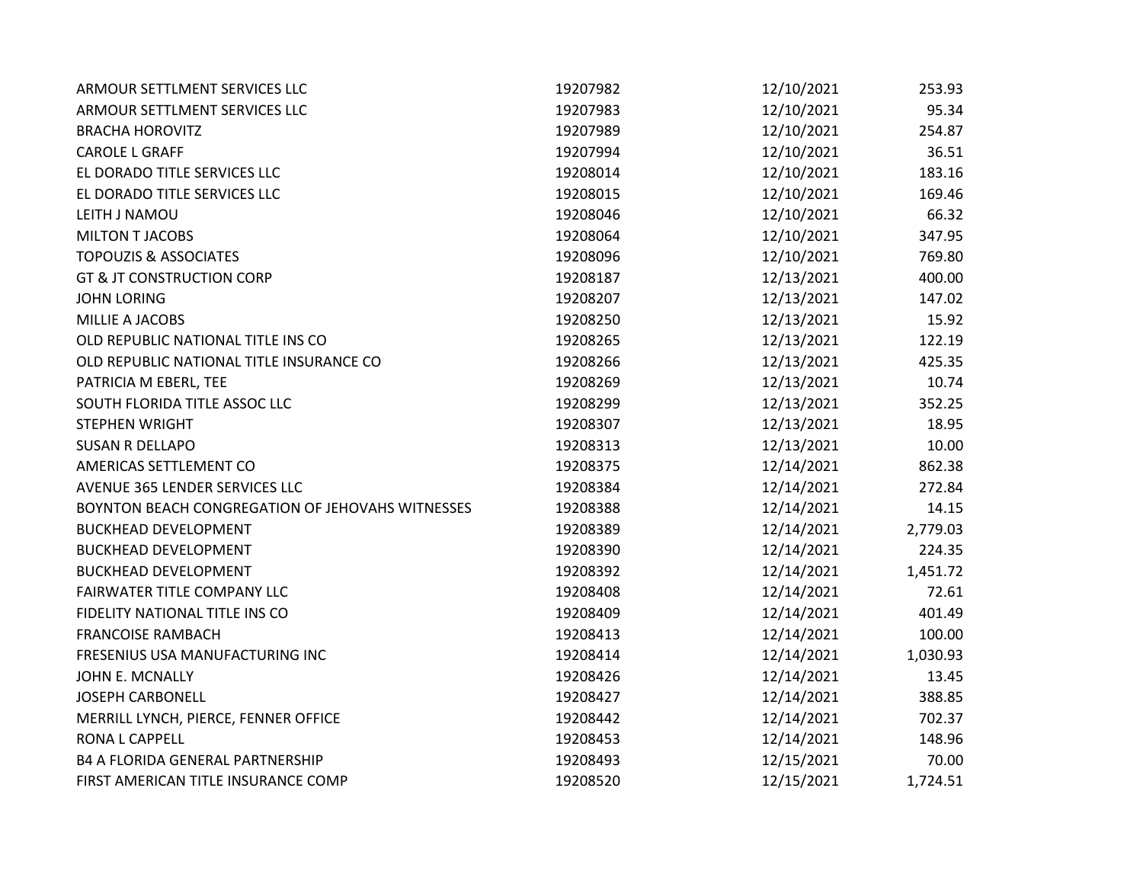| ARMOUR SETTLMENT SERVICES LLC                    | 19207982 | 12/10/2021 | 253.93   |
|--------------------------------------------------|----------|------------|----------|
| ARMOUR SETTLMENT SERVICES LLC                    | 19207983 | 12/10/2021 | 95.34    |
| <b>BRACHA HOROVITZ</b>                           | 19207989 | 12/10/2021 | 254.87   |
| <b>CAROLE L GRAFF</b>                            | 19207994 | 12/10/2021 | 36.51    |
| EL DORADO TITLE SERVICES LLC                     | 19208014 | 12/10/2021 | 183.16   |
| EL DORADO TITLE SERVICES LLC                     | 19208015 | 12/10/2021 | 169.46   |
| LEITH J NAMOU                                    | 19208046 | 12/10/2021 | 66.32    |
| <b>MILTON T JACOBS</b>                           | 19208064 | 12/10/2021 | 347.95   |
| <b>TOPOUZIS &amp; ASSOCIATES</b>                 | 19208096 | 12/10/2021 | 769.80   |
| <b>GT &amp; JT CONSTRUCTION CORP</b>             | 19208187 | 12/13/2021 | 400.00   |
| <b>JOHN LORING</b>                               | 19208207 | 12/13/2021 | 147.02   |
| MILLIE A JACOBS                                  | 19208250 | 12/13/2021 | 15.92    |
| OLD REPUBLIC NATIONAL TITLE INS CO               | 19208265 | 12/13/2021 | 122.19   |
| OLD REPUBLIC NATIONAL TITLE INSURANCE CO         | 19208266 | 12/13/2021 | 425.35   |
| PATRICIA M EBERL, TEE                            | 19208269 | 12/13/2021 | 10.74    |
| SOUTH FLORIDA TITLE ASSOC LLC                    | 19208299 | 12/13/2021 | 352.25   |
| STEPHEN WRIGHT                                   | 19208307 | 12/13/2021 | 18.95    |
| <b>SUSAN R DELLAPO</b>                           | 19208313 | 12/13/2021 | 10.00    |
| AMERICAS SETTLEMENT CO                           | 19208375 | 12/14/2021 | 862.38   |
| AVENUE 365 LENDER SERVICES LLC                   | 19208384 | 12/14/2021 | 272.84   |
| BOYNTON BEACH CONGREGATION OF JEHOVAHS WITNESSES | 19208388 | 12/14/2021 | 14.15    |
| <b>BUCKHEAD DEVELOPMENT</b>                      | 19208389 | 12/14/2021 | 2,779.03 |
| <b>BUCKHEAD DEVELOPMENT</b>                      | 19208390 | 12/14/2021 | 224.35   |
| <b>BUCKHEAD DEVELOPMENT</b>                      | 19208392 | 12/14/2021 | 1,451.72 |
| FAIRWATER TITLE COMPANY LLC                      | 19208408 | 12/14/2021 | 72.61    |
| FIDELITY NATIONAL TITLE INS CO                   | 19208409 | 12/14/2021 | 401.49   |
| <b>FRANCOISE RAMBACH</b>                         | 19208413 | 12/14/2021 | 100.00   |
| FRESENIUS USA MANUFACTURING INC                  | 19208414 | 12/14/2021 | 1,030.93 |
| JOHN E. MCNALLY                                  | 19208426 | 12/14/2021 | 13.45    |
| <b>JOSEPH CARBONELL</b>                          | 19208427 | 12/14/2021 | 388.85   |
| MERRILL LYNCH, PIERCE, FENNER OFFICE             | 19208442 | 12/14/2021 | 702.37   |
| <b>RONA L CAPPELL</b>                            | 19208453 | 12/14/2021 | 148.96   |
| <b>B4 A FLORIDA GENERAL PARTNERSHIP</b>          | 19208493 | 12/15/2021 | 70.00    |
| FIRST AMERICAN TITLE INSURANCE COMP              | 19208520 | 12/15/2021 | 1,724.51 |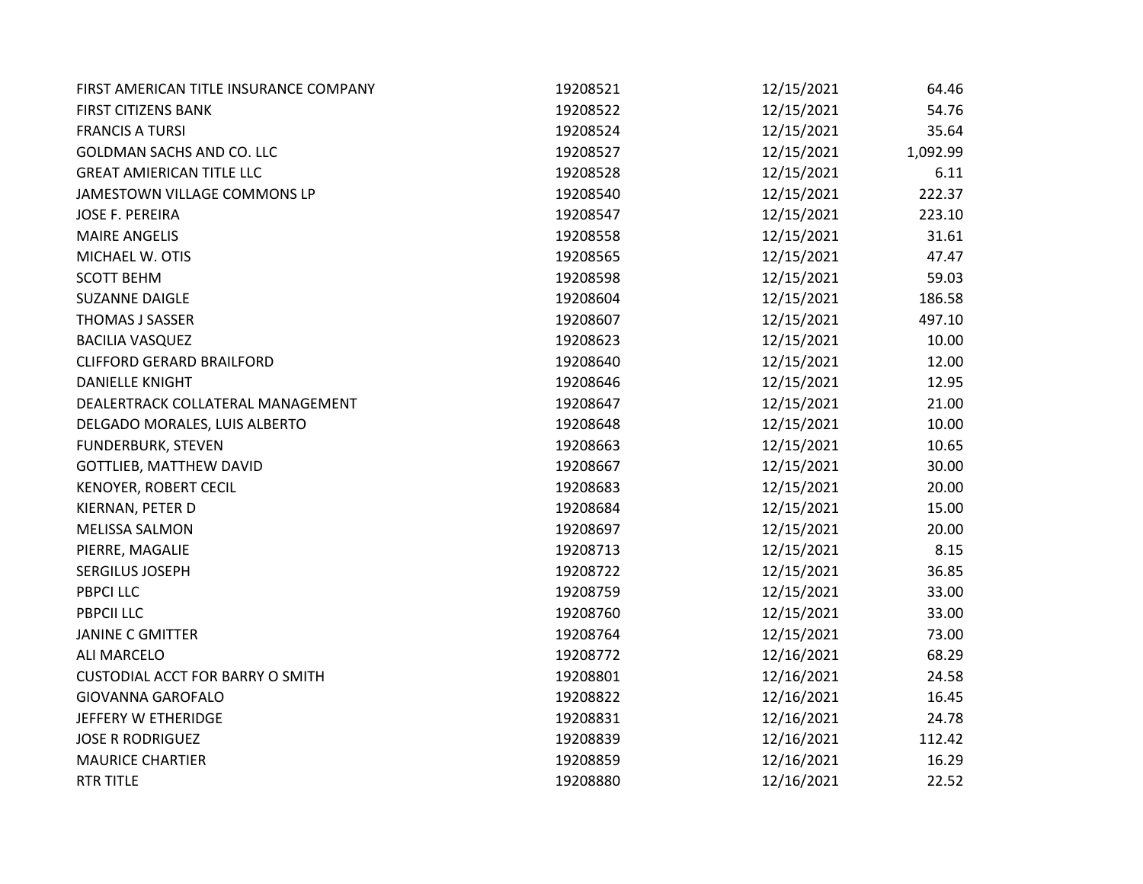| FIRST AMERICAN TITLE INSURANCE COMPANY  | 19208521 | 12/15/2021 | 64.46    |
|-----------------------------------------|----------|------------|----------|
| <b>FIRST CITIZENS BANK</b>              | 19208522 | 12/15/2021 | 54.76    |
| <b>FRANCIS A TURSI</b>                  | 19208524 | 12/15/2021 | 35.64    |
| <b>GOLDMAN SACHS AND CO. LLC</b>        | 19208527 | 12/15/2021 | 1,092.99 |
| <b>GREAT AMIERICAN TITLE LLC</b>        | 19208528 | 12/15/2021 | 6.11     |
| JAMESTOWN VILLAGE COMMONS LP            | 19208540 | 12/15/2021 | 222.37   |
| <b>JOSE F. PEREIRA</b>                  | 19208547 | 12/15/2021 | 223.10   |
| <b>MAIRE ANGELIS</b>                    | 19208558 | 12/15/2021 | 31.61    |
| MICHAEL W. OTIS                         | 19208565 | 12/15/2021 | 47.47    |
| <b>SCOTT BEHM</b>                       | 19208598 | 12/15/2021 | 59.03    |
| <b>SUZANNE DAIGLE</b>                   | 19208604 | 12/15/2021 | 186.58   |
| THOMAS J SASSER                         | 19208607 | 12/15/2021 | 497.10   |
| <b>BACILIA VASQUEZ</b>                  | 19208623 | 12/15/2021 | 10.00    |
| <b>CLIFFORD GERARD BRAILFORD</b>        | 19208640 | 12/15/2021 | 12.00    |
| <b>DANIELLE KNIGHT</b>                  | 19208646 | 12/15/2021 | 12.95    |
| DEALERTRACK COLLATERAL MANAGEMENT       | 19208647 | 12/15/2021 | 21.00    |
| DELGADO MORALES, LUIS ALBERTO           | 19208648 | 12/15/2021 | 10.00    |
| <b>FUNDERBURK, STEVEN</b>               | 19208663 | 12/15/2021 | 10.65    |
| <b>GOTTLIEB, MATTHEW DAVID</b>          | 19208667 | 12/15/2021 | 30.00    |
| KENOYER, ROBERT CECIL                   | 19208683 | 12/15/2021 | 20.00    |
| KIERNAN, PETER D                        | 19208684 | 12/15/2021 | 15.00    |
| <b>MELISSA SALMON</b>                   | 19208697 | 12/15/2021 | 20.00    |
| PIERRE, MAGALIE                         | 19208713 | 12/15/2021 | 8.15     |
| SERGILUS JOSEPH                         | 19208722 | 12/15/2021 | 36.85    |
| <b>PBPCI LLC</b>                        | 19208759 | 12/15/2021 | 33.00    |
| <b>PBPCII LLC</b>                       | 19208760 | 12/15/2021 | 33.00    |
| <b>JANINE C GMITTER</b>                 | 19208764 | 12/15/2021 | 73.00    |
| <b>ALI MARCELO</b>                      | 19208772 | 12/16/2021 | 68.29    |
| <b>CUSTODIAL ACCT FOR BARRY O SMITH</b> | 19208801 | 12/16/2021 | 24.58    |
| <b>GIOVANNA GAROFALO</b>                | 19208822 | 12/16/2021 | 16.45    |
| JEFFERY W ETHERIDGE                     | 19208831 | 12/16/2021 | 24.78    |
| <b>JOSE R RODRIGUEZ</b>                 | 19208839 | 12/16/2021 | 112.42   |
| <b>MAURICE CHARTIER</b>                 | 19208859 | 12/16/2021 | 16.29    |
| <b>RTR TITLE</b>                        | 19208880 | 12/16/2021 | 22.52    |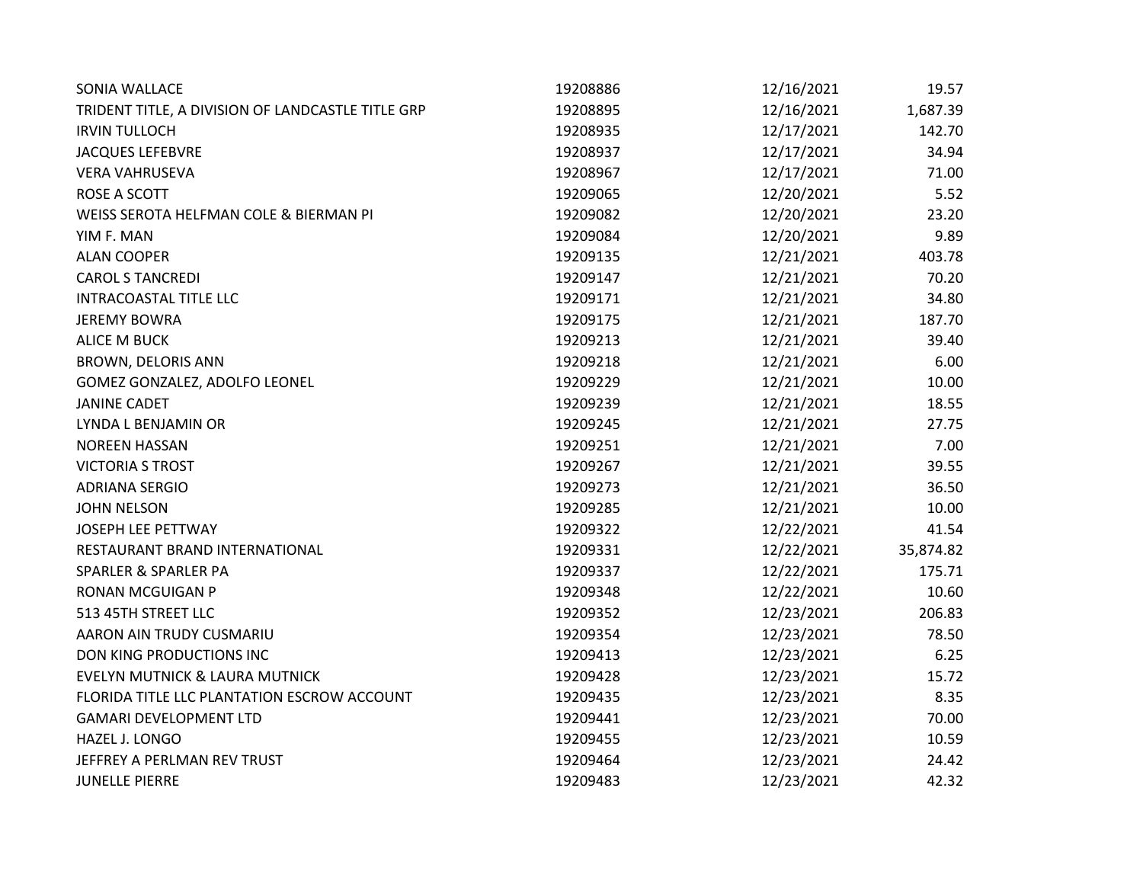| SONIA WALLACE                                     | 19208886 | 12/16/2021 | 19.57     |
|---------------------------------------------------|----------|------------|-----------|
| TRIDENT TITLE, A DIVISION OF LANDCASTLE TITLE GRP | 19208895 | 12/16/2021 | 1,687.39  |
| <b>IRVIN TULLOCH</b>                              | 19208935 | 12/17/2021 | 142.70    |
| <b>JACQUES LEFEBVRE</b>                           | 19208937 | 12/17/2021 | 34.94     |
| <b>VERA VAHRUSEVA</b>                             | 19208967 | 12/17/2021 | 71.00     |
| <b>ROSE A SCOTT</b>                               | 19209065 | 12/20/2021 | 5.52      |
| WEISS SEROTA HELFMAN COLE & BIERMAN PI            | 19209082 | 12/20/2021 | 23.20     |
| YIM F. MAN                                        | 19209084 | 12/20/2021 | 9.89      |
| <b>ALAN COOPER</b>                                | 19209135 | 12/21/2021 | 403.78    |
| <b>CAROL S TANCREDI</b>                           | 19209147 | 12/21/2021 | 70.20     |
| INTRACOASTAL TITLE LLC                            | 19209171 | 12/21/2021 | 34.80     |
| <b>JEREMY BOWRA</b>                               | 19209175 | 12/21/2021 | 187.70    |
| <b>ALICE M BUCK</b>                               | 19209213 | 12/21/2021 | 39.40     |
| BROWN, DELORIS ANN                                | 19209218 | 12/21/2021 | 6.00      |
| GOMEZ GONZALEZ, ADOLFO LEONEL                     | 19209229 | 12/21/2021 | 10.00     |
| <b>JANINE CADET</b>                               | 19209239 | 12/21/2021 | 18.55     |
| LYNDA L BENJAMIN OR                               | 19209245 | 12/21/2021 | 27.75     |
| <b>NOREEN HASSAN</b>                              | 19209251 | 12/21/2021 | 7.00      |
| <b>VICTORIA S TROST</b>                           | 19209267 | 12/21/2021 | 39.55     |
| <b>ADRIANA SERGIO</b>                             | 19209273 | 12/21/2021 | 36.50     |
| <b>JOHN NELSON</b>                                | 19209285 | 12/21/2021 | 10.00     |
| <b>JOSEPH LEE PETTWAY</b>                         | 19209322 | 12/22/2021 | 41.54     |
| RESTAURANT BRAND INTERNATIONAL                    | 19209331 | 12/22/2021 | 35,874.82 |
| SPARLER & SPARLER PA                              | 19209337 | 12/22/2021 | 175.71    |
| <b>RONAN MCGUIGAN P</b>                           | 19209348 | 12/22/2021 | 10.60     |
| 513 45TH STREET LLC                               | 19209352 | 12/23/2021 | 206.83    |
| AARON AIN TRUDY CUSMARIU                          | 19209354 | 12/23/2021 | 78.50     |
| DON KING PRODUCTIONS INC                          | 19209413 | 12/23/2021 | 6.25      |
| <b>EVELYN MUTNICK &amp; LAURA MUTNICK</b>         | 19209428 | 12/23/2021 | 15.72     |
| FLORIDA TITLE LLC PLANTATION ESCROW ACCOUNT       | 19209435 | 12/23/2021 | 8.35      |
| <b>GAMARI DEVELOPMENT LTD</b>                     | 19209441 | 12/23/2021 | 70.00     |
| HAZEL J. LONGO                                    | 19209455 | 12/23/2021 | 10.59     |
| JEFFREY A PERLMAN REV TRUST                       | 19209464 | 12/23/2021 | 24.42     |
| <b>JUNELLE PIERRE</b>                             | 19209483 | 12/23/2021 | 42.32     |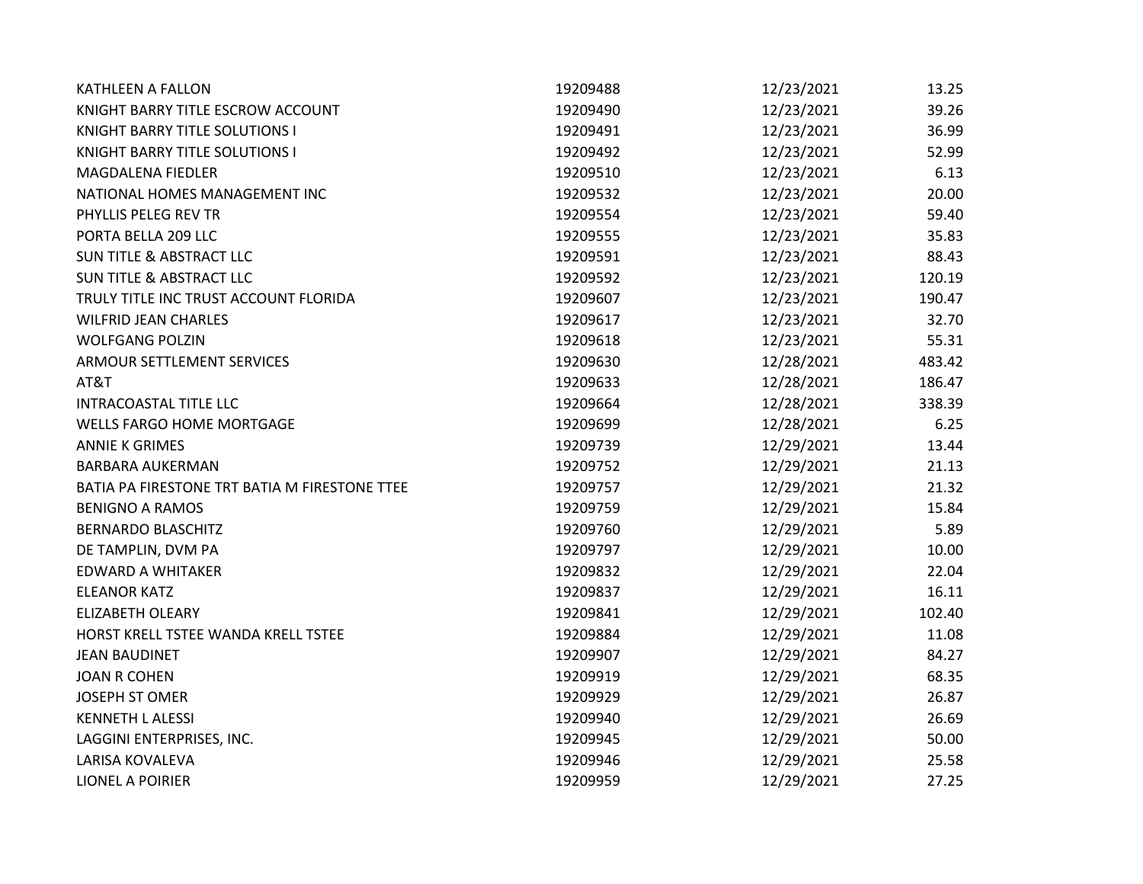| KATHLEEN A FALLON                             | 19209488 | 12/23/2021 | 13.25  |
|-----------------------------------------------|----------|------------|--------|
| KNIGHT BARRY TITLE ESCROW ACCOUNT             | 19209490 | 12/23/2021 | 39.26  |
| <b>KNIGHT BARRY TITLE SOLUTIONS I</b>         | 19209491 | 12/23/2021 | 36.99  |
| KNIGHT BARRY TITLE SOLUTIONS I                | 19209492 | 12/23/2021 | 52.99  |
| MAGDALENA FIEDLER                             | 19209510 | 12/23/2021 | 6.13   |
| NATIONAL HOMES MANAGEMENT INC                 | 19209532 | 12/23/2021 | 20.00  |
| PHYLLIS PELEG REV TR                          | 19209554 | 12/23/2021 | 59.40  |
| PORTA BELLA 209 LLC                           | 19209555 | 12/23/2021 | 35.83  |
| <b>SUN TITLE &amp; ABSTRACT LLC</b>           | 19209591 | 12/23/2021 | 88.43  |
| <b>SUN TITLE &amp; ABSTRACT LLC</b>           | 19209592 | 12/23/2021 | 120.19 |
| TRULY TITLE INC TRUST ACCOUNT FLORIDA         | 19209607 | 12/23/2021 | 190.47 |
| <b>WILFRID JEAN CHARLES</b>                   | 19209617 | 12/23/2021 | 32.70  |
| <b>WOLFGANG POLZIN</b>                        | 19209618 | 12/23/2021 | 55.31  |
| ARMOUR SETTLEMENT SERVICES                    | 19209630 | 12/28/2021 | 483.42 |
| AT&T                                          | 19209633 | 12/28/2021 | 186.47 |
| <b>INTRACOASTAL TITLE LLC</b>                 | 19209664 | 12/28/2021 | 338.39 |
| <b>WELLS FARGO HOME MORTGAGE</b>              | 19209699 | 12/28/2021 | 6.25   |
| <b>ANNIE K GRIMES</b>                         | 19209739 | 12/29/2021 | 13.44  |
| <b>BARBARA AUKERMAN</b>                       | 19209752 | 12/29/2021 | 21.13  |
| BATIA PA FIRESTONE TRT BATIA M FIRESTONE TTEE | 19209757 | 12/29/2021 | 21.32  |
| <b>BENIGNO A RAMOS</b>                        | 19209759 | 12/29/2021 | 15.84  |
| <b>BERNARDO BLASCHITZ</b>                     | 19209760 | 12/29/2021 | 5.89   |
| DE TAMPLIN, DVM PA                            | 19209797 | 12/29/2021 | 10.00  |
| <b>EDWARD A WHITAKER</b>                      | 19209832 | 12/29/2021 | 22.04  |
| <b>ELEANOR KATZ</b>                           | 19209837 | 12/29/2021 | 16.11  |
| <b>ELIZABETH OLEARY</b>                       | 19209841 | 12/29/2021 | 102.40 |
| HORST KRELL TSTEE WANDA KRELL TSTEE           | 19209884 | 12/29/2021 | 11.08  |
| <b>JEAN BAUDINET</b>                          | 19209907 | 12/29/2021 | 84.27  |
| <b>JOAN R COHEN</b>                           | 19209919 | 12/29/2021 | 68.35  |
| <b>JOSEPH ST OMER</b>                         | 19209929 | 12/29/2021 | 26.87  |
| <b>KENNETH L ALESSI</b>                       | 19209940 | 12/29/2021 | 26.69  |
| LAGGINI ENTERPRISES, INC.                     | 19209945 | 12/29/2021 | 50.00  |
| LARISA KOVALEVA                               | 19209946 | 12/29/2021 | 25.58  |
| <b>LIONEL A POIRIER</b>                       | 19209959 | 12/29/2021 | 27.25  |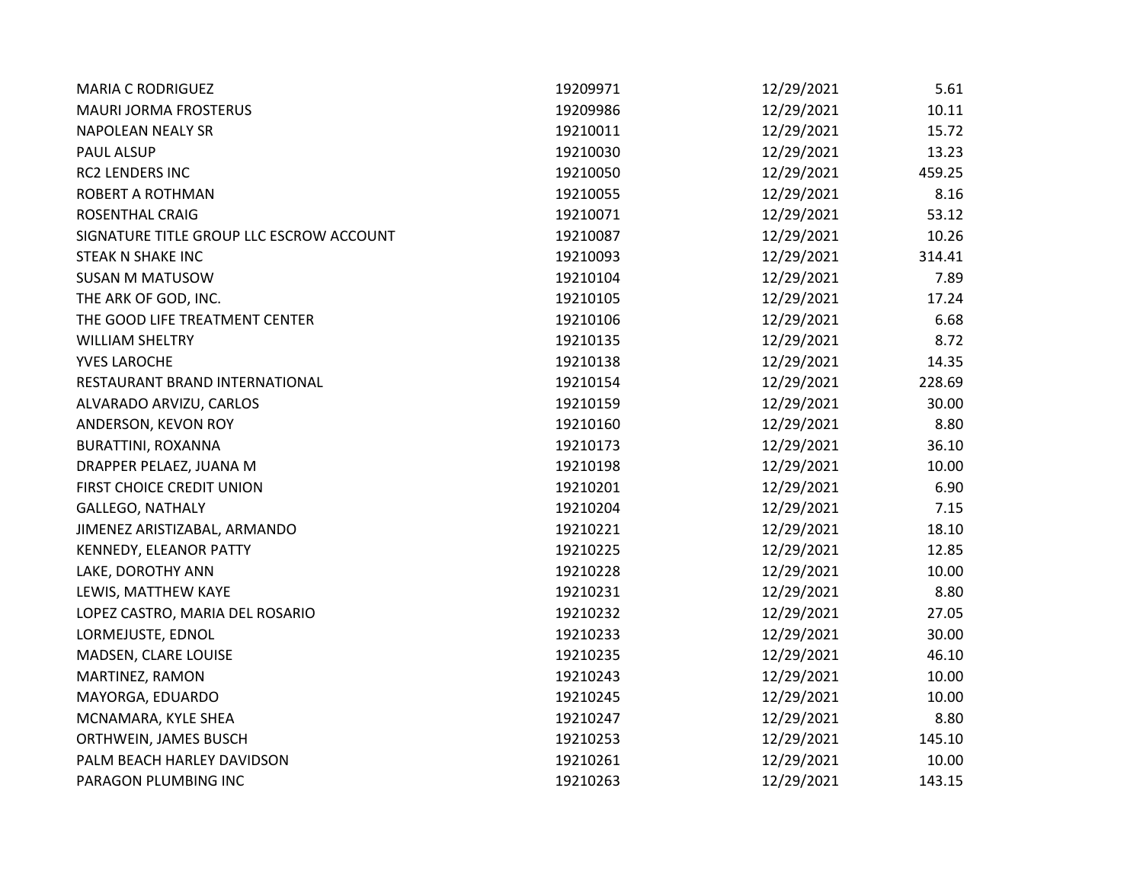| <b>MARIA C RODRIGUEZ</b>                 | 19209971 | 12/29/2021 | $5.61$ |
|------------------------------------------|----------|------------|--------|
| <b>MAURI JORMA FROSTERUS</b>             | 19209986 | 12/29/2021 | 10.11  |
| <b>NAPOLEAN NEALY SR</b>                 | 19210011 | 12/29/2021 | 15.72  |
| <b>PAUL ALSUP</b>                        | 19210030 | 12/29/2021 | 13.23  |
| RC2 LENDERS INC                          | 19210050 | 12/29/2021 | 459.25 |
| ROBERT A ROTHMAN                         | 19210055 | 12/29/2021 | 8.16   |
| <b>ROSENTHAL CRAIG</b>                   | 19210071 | 12/29/2021 | 53.12  |
| SIGNATURE TITLE GROUP LLC ESCROW ACCOUNT | 19210087 | 12/29/2021 | 10.26  |
| STEAK N SHAKE INC                        | 19210093 | 12/29/2021 | 314.41 |
| <b>SUSAN M MATUSOW</b>                   | 19210104 | 12/29/2021 | 7.89   |
| THE ARK OF GOD, INC.                     | 19210105 | 12/29/2021 | 17.24  |
| THE GOOD LIFE TREATMENT CENTER           | 19210106 | 12/29/2021 | 6.68   |
| <b>WILLIAM SHELTRY</b>                   | 19210135 | 12/29/2021 | 8.72   |
| YVES LAROCHE                             | 19210138 | 12/29/2021 | 14.35  |
| RESTAURANT BRAND INTERNATIONAL           | 19210154 | 12/29/2021 | 228.69 |
| ALVARADO ARVIZU, CARLOS                  | 19210159 | 12/29/2021 | 30.00  |
| ANDERSON, KEVON ROY                      | 19210160 | 12/29/2021 | 8.80   |
| BURATTINI, ROXANNA                       | 19210173 | 12/29/2021 | 36.10  |
| DRAPPER PELAEZ, JUANA M                  | 19210198 | 12/29/2021 | 10.00  |
| FIRST CHOICE CREDIT UNION                | 19210201 | 12/29/2021 | 6.90   |
| <b>GALLEGO, NATHALY</b>                  | 19210204 | 12/29/2021 | 7.15   |
| JIMENEZ ARISTIZABAL, ARMANDO             | 19210221 | 12/29/2021 | 18.10  |
| KENNEDY, ELEANOR PATTY                   | 19210225 | 12/29/2021 | 12.85  |
| LAKE, DOROTHY ANN                        | 19210228 | 12/29/2021 | 10.00  |
| LEWIS, MATTHEW KAYE                      | 19210231 | 12/29/2021 | 8.80   |
| LOPEZ CASTRO, MARIA DEL ROSARIO          | 19210232 | 12/29/2021 | 27.05  |
| LORMEJUSTE, EDNOL                        | 19210233 | 12/29/2021 | 30.00  |
| MADSEN, CLARE LOUISE                     | 19210235 | 12/29/2021 | 46.10  |
| MARTINEZ, RAMON                          | 19210243 | 12/29/2021 | 10.00  |
| MAYORGA, EDUARDO                         | 19210245 | 12/29/2021 | 10.00  |
| MCNAMARA, KYLE SHEA                      | 19210247 | 12/29/2021 | 8.80   |
| ORTHWEIN, JAMES BUSCH                    | 19210253 | 12/29/2021 | 145.10 |
| PALM BEACH HARLEY DAVIDSON               | 19210261 | 12/29/2021 | 10.00  |
| PARAGON PLUMBING INC                     | 19210263 | 12/29/2021 | 143.15 |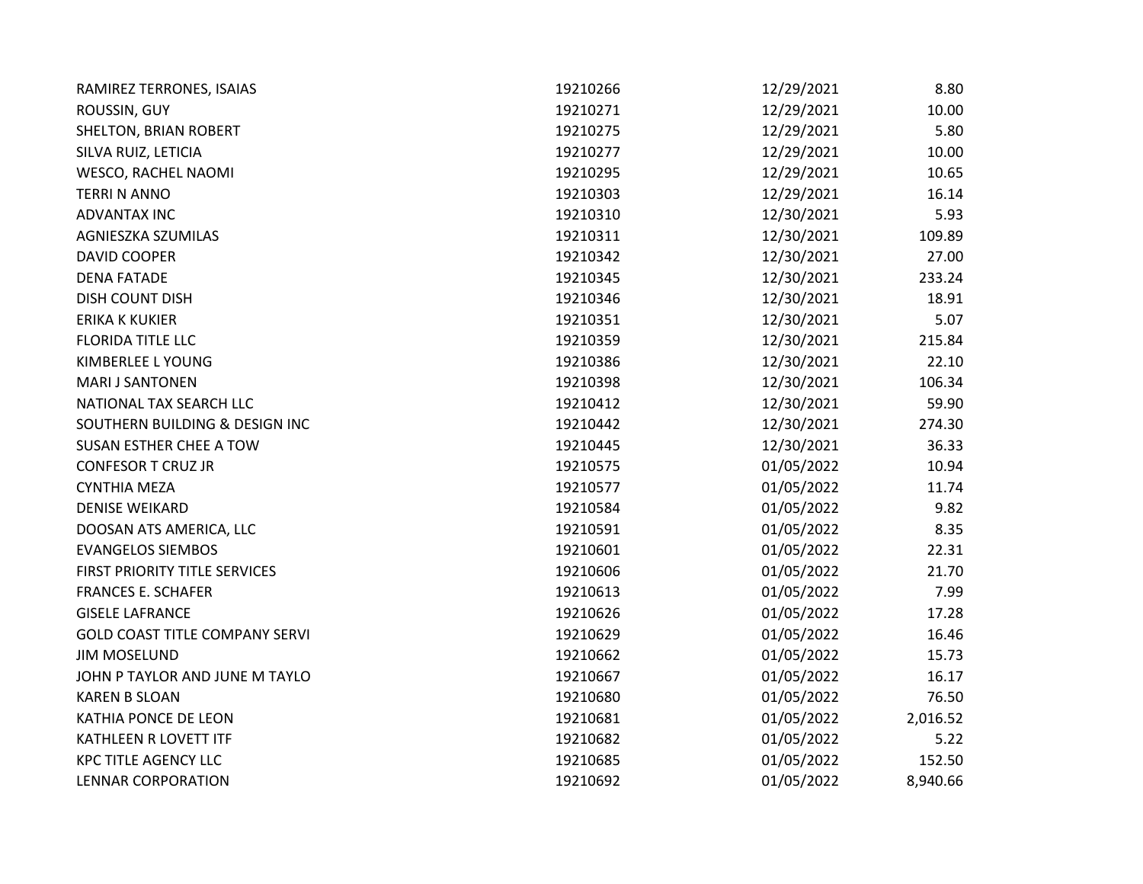| RAMIREZ TERRONES, ISAIAS              | 19210266 | 12/29/2021 | 8.80     |
|---------------------------------------|----------|------------|----------|
| ROUSSIN, GUY                          | 19210271 | 12/29/2021 | 10.00    |
| SHELTON, BRIAN ROBERT                 | 19210275 | 12/29/2021 | 5.80     |
| SILVA RUIZ, LETICIA                   | 19210277 | 12/29/2021 | 10.00    |
| WESCO, RACHEL NAOMI                   | 19210295 | 12/29/2021 | 10.65    |
| <b>TERRI N ANNO</b>                   | 19210303 | 12/29/2021 | 16.14    |
| <b>ADVANTAX INC</b>                   | 19210310 | 12/30/2021 | 5.93     |
| AGNIESZKA SZUMILAS                    | 19210311 | 12/30/2021 | 109.89   |
| <b>DAVID COOPER</b>                   | 19210342 | 12/30/2021 | 27.00    |
| <b>DENA FATADE</b>                    | 19210345 | 12/30/2021 | 233.24   |
| <b>DISH COUNT DISH</b>                | 19210346 | 12/30/2021 | 18.91    |
| <b>ERIKA K KUKIER</b>                 | 19210351 | 12/30/2021 | 5.07     |
| <b>FLORIDA TITLE LLC</b>              | 19210359 | 12/30/2021 | 215.84   |
| KIMBERLEE L YOUNG                     | 19210386 | 12/30/2021 | 22.10    |
| <b>MARI J SANTONEN</b>                | 19210398 | 12/30/2021 | 106.34   |
| NATIONAL TAX SEARCH LLC               | 19210412 | 12/30/2021 | 59.90    |
| SOUTHERN BUILDING & DESIGN INC        | 19210442 | 12/30/2021 | 274.30   |
| <b>SUSAN ESTHER CHEE A TOW</b>        | 19210445 | 12/30/2021 | 36.33    |
| <b>CONFESOR T CRUZ JR</b>             | 19210575 | 01/05/2022 | 10.94    |
| <b>CYNTHIA MEZA</b>                   | 19210577 | 01/05/2022 | 11.74    |
| <b>DENISE WEIKARD</b>                 | 19210584 | 01/05/2022 | 9.82     |
| DOOSAN ATS AMERICA, LLC               | 19210591 | 01/05/2022 | 8.35     |
| <b>EVANGELOS SIEMBOS</b>              | 19210601 | 01/05/2022 | 22.31    |
| FIRST PRIORITY TITLE SERVICES         | 19210606 | 01/05/2022 | 21.70    |
| <b>FRANCES E. SCHAFER</b>             | 19210613 | 01/05/2022 | 7.99     |
| <b>GISELE LAFRANCE</b>                | 19210626 | 01/05/2022 | 17.28    |
| <b>GOLD COAST TITLE COMPANY SERVI</b> | 19210629 | 01/05/2022 | 16.46    |
| <b>JIM MOSELUND</b>                   | 19210662 | 01/05/2022 | 15.73    |
| JOHN P TAYLOR AND JUNE M TAYLO        | 19210667 | 01/05/2022 | 16.17    |
| <b>KAREN B SLOAN</b>                  | 19210680 | 01/05/2022 | 76.50    |
| KATHIA PONCE DE LEON                  | 19210681 | 01/05/2022 | 2,016.52 |
| KATHLEEN R LOVETT ITF                 | 19210682 | 01/05/2022 | 5.22     |
| <b>KPC TITLE AGENCY LLC</b>           | 19210685 | 01/05/2022 | 152.50   |
| <b>LENNAR CORPORATION</b>             | 19210692 | 01/05/2022 | 8,940.66 |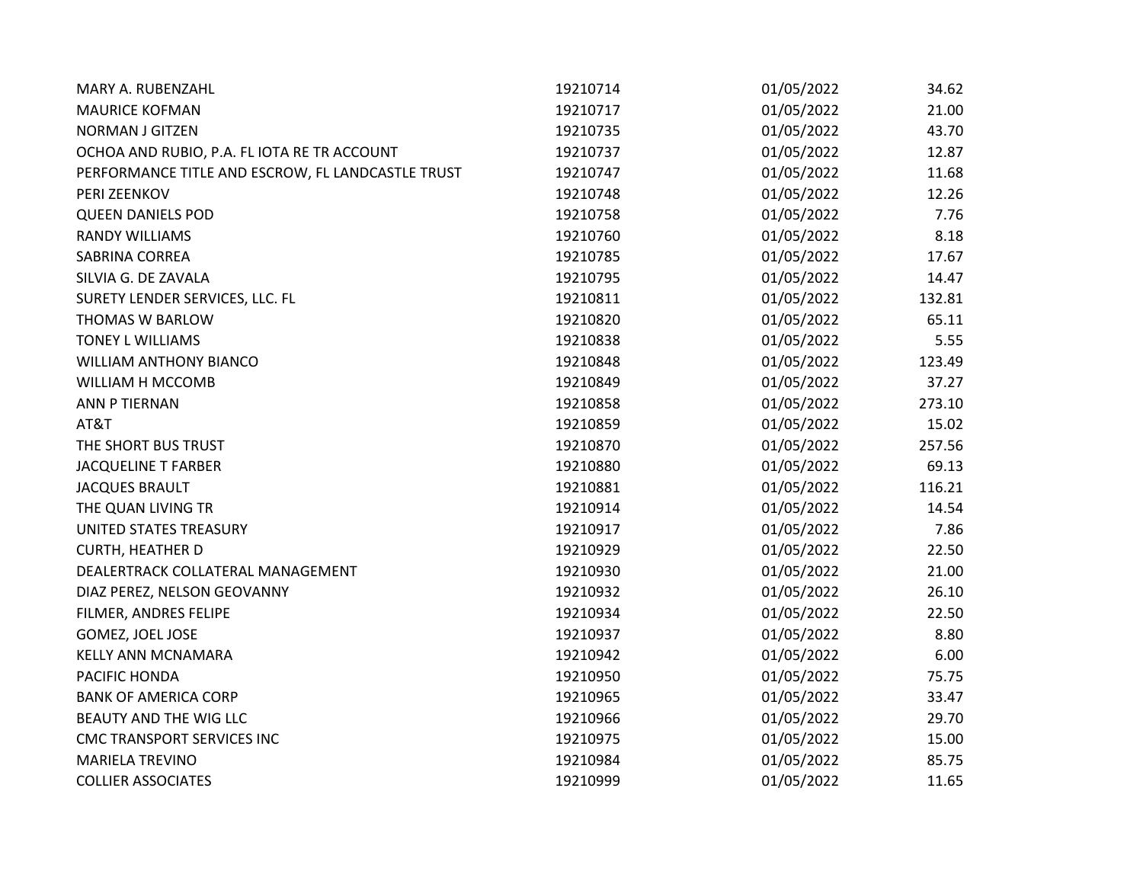| MARY A. RUBENZAHL                                 | 19210714 | 01/05/2022 | 34.62  |
|---------------------------------------------------|----------|------------|--------|
| <b>MAURICE KOFMAN</b>                             | 19210717 | 01/05/2022 | 21.00  |
| <b>NORMAN J GITZEN</b>                            | 19210735 | 01/05/2022 | 43.70  |
| OCHOA AND RUBIO, P.A. FL IOTA RE TR ACCOUNT       | 19210737 | 01/05/2022 | 12.87  |
| PERFORMANCE TITLE AND ESCROW, FL LANDCASTLE TRUST | 19210747 | 01/05/2022 | 11.68  |
| PERI ZEENKOV                                      | 19210748 | 01/05/2022 | 12.26  |
| <b>QUEEN DANIELS POD</b>                          | 19210758 | 01/05/2022 | 7.76   |
| <b>RANDY WILLIAMS</b>                             | 19210760 | 01/05/2022 | 8.18   |
| SABRINA CORREA                                    | 19210785 | 01/05/2022 | 17.67  |
| SILVIA G. DE ZAVALA                               | 19210795 | 01/05/2022 | 14.47  |
| SURETY LENDER SERVICES, LLC. FL                   | 19210811 | 01/05/2022 | 132.81 |
| THOMAS W BARLOW                                   | 19210820 | 01/05/2022 | 65.11  |
| <b>TONEY L WILLIAMS</b>                           | 19210838 | 01/05/2022 | 5.55   |
| <b>WILLIAM ANTHONY BIANCO</b>                     | 19210848 | 01/05/2022 | 123.49 |
| WILLIAM H MCCOMB                                  | 19210849 | 01/05/2022 | 37.27  |
| ANN P TIERNAN                                     | 19210858 | 01/05/2022 | 273.10 |
| AT&T                                              | 19210859 | 01/05/2022 | 15.02  |
| THE SHORT BUS TRUST                               | 19210870 | 01/05/2022 | 257.56 |
| <b>JACQUELINE T FARBER</b>                        | 19210880 | 01/05/2022 | 69.13  |
| <b>JACQUES BRAULT</b>                             | 19210881 | 01/05/2022 | 116.21 |
| THE QUAN LIVING TR                                | 19210914 | 01/05/2022 | 14.54  |
| UNITED STATES TREASURY                            | 19210917 | 01/05/2022 | 7.86   |
| <b>CURTH, HEATHER D</b>                           | 19210929 | 01/05/2022 | 22.50  |
| DEALERTRACK COLLATERAL MANAGEMENT                 | 19210930 | 01/05/2022 | 21.00  |
| DIAZ PEREZ, NELSON GEOVANNY                       | 19210932 | 01/05/2022 | 26.10  |
| FILMER, ANDRES FELIPE                             | 19210934 | 01/05/2022 | 22.50  |
| GOMEZ, JOEL JOSE                                  | 19210937 | 01/05/2022 | 8.80   |
| <b>KELLY ANN MCNAMARA</b>                         | 19210942 | 01/05/2022 | 6.00   |
| PACIFIC HONDA                                     | 19210950 | 01/05/2022 | 75.75  |
| <b>BANK OF AMERICA CORP</b>                       | 19210965 | 01/05/2022 | 33.47  |
| BEAUTY AND THE WIG LLC                            | 19210966 | 01/05/2022 | 29.70  |
| CMC TRANSPORT SERVICES INC                        | 19210975 | 01/05/2022 | 15.00  |
| <b>MARIELA TREVINO</b>                            | 19210984 | 01/05/2022 | 85.75  |
| <b>COLLIER ASSOCIATES</b>                         | 19210999 | 01/05/2022 | 11.65  |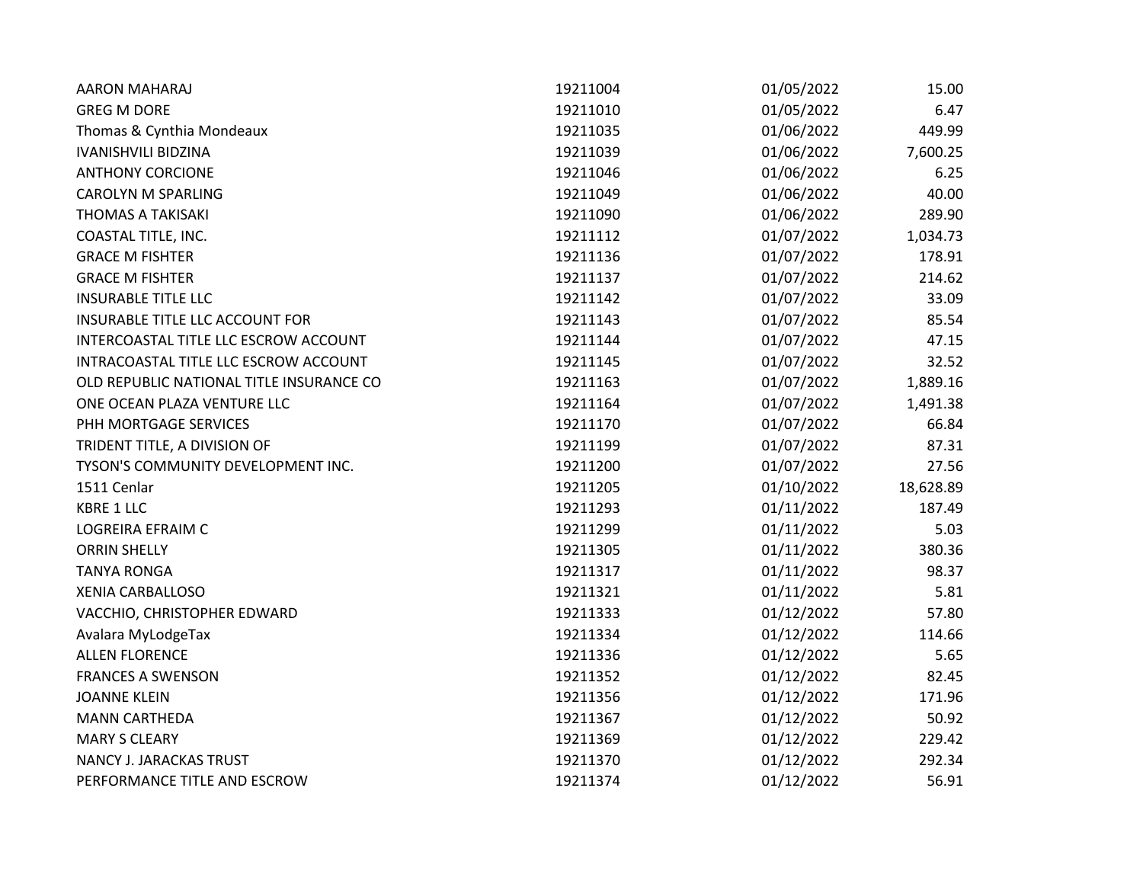| <b>AARON MAHARAJ</b>                     | 19211004 | 01/05/2022 | 15.00     |
|------------------------------------------|----------|------------|-----------|
| <b>GREG M DORE</b>                       | 19211010 | 01/05/2022 | 6.47      |
| Thomas & Cynthia Mondeaux                | 19211035 | 01/06/2022 | 449.99    |
| <b>IVANISHVILI BIDZINA</b>               | 19211039 | 01/06/2022 | 7,600.25  |
| <b>ANTHONY CORCIONE</b>                  | 19211046 | 01/06/2022 | 6.25      |
| <b>CAROLYN M SPARLING</b>                | 19211049 | 01/06/2022 | 40.00     |
| <b>THOMAS A TAKISAKI</b>                 | 19211090 | 01/06/2022 | 289.90    |
| COASTAL TITLE, INC.                      | 19211112 | 01/07/2022 | 1,034.73  |
| <b>GRACE M FISHTER</b>                   | 19211136 | 01/07/2022 | 178.91    |
| <b>GRACE M FISHTER</b>                   | 19211137 | 01/07/2022 | 214.62    |
| <b>INSURABLE TITLE LLC</b>               | 19211142 | 01/07/2022 | 33.09     |
| INSURABLE TITLE LLC ACCOUNT FOR          | 19211143 | 01/07/2022 | 85.54     |
| INTERCOASTAL TITLE LLC ESCROW ACCOUNT    | 19211144 | 01/07/2022 | 47.15     |
| INTRACOASTAL TITLE LLC ESCROW ACCOUNT    | 19211145 | 01/07/2022 | 32.52     |
| OLD REPUBLIC NATIONAL TITLE INSURANCE CO | 19211163 | 01/07/2022 | 1,889.16  |
| ONE OCEAN PLAZA VENTURE LLC              | 19211164 | 01/07/2022 | 1,491.38  |
| PHH MORTGAGE SERVICES                    | 19211170 | 01/07/2022 | 66.84     |
| TRIDENT TITLE, A DIVISION OF             | 19211199 | 01/07/2022 | 87.31     |
| TYSON'S COMMUNITY DEVELOPMENT INC.       | 19211200 | 01/07/2022 | 27.56     |
| 1511 Cenlar                              | 19211205 | 01/10/2022 | 18,628.89 |
| <b>KBRE 1 LLC</b>                        | 19211293 | 01/11/2022 | 187.49    |
| LOGREIRA EFRAIM C                        | 19211299 | 01/11/2022 | 5.03      |
| <b>ORRIN SHELLY</b>                      | 19211305 | 01/11/2022 | 380.36    |
| <b>TANYA RONGA</b>                       | 19211317 | 01/11/2022 | 98.37     |
| <b>XENIA CARBALLOSO</b>                  | 19211321 | 01/11/2022 | 5.81      |
| VACCHIO, CHRISTOPHER EDWARD              | 19211333 | 01/12/2022 | 57.80     |
| Avalara MyLodgeTax                       | 19211334 | 01/12/2022 | 114.66    |
| <b>ALLEN FLORENCE</b>                    | 19211336 | 01/12/2022 | 5.65      |
| <b>FRANCES A SWENSON</b>                 | 19211352 | 01/12/2022 | 82.45     |
| <b>JOANNE KLEIN</b>                      | 19211356 | 01/12/2022 | 171.96    |
| <b>MANN CARTHEDA</b>                     | 19211367 | 01/12/2022 | 50.92     |
| <b>MARY S CLEARY</b>                     | 19211369 | 01/12/2022 | 229.42    |
| <b>NANCY J. JARACKAS TRUST</b>           | 19211370 | 01/12/2022 | 292.34    |
| PERFORMANCE TITLE AND ESCROW             | 19211374 | 01/12/2022 | 56.91     |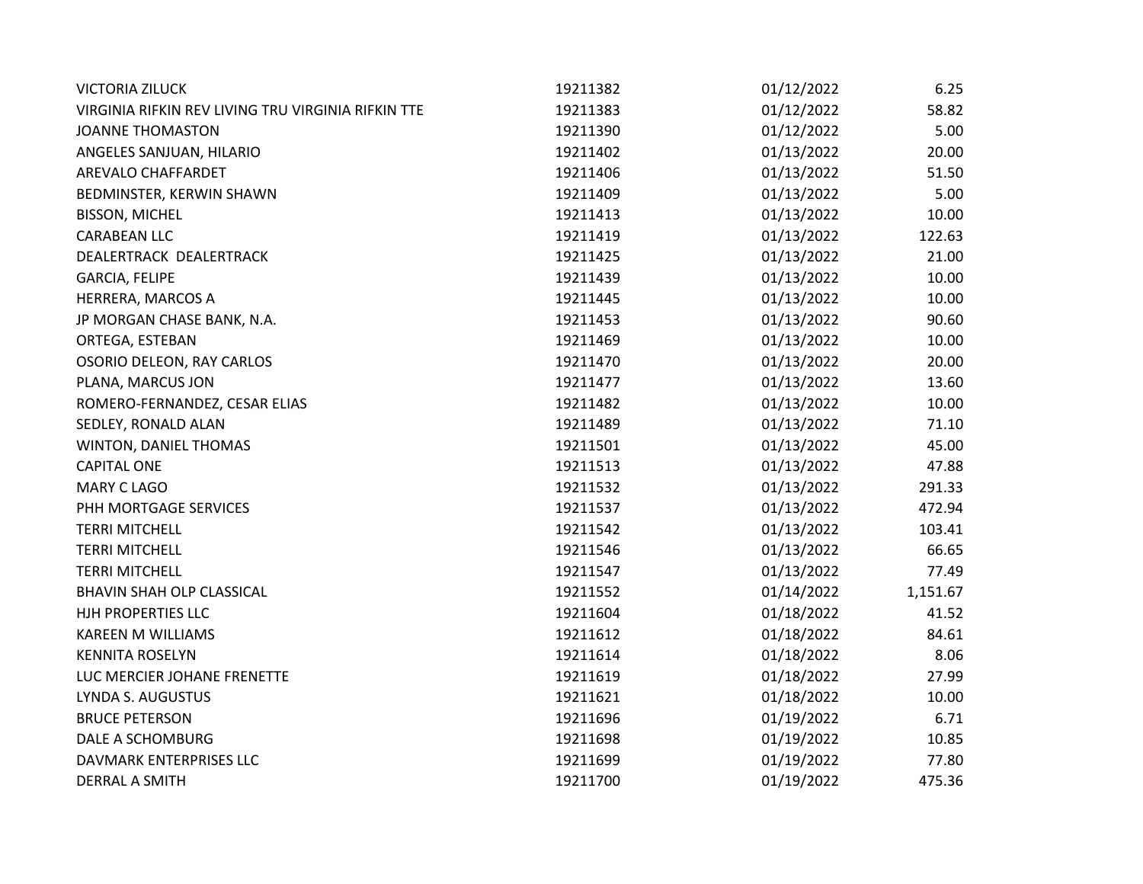| <b>VICTORIA ZILUCK</b>                             | 19211382 | 01/12/2022 | 6.25     |
|----------------------------------------------------|----------|------------|----------|
| VIRGINIA RIFKIN REV LIVING TRU VIRGINIA RIFKIN TTE | 19211383 | 01/12/2022 | 58.82    |
| <b>JOANNE THOMASTON</b>                            | 19211390 | 01/12/2022 | 5.00     |
| ANGELES SANJUAN, HILARIO                           | 19211402 | 01/13/2022 | 20.00    |
| AREVALO CHAFFARDET                                 | 19211406 | 01/13/2022 | 51.50    |
| BEDMINSTER, KERWIN SHAWN                           | 19211409 | 01/13/2022 | 5.00     |
| <b>BISSON, MICHEL</b>                              | 19211413 | 01/13/2022 | 10.00    |
| <b>CARABEAN LLC</b>                                | 19211419 | 01/13/2022 | 122.63   |
| DEALERTRACK DEALERTRACK                            | 19211425 | 01/13/2022 | 21.00    |
| GARCIA, FELIPE                                     | 19211439 | 01/13/2022 | 10.00    |
| HERRERA, MARCOS A                                  | 19211445 | 01/13/2022 | 10.00    |
| JP MORGAN CHASE BANK, N.A.                         | 19211453 | 01/13/2022 | 90.60    |
| ORTEGA, ESTEBAN                                    | 19211469 | 01/13/2022 | 10.00    |
| OSORIO DELEON, RAY CARLOS                          | 19211470 | 01/13/2022 | 20.00    |
| PLANA, MARCUS JON                                  | 19211477 | 01/13/2022 | 13.60    |
| ROMERO-FERNANDEZ, CESAR ELIAS                      | 19211482 | 01/13/2022 | 10.00    |
| SEDLEY, RONALD ALAN                                | 19211489 | 01/13/2022 | 71.10    |
| WINTON, DANIEL THOMAS                              | 19211501 | 01/13/2022 | 45.00    |
| <b>CAPITAL ONE</b>                                 | 19211513 | 01/13/2022 | 47.88    |
| MARY C LAGO                                        | 19211532 | 01/13/2022 | 291.33   |
| PHH MORTGAGE SERVICES                              | 19211537 | 01/13/2022 | 472.94   |
| <b>TERRI MITCHELL</b>                              | 19211542 | 01/13/2022 | 103.41   |
| <b>TERRI MITCHELL</b>                              | 19211546 | 01/13/2022 | 66.65    |
| <b>TERRI MITCHELL</b>                              | 19211547 | 01/13/2022 | 77.49    |
| <b>BHAVIN SHAH OLP CLASSICAL</b>                   | 19211552 | 01/14/2022 | 1,151.67 |
| HJH PROPERTIES LLC                                 | 19211604 | 01/18/2022 | 41.52    |
| <b>KAREEN M WILLIAMS</b>                           | 19211612 | 01/18/2022 | 84.61    |
| <b>KENNITA ROSELYN</b>                             | 19211614 | 01/18/2022 | 8.06     |
| LUC MERCIER JOHANE FRENETTE                        | 19211619 | 01/18/2022 | 27.99    |
| LYNDA S. AUGUSTUS                                  | 19211621 | 01/18/2022 | 10.00    |
| <b>BRUCE PETERSON</b>                              | 19211696 | 01/19/2022 | 6.71     |
| DALE A SCHOMBURG                                   | 19211698 | 01/19/2022 | 10.85    |
| DAVMARK ENTERPRISES LLC                            | 19211699 | 01/19/2022 | 77.80    |
| <b>DERRAL A SMITH</b>                              | 19211700 | 01/19/2022 | 475.36   |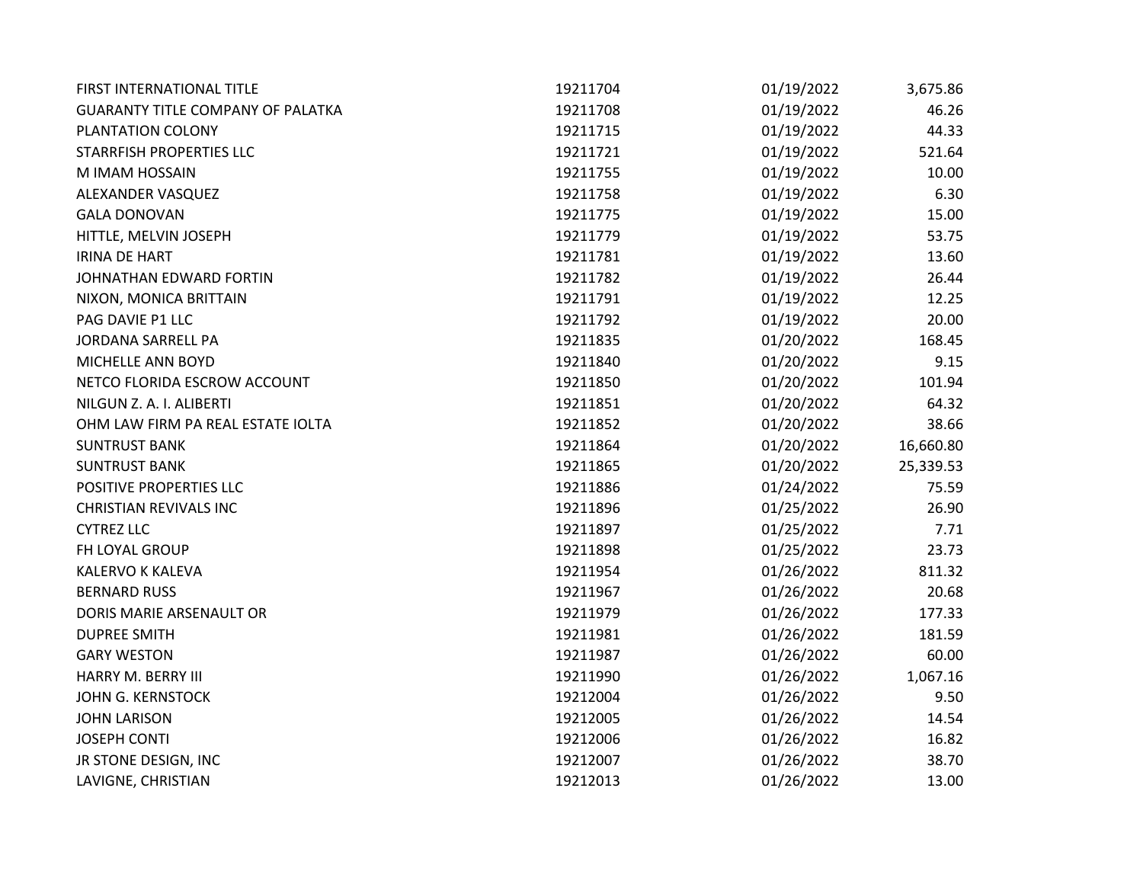| FIRST INTERNATIONAL TITLE                | 19211704 | 01/19/2022 | 3,675.86  |
|------------------------------------------|----------|------------|-----------|
| <b>GUARANTY TITLE COMPANY OF PALATKA</b> | 19211708 | 01/19/2022 | 46.26     |
| PLANTATION COLONY                        | 19211715 | 01/19/2022 | 44.33     |
| STARRFISH PROPERTIES LLC                 | 19211721 | 01/19/2022 | 521.64    |
| M IMAM HOSSAIN                           | 19211755 | 01/19/2022 | 10.00     |
| ALEXANDER VASQUEZ                        | 19211758 | 01/19/2022 | 6.30      |
| <b>GALA DONOVAN</b>                      | 19211775 | 01/19/2022 | 15.00     |
| HITTLE, MELVIN JOSEPH                    | 19211779 | 01/19/2022 | 53.75     |
| <b>IRINA DE HART</b>                     | 19211781 | 01/19/2022 | 13.60     |
| JOHNATHAN EDWARD FORTIN                  | 19211782 | 01/19/2022 | 26.44     |
| NIXON, MONICA BRITTAIN                   | 19211791 | 01/19/2022 | 12.25     |
| PAG DAVIE P1 LLC                         | 19211792 | 01/19/2022 | 20.00     |
| <b>JORDANA SARRELL PA</b>                | 19211835 | 01/20/2022 | 168.45    |
| MICHELLE ANN BOYD                        | 19211840 | 01/20/2022 | 9.15      |
| NETCO FLORIDA ESCROW ACCOUNT             | 19211850 | 01/20/2022 | 101.94    |
| NILGUN Z. A. I. ALIBERTI                 | 19211851 | 01/20/2022 | 64.32     |
| OHM LAW FIRM PA REAL ESTATE IOLTA        | 19211852 | 01/20/2022 | 38.66     |
| <b>SUNTRUST BANK</b>                     | 19211864 | 01/20/2022 | 16,660.80 |
| <b>SUNTRUST BANK</b>                     | 19211865 | 01/20/2022 | 25,339.53 |
| POSITIVE PROPERTIES LLC                  | 19211886 | 01/24/2022 | 75.59     |
| <b>CHRISTIAN REVIVALS INC</b>            | 19211896 | 01/25/2022 | 26.90     |
| <b>CYTREZ LLC</b>                        | 19211897 | 01/25/2022 | 7.71      |
| FH LOYAL GROUP                           | 19211898 | 01/25/2022 | 23.73     |
| KALERVO K KALEVA                         | 19211954 | 01/26/2022 | 811.32    |
| <b>BERNARD RUSS</b>                      | 19211967 | 01/26/2022 | 20.68     |
| DORIS MARIE ARSENAULT OR                 | 19211979 | 01/26/2022 | 177.33    |
| <b>DUPREE SMITH</b>                      | 19211981 | 01/26/2022 | 181.59    |
| <b>GARY WESTON</b>                       | 19211987 | 01/26/2022 | 60.00     |
| HARRY M. BERRY III                       | 19211990 | 01/26/2022 | 1,067.16  |
| <b>JOHN G. KERNSTOCK</b>                 | 19212004 | 01/26/2022 | 9.50      |
| <b>JOHN LARISON</b>                      | 19212005 | 01/26/2022 | 14.54     |
| <b>JOSEPH CONTI</b>                      | 19212006 | 01/26/2022 | 16.82     |
| JR STONE DESIGN, INC                     | 19212007 | 01/26/2022 | 38.70     |
| LAVIGNE, CHRISTIAN                       | 19212013 | 01/26/2022 | 13.00     |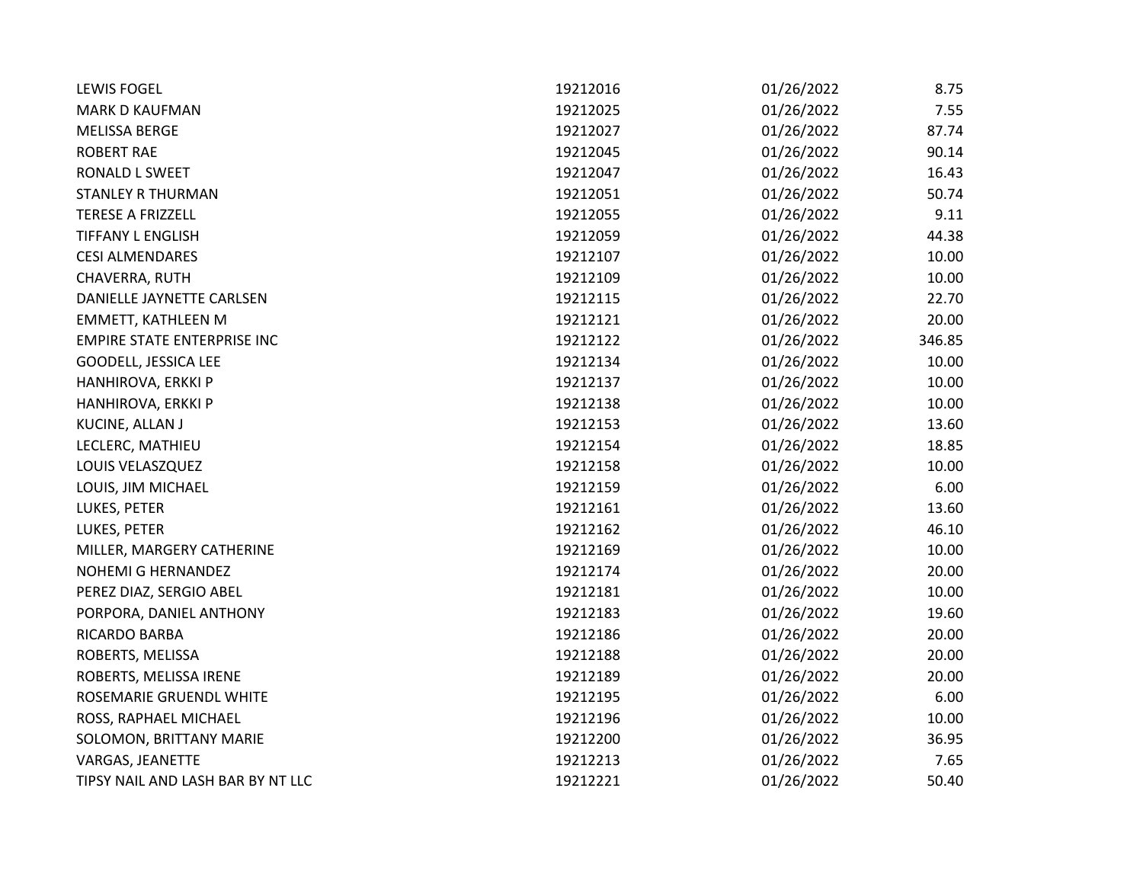| <b>LEWIS FOGEL</b>                 | 19212016 | 01/26/2022 | 8.75   |
|------------------------------------|----------|------------|--------|
| <b>MARK D KAUFMAN</b>              | 19212025 | 01/26/2022 | 7.55   |
| <b>MELISSA BERGE</b>               | 19212027 | 01/26/2022 | 87.74  |
| <b>ROBERT RAE</b>                  | 19212045 | 01/26/2022 | 90.14  |
| RONALD L SWEET                     | 19212047 | 01/26/2022 | 16.43  |
| <b>STANLEY R THURMAN</b>           | 19212051 | 01/26/2022 | 50.74  |
| <b>TERESE A FRIZZELL</b>           | 19212055 | 01/26/2022 | 9.11   |
| <b>TIFFANY L ENGLISH</b>           | 19212059 | 01/26/2022 | 44.38  |
| <b>CESI ALMENDARES</b>             | 19212107 | 01/26/2022 | 10.00  |
| CHAVERRA, RUTH                     | 19212109 | 01/26/2022 | 10.00  |
| DANIELLE JAYNETTE CARLSEN          | 19212115 | 01/26/2022 | 22.70  |
| EMMETT, KATHLEEN M                 | 19212121 | 01/26/2022 | 20.00  |
| <b>EMPIRE STATE ENTERPRISE INC</b> | 19212122 | 01/26/2022 | 346.85 |
| GOODELL, JESSICA LEE               | 19212134 | 01/26/2022 | 10.00  |
| HANHIROVA, ERKKI P                 | 19212137 | 01/26/2022 | 10.00  |
| HANHIROVA, ERKKI P                 | 19212138 | 01/26/2022 | 10.00  |
| KUCINE, ALLAN J                    | 19212153 | 01/26/2022 | 13.60  |
| LECLERC, MATHIEU                   | 19212154 | 01/26/2022 | 18.85  |
| LOUIS VELASZQUEZ                   | 19212158 | 01/26/2022 | 10.00  |
| LOUIS, JIM MICHAEL                 | 19212159 | 01/26/2022 | 6.00   |
| LUKES, PETER                       | 19212161 | 01/26/2022 | 13.60  |
| LUKES, PETER                       | 19212162 | 01/26/2022 | 46.10  |
| MILLER, MARGERY CATHERINE          | 19212169 | 01/26/2022 | 10.00  |
| NOHEMI G HERNANDEZ                 | 19212174 | 01/26/2022 | 20.00  |
| PEREZ DIAZ, SERGIO ABEL            | 19212181 | 01/26/2022 | 10.00  |
| PORPORA, DANIEL ANTHONY            | 19212183 | 01/26/2022 | 19.60  |
| RICARDO BARBA                      | 19212186 | 01/26/2022 | 20.00  |
| ROBERTS, MELISSA                   | 19212188 | 01/26/2022 | 20.00  |
| ROBERTS, MELISSA IRENE             | 19212189 | 01/26/2022 | 20.00  |
| ROSEMARIE GRUENDL WHITE            | 19212195 | 01/26/2022 | 6.00   |
| ROSS, RAPHAEL MICHAEL              | 19212196 | 01/26/2022 | 10.00  |
| SOLOMON, BRITTANY MARIE            | 19212200 | 01/26/2022 | 36.95  |
| VARGAS, JEANETTE                   | 19212213 | 01/26/2022 | 7.65   |
| TIPSY NAIL AND LASH BAR BY NT LLC  | 19212221 | 01/26/2022 | 50.40  |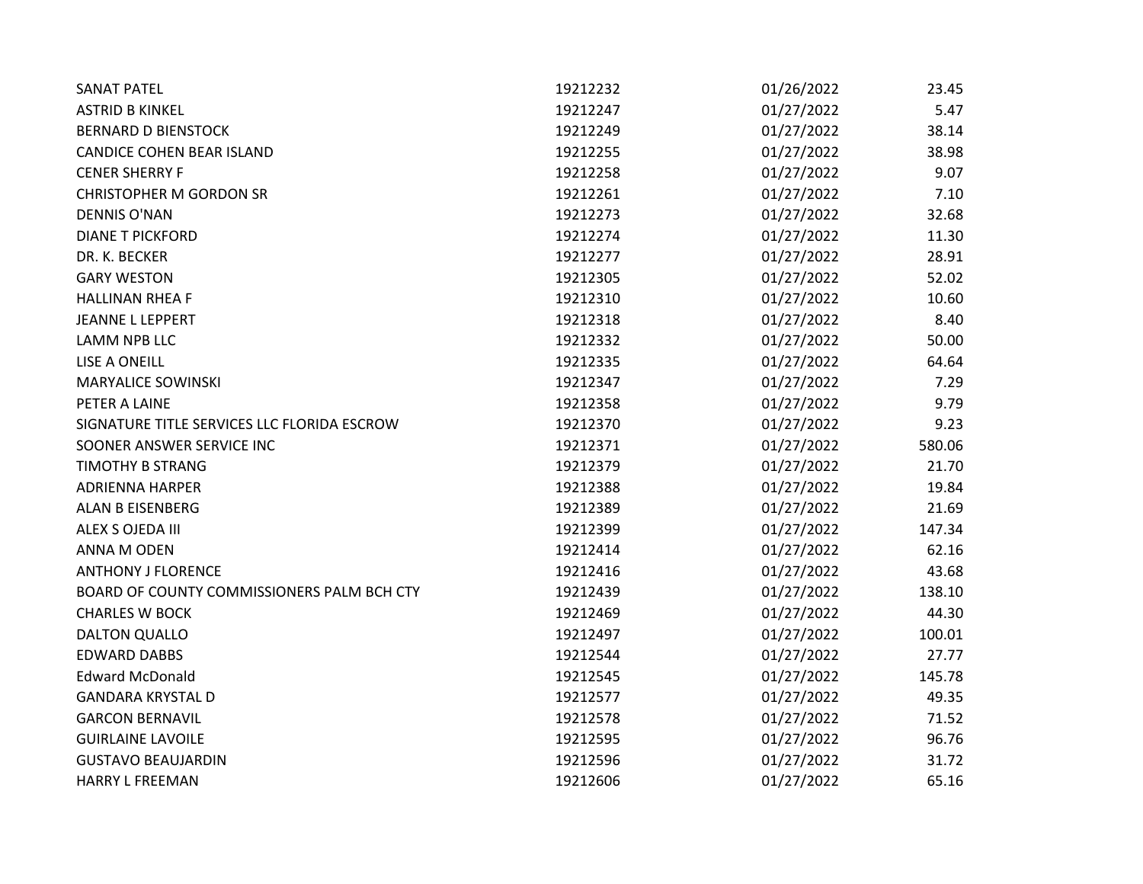| <b>SANAT PATEL</b>                          | 19212232 | 01/26/2022 | 23.45  |
|---------------------------------------------|----------|------------|--------|
| <b>ASTRID B KINKEL</b>                      | 19212247 | 01/27/2022 | 5.47   |
| <b>BERNARD D BIENSTOCK</b>                  | 19212249 | 01/27/2022 | 38.14  |
| <b>CANDICE COHEN BEAR ISLAND</b>            | 19212255 | 01/27/2022 | 38.98  |
| <b>CENER SHERRY F</b>                       | 19212258 | 01/27/2022 | 9.07   |
| <b>CHRISTOPHER M GORDON SR</b>              | 19212261 | 01/27/2022 | 7.10   |
| <b>DENNIS O'NAN</b>                         | 19212273 | 01/27/2022 | 32.68  |
| <b>DIANE T PICKFORD</b>                     | 19212274 | 01/27/2022 | 11.30  |
| DR. K. BECKER                               | 19212277 | 01/27/2022 | 28.91  |
| <b>GARY WESTON</b>                          | 19212305 | 01/27/2022 | 52.02  |
| <b>HALLINAN RHEA F</b>                      | 19212310 | 01/27/2022 | 10.60  |
| <b>JEANNE L LEPPERT</b>                     | 19212318 | 01/27/2022 | 8.40   |
| <b>LAMM NPB LLC</b>                         | 19212332 | 01/27/2022 | 50.00  |
| LISE A ONEILL                               | 19212335 | 01/27/2022 | 64.64  |
| <b>MARYALICE SOWINSKI</b>                   | 19212347 | 01/27/2022 | 7.29   |
| PETER A LAINE                               | 19212358 | 01/27/2022 | 9.79   |
| SIGNATURE TITLE SERVICES LLC FLORIDA ESCROW | 19212370 | 01/27/2022 | 9.23   |
| SOONER ANSWER SERVICE INC                   | 19212371 | 01/27/2022 | 580.06 |
| <b>TIMOTHY B STRANG</b>                     | 19212379 | 01/27/2022 | 21.70  |
| <b>ADRIENNA HARPER</b>                      | 19212388 | 01/27/2022 | 19.84  |
| <b>ALAN B EISENBERG</b>                     | 19212389 | 01/27/2022 | 21.69  |
| ALEX S OJEDA III                            | 19212399 | 01/27/2022 | 147.34 |
| ANNA M ODEN                                 | 19212414 | 01/27/2022 | 62.16  |
| <b>ANTHONY J FLORENCE</b>                   | 19212416 | 01/27/2022 | 43.68  |
| BOARD OF COUNTY COMMISSIONERS PALM BCH CTY  | 19212439 | 01/27/2022 | 138.10 |
| <b>CHARLES W BOCK</b>                       | 19212469 | 01/27/2022 | 44.30  |
| <b>DALTON QUALLO</b>                        | 19212497 | 01/27/2022 | 100.01 |
| <b>EDWARD DABBS</b>                         | 19212544 | 01/27/2022 | 27.77  |
| <b>Edward McDonald</b>                      | 19212545 | 01/27/2022 | 145.78 |
| <b>GANDARA KRYSTAL D</b>                    | 19212577 | 01/27/2022 | 49.35  |
| <b>GARCON BERNAVIL</b>                      | 19212578 | 01/27/2022 | 71.52  |
| <b>GUIRLAINE LAVOILE</b>                    | 19212595 | 01/27/2022 | 96.76  |
| <b>GUSTAVO BEAUJARDIN</b>                   | 19212596 | 01/27/2022 | 31.72  |
| <b>HARRY L FREEMAN</b>                      | 19212606 | 01/27/2022 | 65.16  |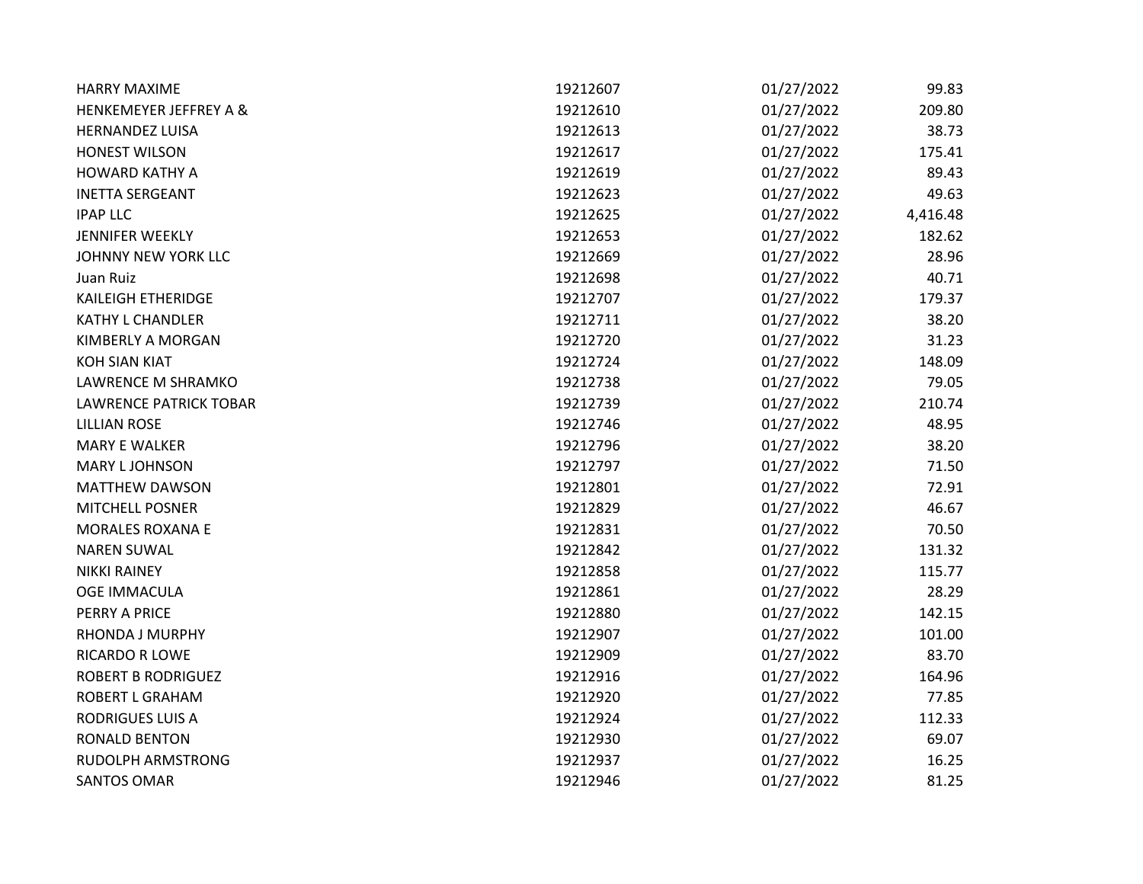| <b>HARRY MAXIME</b>               | 19212607 | 01/27/2022 | 99.83    |
|-----------------------------------|----------|------------|----------|
| <b>HENKEMEYER JEFFREY A &amp;</b> | 19212610 | 01/27/2022 | 209.80   |
| <b>HERNANDEZ LUISA</b>            | 19212613 | 01/27/2022 | 38.73    |
| <b>HONEST WILSON</b>              | 19212617 | 01/27/2022 | 175.41   |
| <b>HOWARD KATHY A</b>             | 19212619 | 01/27/2022 | 89.43    |
| <b>INETTA SERGEANT</b>            | 19212623 | 01/27/2022 | 49.63    |
| <b>IPAP LLC</b>                   | 19212625 | 01/27/2022 | 4,416.48 |
| <b>JENNIFER WEEKLY</b>            | 19212653 | 01/27/2022 | 182.62   |
| JOHNNY NEW YORK LLC               | 19212669 | 01/27/2022 | 28.96    |
| Juan Ruiz                         | 19212698 | 01/27/2022 | 40.71    |
| <b>KAILEIGH ETHERIDGE</b>         | 19212707 | 01/27/2022 | 179.37   |
| <b>KATHY L CHANDLER</b>           | 19212711 | 01/27/2022 | 38.20    |
| KIMBERLY A MORGAN                 | 19212720 | 01/27/2022 | 31.23    |
| <b>KOH SIAN KIAT</b>              | 19212724 | 01/27/2022 | 148.09   |
| LAWRENCE M SHRAMKO                | 19212738 | 01/27/2022 | 79.05    |
| <b>LAWRENCE PATRICK TOBAR</b>     | 19212739 | 01/27/2022 | 210.74   |
| <b>LILLIAN ROSE</b>               | 19212746 | 01/27/2022 | 48.95    |
| <b>MARY E WALKER</b>              | 19212796 | 01/27/2022 | 38.20    |
| <b>MARY LJOHNSON</b>              | 19212797 | 01/27/2022 | 71.50    |
| <b>MATTHEW DAWSON</b>             | 19212801 | 01/27/2022 | 72.91    |
| <b>MITCHELL POSNER</b>            | 19212829 | 01/27/2022 | 46.67    |
| <b>MORALES ROXANA E</b>           | 19212831 | 01/27/2022 | 70.50    |
| <b>NAREN SUWAL</b>                | 19212842 | 01/27/2022 | 131.32   |
| <b>NIKKI RAINEY</b>               | 19212858 | 01/27/2022 | 115.77   |
| <b>OGE IMMACULA</b>               | 19212861 | 01/27/2022 | 28.29    |
| PERRY A PRICE                     | 19212880 | 01/27/2022 | 142.15   |
| RHONDA J MURPHY                   | 19212907 | 01/27/2022 | 101.00   |
| <b>RICARDO R LOWE</b>             | 19212909 | 01/27/2022 | 83.70    |
| <b>ROBERT B RODRIGUEZ</b>         | 19212916 | 01/27/2022 | 164.96   |
| <b>ROBERT L GRAHAM</b>            | 19212920 | 01/27/2022 | 77.85    |
| <b>RODRIGUES LUIS A</b>           | 19212924 | 01/27/2022 | 112.33   |
| <b>RONALD BENTON</b>              | 19212930 | 01/27/2022 | 69.07    |
| <b>RUDOLPH ARMSTRONG</b>          | 19212937 | 01/27/2022 | 16.25    |
| SANTOS OMAR                       | 19212946 | 01/27/2022 | 81.25    |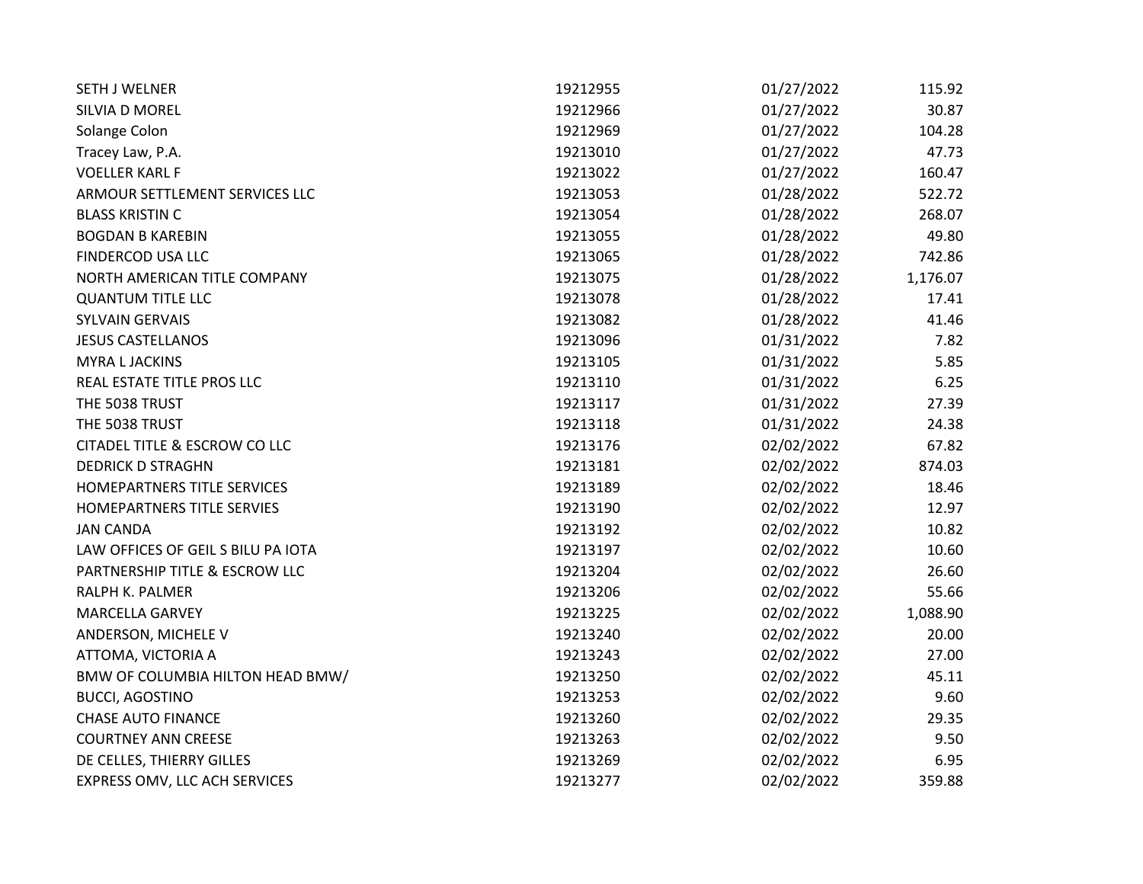| <b>SETH J WELNER</b>               | 19212955 | 01/27/2022 | 115.92   |
|------------------------------------|----------|------------|----------|
| SILVIA D MOREL                     | 19212966 | 01/27/2022 | 30.87    |
| Solange Colon                      | 19212969 | 01/27/2022 | 104.28   |
| Tracey Law, P.A.                   | 19213010 | 01/27/2022 | 47.73    |
| <b>VOELLER KARL F</b>              | 19213022 | 01/27/2022 | 160.47   |
| ARMOUR SETTLEMENT SERVICES LLC     | 19213053 | 01/28/2022 | 522.72   |
| <b>BLASS KRISTIN C</b>             | 19213054 | 01/28/2022 | 268.07   |
| <b>BOGDAN B KAREBIN</b>            | 19213055 | 01/28/2022 | 49.80    |
| FINDERCOD USA LLC                  | 19213065 | 01/28/2022 | 742.86   |
| NORTH AMERICAN TITLE COMPANY       | 19213075 | 01/28/2022 | 1,176.07 |
| <b>QUANTUM TITLE LLC</b>           | 19213078 | 01/28/2022 | 17.41    |
| <b>SYLVAIN GERVAIS</b>             | 19213082 | 01/28/2022 | 41.46    |
| <b>JESUS CASTELLANOS</b>           | 19213096 | 01/31/2022 | 7.82     |
| <b>MYRA L JACKINS</b>              | 19213105 | 01/31/2022 | 5.85     |
| REAL ESTATE TITLE PROS LLC         | 19213110 | 01/31/2022 | 6.25     |
| THE 5038 TRUST                     | 19213117 | 01/31/2022 | 27.39    |
| THE 5038 TRUST                     | 19213118 | 01/31/2022 | 24.38    |
| CITADEL TITLE & ESCROW CO LLC      | 19213176 | 02/02/2022 | 67.82    |
| <b>DEDRICK D STRAGHN</b>           | 19213181 | 02/02/2022 | 874.03   |
| HOMEPARTNERS TITLE SERVICES        | 19213189 | 02/02/2022 | 18.46    |
| HOMEPARTNERS TITLE SERVIES         | 19213190 | 02/02/2022 | 12.97    |
| <b>JAN CANDA</b>                   | 19213192 | 02/02/2022 | 10.82    |
| LAW OFFICES OF GEIL S BILU PA IOTA | 19213197 | 02/02/2022 | 10.60    |
| PARTNERSHIP TITLE & ESCROW LLC     | 19213204 | 02/02/2022 | 26.60    |
| RALPH K. PALMER                    | 19213206 | 02/02/2022 | 55.66    |
| <b>MARCELLA GARVEY</b>             | 19213225 | 02/02/2022 | 1,088.90 |
| ANDERSON, MICHELE V                | 19213240 | 02/02/2022 | 20.00    |
| ATTOMA, VICTORIA A                 | 19213243 | 02/02/2022 | 27.00    |
| BMW OF COLUMBIA HILTON HEAD BMW/   | 19213250 | 02/02/2022 | 45.11    |
| <b>BUCCI, AGOSTINO</b>             | 19213253 | 02/02/2022 | 9.60     |
| <b>CHASE AUTO FINANCE</b>          | 19213260 | 02/02/2022 | 29.35    |
| <b>COURTNEY ANN CREESE</b>         | 19213263 | 02/02/2022 | 9.50     |
| DE CELLES, THIERRY GILLES          | 19213269 | 02/02/2022 | 6.95     |
| EXPRESS OMV, LLC ACH SERVICES      | 19213277 | 02/02/2022 | 359.88   |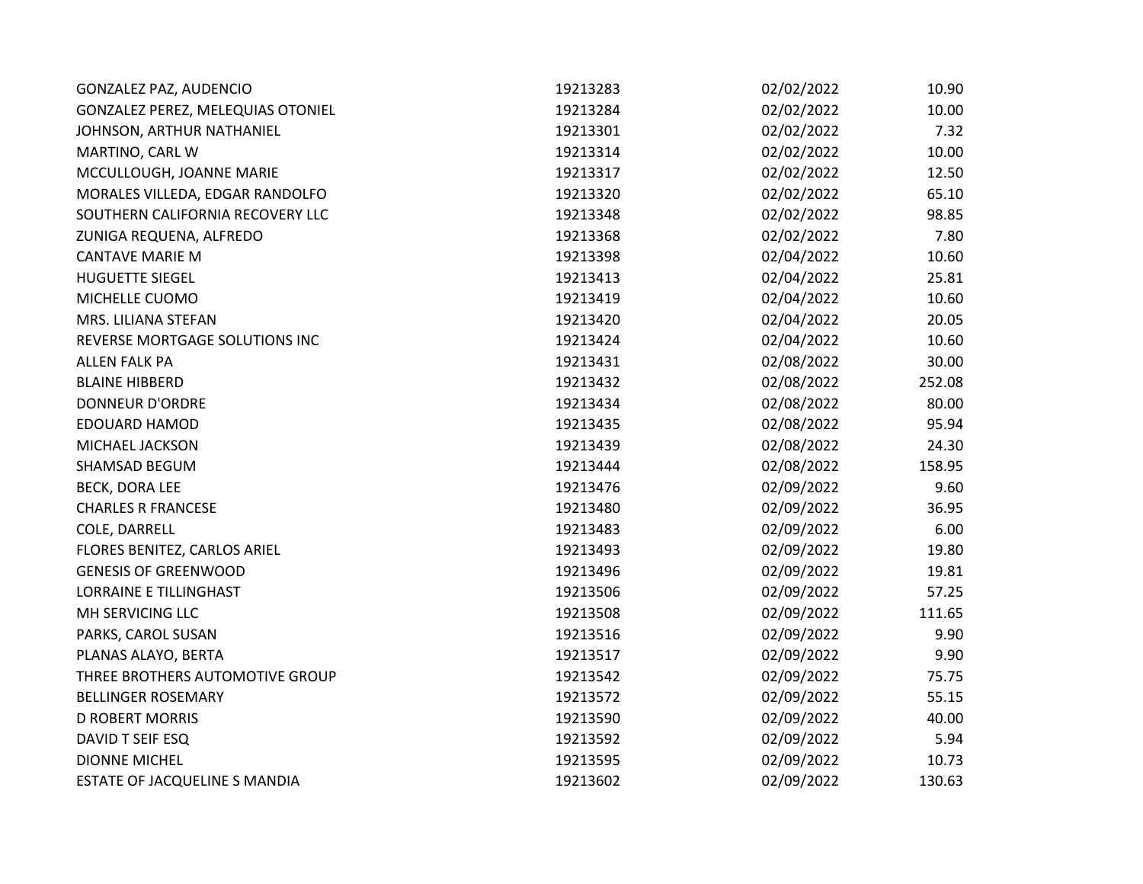| GONZALEZ PAZ, AUDENCIO            | 19213283 | 02/02/2022 | 10.90  |
|-----------------------------------|----------|------------|--------|
| GONZALEZ PEREZ, MELEQUIAS OTONIEL | 19213284 | 02/02/2022 | 10.00  |
| JOHNSON, ARTHUR NATHANIEL         | 19213301 | 02/02/2022 | 7.32   |
| MARTINO, CARL W                   | 19213314 | 02/02/2022 | 10.00  |
| MCCULLOUGH, JOANNE MARIE          | 19213317 | 02/02/2022 | 12.50  |
| MORALES VILLEDA, EDGAR RANDOLFO   | 19213320 | 02/02/2022 | 65.10  |
| SOUTHERN CALIFORNIA RECOVERY LLC  | 19213348 | 02/02/2022 | 98.85  |
| ZUNIGA REQUENA, ALFREDO           | 19213368 | 02/02/2022 | 7.80   |
| <b>CANTAVE MARIE M</b>            | 19213398 | 02/04/2022 | 10.60  |
| <b>HUGUETTE SIEGEL</b>            | 19213413 | 02/04/2022 | 25.81  |
| MICHELLE CUOMO                    | 19213419 | 02/04/2022 | 10.60  |
| MRS. LILIANA STEFAN               | 19213420 | 02/04/2022 | 20.05  |
| REVERSE MORTGAGE SOLUTIONS INC    | 19213424 | 02/04/2022 | 10.60  |
| <b>ALLEN FALK PA</b>              | 19213431 | 02/08/2022 | 30.00  |
| <b>BLAINE HIBBERD</b>             | 19213432 | 02/08/2022 | 252.08 |
| DONNEUR D'ORDRE                   | 19213434 | 02/08/2022 | 80.00  |
| <b>EDOUARD HAMOD</b>              | 19213435 | 02/08/2022 | 95.94  |
| MICHAEL JACKSON                   | 19213439 | 02/08/2022 | 24.30  |
| SHAMSAD BEGUM                     | 19213444 | 02/08/2022 | 158.95 |
| <b>BECK, DORA LEE</b>             | 19213476 | 02/09/2022 | 9.60   |
| <b>CHARLES R FRANCESE</b>         | 19213480 | 02/09/2022 | 36.95  |
| COLE, DARRELL                     | 19213483 | 02/09/2022 | 6.00   |
| FLORES BENITEZ, CARLOS ARIEL      | 19213493 | 02/09/2022 | 19.80  |
| <b>GENESIS OF GREENWOOD</b>       | 19213496 | 02/09/2022 | 19.81  |
| <b>LORRAINE E TILLINGHAST</b>     | 19213506 | 02/09/2022 | 57.25  |
| MH SERVICING LLC                  | 19213508 | 02/09/2022 | 111.65 |
| PARKS, CAROL SUSAN                | 19213516 | 02/09/2022 | 9.90   |
| PLANAS ALAYO, BERTA               | 19213517 | 02/09/2022 | 9.90   |
| THREE BROTHERS AUTOMOTIVE GROUP   | 19213542 | 02/09/2022 | 75.75  |
| <b>BELLINGER ROSEMARY</b>         | 19213572 | 02/09/2022 | 55.15  |
| <b>D ROBERT MORRIS</b>            | 19213590 | 02/09/2022 | 40.00  |
| DAVID T SEIF ESQ                  | 19213592 | 02/09/2022 | 5.94   |
| <b>DIONNE MICHEL</b>              | 19213595 | 02/09/2022 | 10.73  |
| ESTATE OF JACQUELINE S MANDIA     | 19213602 | 02/09/2022 | 130.63 |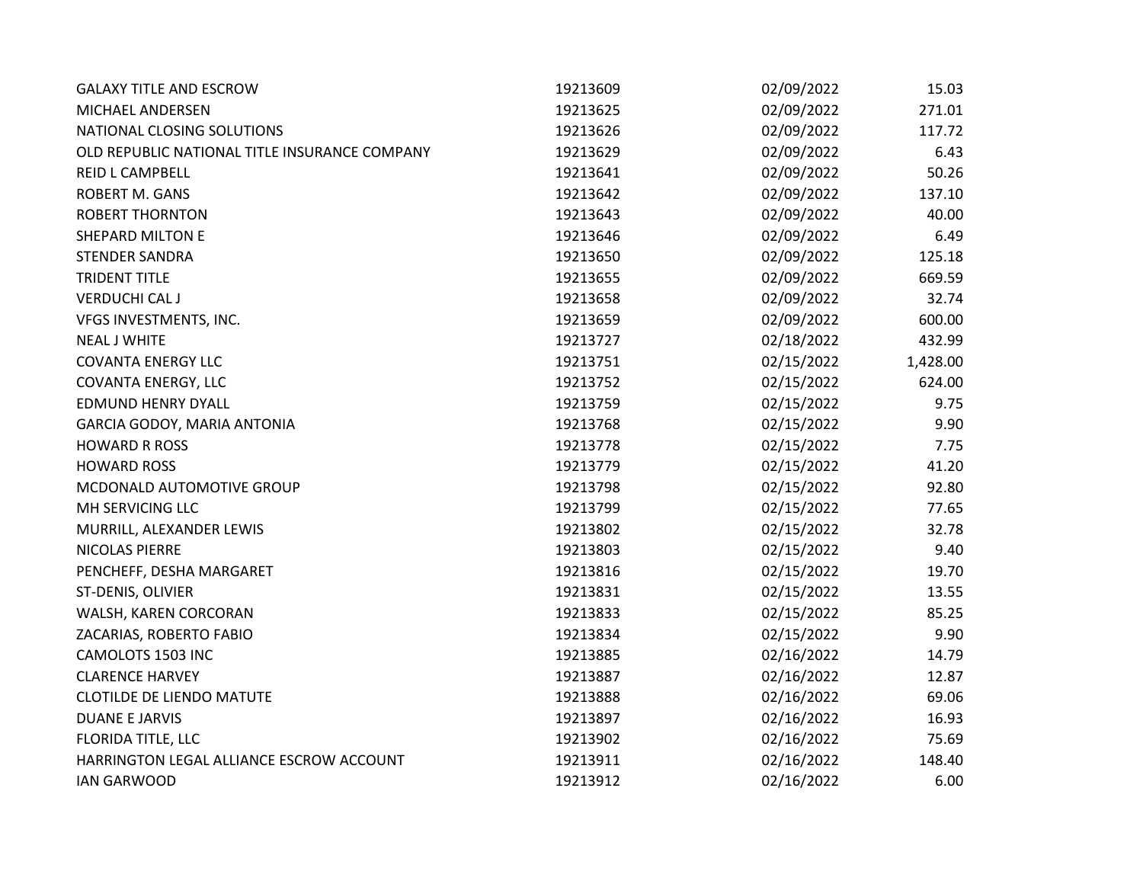| <b>GALAXY TITLE AND ESCROW</b>                | 19213609 | 02/09/2022 | 15.03    |
|-----------------------------------------------|----------|------------|----------|
| <b>MICHAEL ANDERSEN</b>                       | 19213625 | 02/09/2022 | 271.01   |
| NATIONAL CLOSING SOLUTIONS                    | 19213626 | 02/09/2022 | 117.72   |
| OLD REPUBLIC NATIONAL TITLE INSURANCE COMPANY | 19213629 | 02/09/2022 | 6.43     |
| REID L CAMPBELL                               | 19213641 | 02/09/2022 | 50.26    |
| <b>ROBERT M. GANS</b>                         | 19213642 | 02/09/2022 | 137.10   |
| <b>ROBERT THORNTON</b>                        | 19213643 | 02/09/2022 | 40.00    |
| <b>SHEPARD MILTON E</b>                       | 19213646 | 02/09/2022 | 6.49     |
| <b>STENDER SANDRA</b>                         | 19213650 | 02/09/2022 | 125.18   |
| <b>TRIDENT TITLE</b>                          | 19213655 | 02/09/2022 | 669.59   |
| <b>VERDUCHI CAL J</b>                         | 19213658 | 02/09/2022 | 32.74    |
| VFGS INVESTMENTS, INC.                        | 19213659 | 02/09/2022 | 600.00   |
| <b>NEAL J WHITE</b>                           | 19213727 | 02/18/2022 | 432.99   |
| <b>COVANTA ENERGY LLC</b>                     | 19213751 | 02/15/2022 | 1,428.00 |
| COVANTA ENERGY, LLC                           | 19213752 | 02/15/2022 | 624.00   |
| <b>EDMUND HENRY DYALL</b>                     | 19213759 | 02/15/2022 | 9.75     |
| GARCIA GODOY, MARIA ANTONIA                   | 19213768 | 02/15/2022 | 9.90     |
| <b>HOWARD R ROSS</b>                          | 19213778 | 02/15/2022 | 7.75     |
| <b>HOWARD ROSS</b>                            | 19213779 | 02/15/2022 | 41.20    |
| MCDONALD AUTOMOTIVE GROUP                     | 19213798 | 02/15/2022 | 92.80    |
| MH SERVICING LLC                              | 19213799 | 02/15/2022 | 77.65    |
| MURRILL, ALEXANDER LEWIS                      | 19213802 | 02/15/2022 | 32.78    |
| NICOLAS PIERRE                                | 19213803 | 02/15/2022 | 9.40     |
| PENCHEFF, DESHA MARGARET                      | 19213816 | 02/15/2022 | 19.70    |
| ST-DENIS, OLIVIER                             | 19213831 | 02/15/2022 | 13.55    |
| WALSH, KAREN CORCORAN                         | 19213833 | 02/15/2022 | 85.25    |
| ZACARIAS, ROBERTO FABIO                       | 19213834 | 02/15/2022 | 9.90     |
| CAMOLOTS 1503 INC                             | 19213885 | 02/16/2022 | 14.79    |
| <b>CLARENCE HARVEY</b>                        | 19213887 | 02/16/2022 | 12.87    |
| <b>CLOTILDE DE LIENDO MATUTE</b>              | 19213888 | 02/16/2022 | 69.06    |
| <b>DUANE E JARVIS</b>                         | 19213897 | 02/16/2022 | 16.93    |
| FLORIDA TITLE, LLC                            | 19213902 | 02/16/2022 | 75.69    |
| HARRINGTON LEGAL ALLIANCE ESCROW ACCOUNT      | 19213911 | 02/16/2022 | 148.40   |
| <b>IAN GARWOOD</b>                            | 19213912 | 02/16/2022 | 6.00     |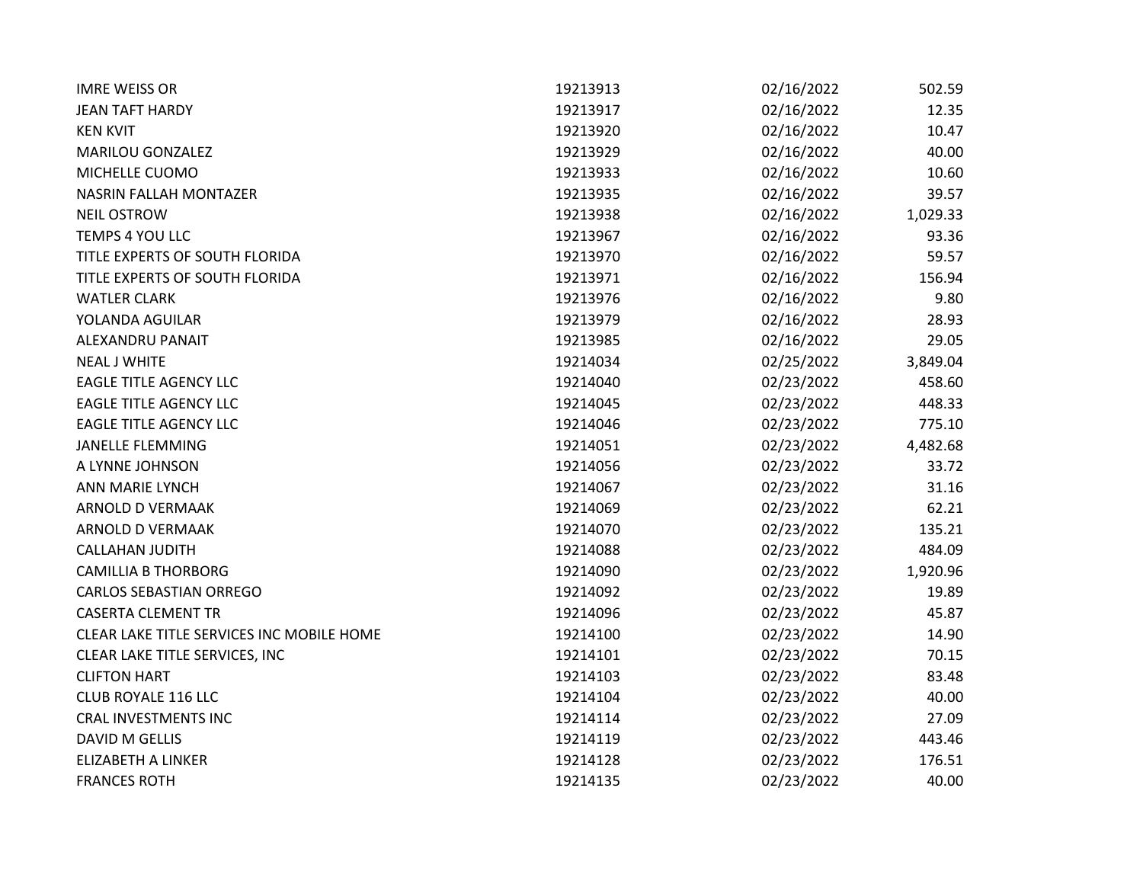| <b>IMRE WEISS OR</b>                      | 19213913 | 02/16/2022 | 502.59   |
|-------------------------------------------|----------|------------|----------|
| <b>JEAN TAFT HARDY</b>                    | 19213917 | 02/16/2022 | 12.35    |
| <b>KEN KVIT</b>                           | 19213920 | 02/16/2022 | 10.47    |
| MARILOU GONZALEZ                          | 19213929 | 02/16/2022 | 40.00    |
| MICHELLE CUOMO                            | 19213933 | 02/16/2022 | 10.60    |
| NASRIN FALLAH MONTAZER                    | 19213935 | 02/16/2022 | 39.57    |
| <b>NEIL OSTROW</b>                        | 19213938 | 02/16/2022 | 1,029.33 |
| TEMPS 4 YOU LLC                           | 19213967 | 02/16/2022 | 93.36    |
| TITLE EXPERTS OF SOUTH FLORIDA            | 19213970 | 02/16/2022 | 59.57    |
| TITLE EXPERTS OF SOUTH FLORIDA            | 19213971 | 02/16/2022 | 156.94   |
| <b>WATLER CLARK</b>                       | 19213976 | 02/16/2022 | 9.80     |
| YOLANDA AGUILAR                           | 19213979 | 02/16/2022 | 28.93    |
| ALEXANDRU PANAIT                          | 19213985 | 02/16/2022 | 29.05    |
| <b>NEAL J WHITE</b>                       | 19214034 | 02/25/2022 | 3,849.04 |
| <b>EAGLE TITLE AGENCY LLC</b>             | 19214040 | 02/23/2022 | 458.60   |
| <b>EAGLE TITLE AGENCY LLC</b>             | 19214045 | 02/23/2022 | 448.33   |
| <b>EAGLE TITLE AGENCY LLC</b>             | 19214046 | 02/23/2022 | 775.10   |
| <b>JANELLE FLEMMING</b>                   | 19214051 | 02/23/2022 | 4,482.68 |
| A LYNNE JOHNSON                           | 19214056 | 02/23/2022 | 33.72    |
| ANN MARIE LYNCH                           | 19214067 | 02/23/2022 | 31.16    |
| ARNOLD D VERMAAK                          | 19214069 | 02/23/2022 | 62.21    |
| ARNOLD D VERMAAK                          | 19214070 | 02/23/2022 | 135.21   |
| <b>CALLAHAN JUDITH</b>                    | 19214088 | 02/23/2022 | 484.09   |
| <b>CAMILLIA B THORBORG</b>                | 19214090 | 02/23/2022 | 1,920.96 |
| <b>CARLOS SEBASTIAN ORREGO</b>            | 19214092 | 02/23/2022 | 19.89    |
| <b>CASERTA CLEMENT TR</b>                 | 19214096 | 02/23/2022 | 45.87    |
| CLEAR LAKE TITLE SERVICES INC MOBILE HOME | 19214100 | 02/23/2022 | 14.90    |
| CLEAR LAKE TITLE SERVICES, INC            | 19214101 | 02/23/2022 | 70.15    |
| <b>CLIFTON HART</b>                       | 19214103 | 02/23/2022 | 83.48    |
| CLUB ROYALE 116 LLC                       | 19214104 | 02/23/2022 | 40.00    |
| <b>CRAL INVESTMENTS INC</b>               | 19214114 | 02/23/2022 | 27.09    |
| <b>DAVID M GELLIS</b>                     | 19214119 | 02/23/2022 | 443.46   |
| <b>ELIZABETH A LINKER</b>                 | 19214128 | 02/23/2022 | 176.51   |
| <b>FRANCES ROTH</b>                       | 19214135 | 02/23/2022 | 40.00    |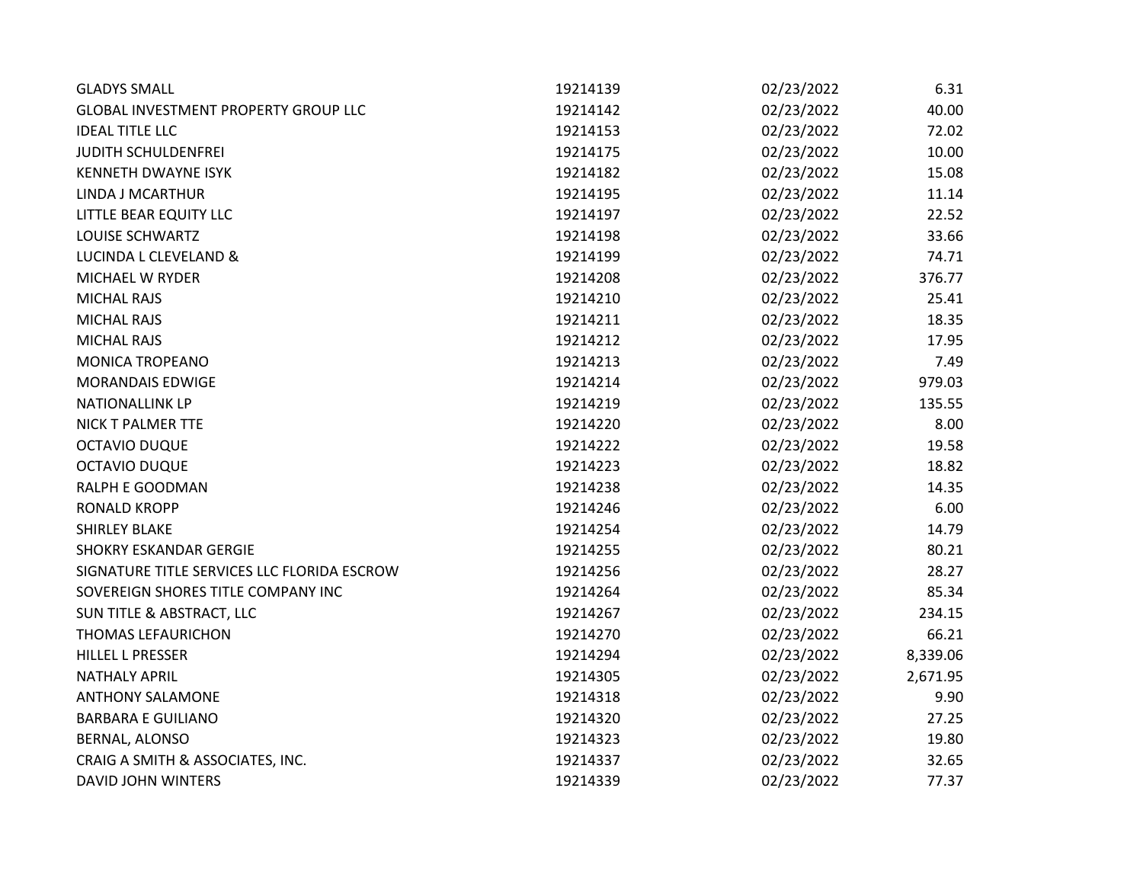| <b>GLADYS SMALL</b>                         | 19214139 | 02/23/2022 | 6.31     |
|---------------------------------------------|----------|------------|----------|
| GLOBAL INVESTMENT PROPERTY GROUP LLC        | 19214142 | 02/23/2022 | 40.00    |
| <b>IDEAL TITLE LLC</b>                      | 19214153 | 02/23/2022 | 72.02    |
| JUDITH SCHULDENFREI                         | 19214175 | 02/23/2022 | 10.00    |
| <b>KENNETH DWAYNE ISYK</b>                  | 19214182 | 02/23/2022 | 15.08    |
| LINDA J MCARTHUR                            | 19214195 | 02/23/2022 | 11.14    |
| LITTLE BEAR EQUITY LLC                      | 19214197 | 02/23/2022 | 22.52    |
| <b>LOUISE SCHWARTZ</b>                      | 19214198 | 02/23/2022 | 33.66    |
| <b>LUCINDA L CLEVELAND &amp;</b>            | 19214199 | 02/23/2022 | 74.71    |
| MICHAEL W RYDER                             | 19214208 | 02/23/2022 | 376.77   |
| <b>MICHAL RAJS</b>                          | 19214210 | 02/23/2022 | 25.41    |
| <b>MICHAL RAJS</b>                          | 19214211 | 02/23/2022 | 18.35    |
| <b>MICHAL RAJS</b>                          | 19214212 | 02/23/2022 | 17.95    |
| <b>MONICA TROPEANO</b>                      | 19214213 | 02/23/2022 | 7.49     |
| <b>MORANDAIS EDWIGE</b>                     | 19214214 | 02/23/2022 | 979.03   |
| <b>NATIONALLINK LP</b>                      | 19214219 | 02/23/2022 | 135.55   |
| NICK T PALMER TTE                           | 19214220 | 02/23/2022 | 8.00     |
| <b>OCTAVIO DUQUE</b>                        | 19214222 | 02/23/2022 | 19.58    |
| <b>OCTAVIO DUQUE</b>                        | 19214223 | 02/23/2022 | 18.82    |
| RALPH E GOODMAN                             | 19214238 | 02/23/2022 | 14.35    |
| <b>RONALD KROPP</b>                         | 19214246 | 02/23/2022 | 6.00     |
| <b>SHIRLEY BLAKE</b>                        | 19214254 | 02/23/2022 | 14.79    |
| SHOKRY ESKANDAR GERGIE                      | 19214255 | 02/23/2022 | 80.21    |
| SIGNATURE TITLE SERVICES LLC FLORIDA ESCROW | 19214256 | 02/23/2022 | 28.27    |
| SOVEREIGN SHORES TITLE COMPANY INC          | 19214264 | 02/23/2022 | 85.34    |
| SUN TITLE & ABSTRACT, LLC                   | 19214267 | 02/23/2022 | 234.15   |
| <b>THOMAS LEFAURICHON</b>                   | 19214270 | 02/23/2022 | 66.21    |
| HILLEL L PRESSER                            | 19214294 | 02/23/2022 | 8,339.06 |
| <b>NATHALY APRIL</b>                        | 19214305 | 02/23/2022 | 2,671.95 |
| <b>ANTHONY SALAMONE</b>                     | 19214318 | 02/23/2022 | 9.90     |
| <b>BARBARA E GUILIANO</b>                   | 19214320 | 02/23/2022 | 27.25    |
| BERNAL, ALONSO                              | 19214323 | 02/23/2022 | 19.80    |
| CRAIG A SMITH & ASSOCIATES, INC.            | 19214337 | 02/23/2022 | 32.65    |
| <b>DAVID JOHN WINTERS</b>                   | 19214339 | 02/23/2022 | 77.37    |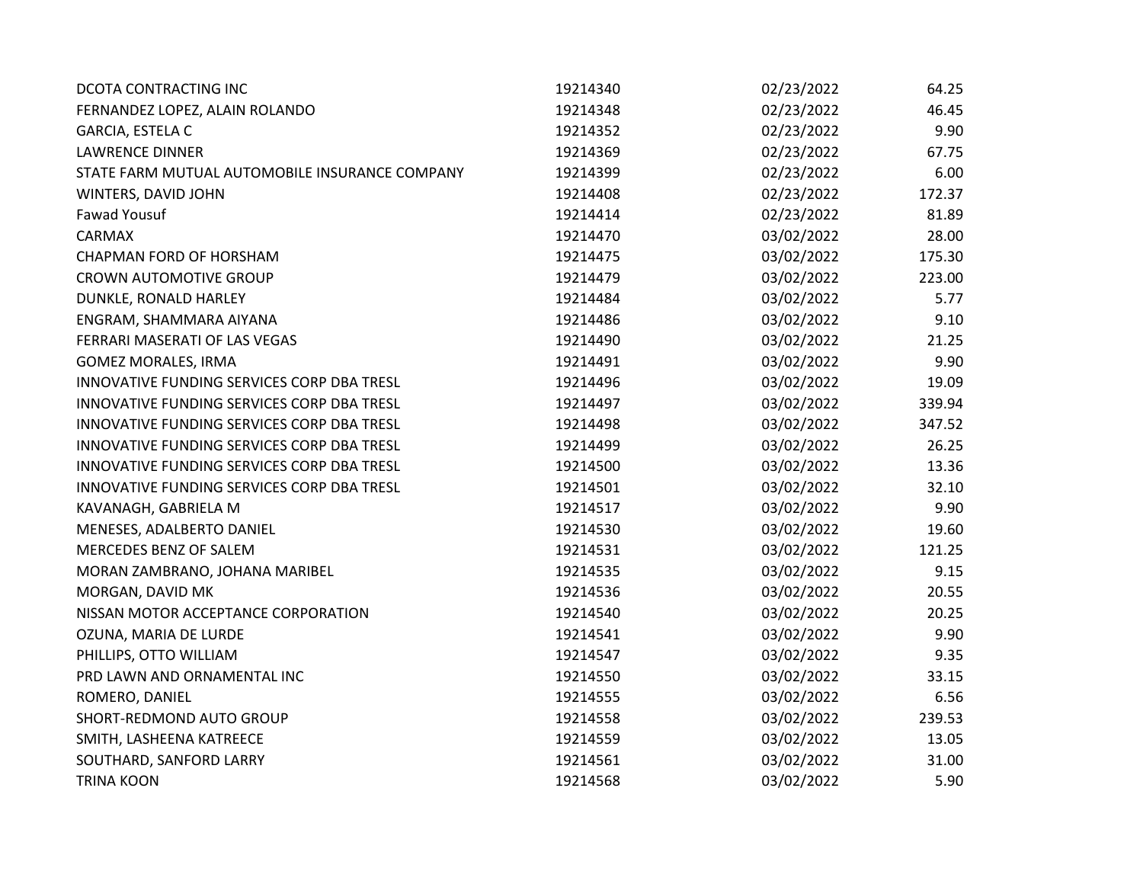| DCOTA CONTRACTING INC                          | 19214340 | 02/23/2022 | 64.25  |
|------------------------------------------------|----------|------------|--------|
| FERNANDEZ LOPEZ, ALAIN ROLANDO                 | 19214348 | 02/23/2022 | 46.45  |
| GARCIA, ESTELA C                               | 19214352 | 02/23/2022 | 9.90   |
| <b>LAWRENCE DINNER</b>                         | 19214369 | 02/23/2022 | 67.75  |
| STATE FARM MUTUAL AUTOMOBILE INSURANCE COMPANY | 19214399 | 02/23/2022 | 6.00   |
| WINTERS, DAVID JOHN                            | 19214408 | 02/23/2022 | 172.37 |
| <b>Fawad Yousuf</b>                            | 19214414 | 02/23/2022 | 81.89  |
| <b>CARMAX</b>                                  | 19214470 | 03/02/2022 | 28.00  |
| CHAPMAN FORD OF HORSHAM                        | 19214475 | 03/02/2022 | 175.30 |
| <b>CROWN AUTOMOTIVE GROUP</b>                  | 19214479 | 03/02/2022 | 223.00 |
| DUNKLE, RONALD HARLEY                          | 19214484 | 03/02/2022 | 5.77   |
| ENGRAM, SHAMMARA AIYANA                        | 19214486 | 03/02/2022 | 9.10   |
| FERRARI MASERATI OF LAS VEGAS                  | 19214490 | 03/02/2022 | 21.25  |
| <b>GOMEZ MORALES, IRMA</b>                     | 19214491 | 03/02/2022 | 9.90   |
| INNOVATIVE FUNDING SERVICES CORP DBA TRESL     | 19214496 | 03/02/2022 | 19.09  |
| INNOVATIVE FUNDING SERVICES CORP DBA TRESL     | 19214497 | 03/02/2022 | 339.94 |
| INNOVATIVE FUNDING SERVICES CORP DBA TRESL     | 19214498 | 03/02/2022 | 347.52 |
| INNOVATIVE FUNDING SERVICES CORP DBA TRESL     | 19214499 | 03/02/2022 | 26.25  |
| INNOVATIVE FUNDING SERVICES CORP DBA TRESL     | 19214500 | 03/02/2022 | 13.36  |
| INNOVATIVE FUNDING SERVICES CORP DBA TRESL     | 19214501 | 03/02/2022 | 32.10  |
| KAVANAGH, GABRIELA M                           | 19214517 | 03/02/2022 | 9.90   |
| MENESES, ADALBERTO DANIEL                      | 19214530 | 03/02/2022 | 19.60  |
| MERCEDES BENZ OF SALEM                         | 19214531 | 03/02/2022 | 121.25 |
| MORAN ZAMBRANO, JOHANA MARIBEL                 | 19214535 | 03/02/2022 | 9.15   |
| MORGAN, DAVID MK                               | 19214536 | 03/02/2022 | 20.55  |
| NISSAN MOTOR ACCEPTANCE CORPORATION            | 19214540 | 03/02/2022 | 20.25  |
| OZUNA, MARIA DE LURDE                          | 19214541 | 03/02/2022 | 9.90   |
| PHILLIPS, OTTO WILLIAM                         | 19214547 | 03/02/2022 | 9.35   |
| PRD LAWN AND ORNAMENTAL INC                    | 19214550 | 03/02/2022 | 33.15  |
| ROMERO, DANIEL                                 | 19214555 | 03/02/2022 | 6.56   |
| SHORT-REDMOND AUTO GROUP                       | 19214558 | 03/02/2022 | 239.53 |
| SMITH, LASHEENA KATREECE                       | 19214559 | 03/02/2022 | 13.05  |
| SOUTHARD, SANFORD LARRY                        | 19214561 | 03/02/2022 | 31.00  |
| <b>TRINA KOON</b>                              | 19214568 | 03/02/2022 | 5.90   |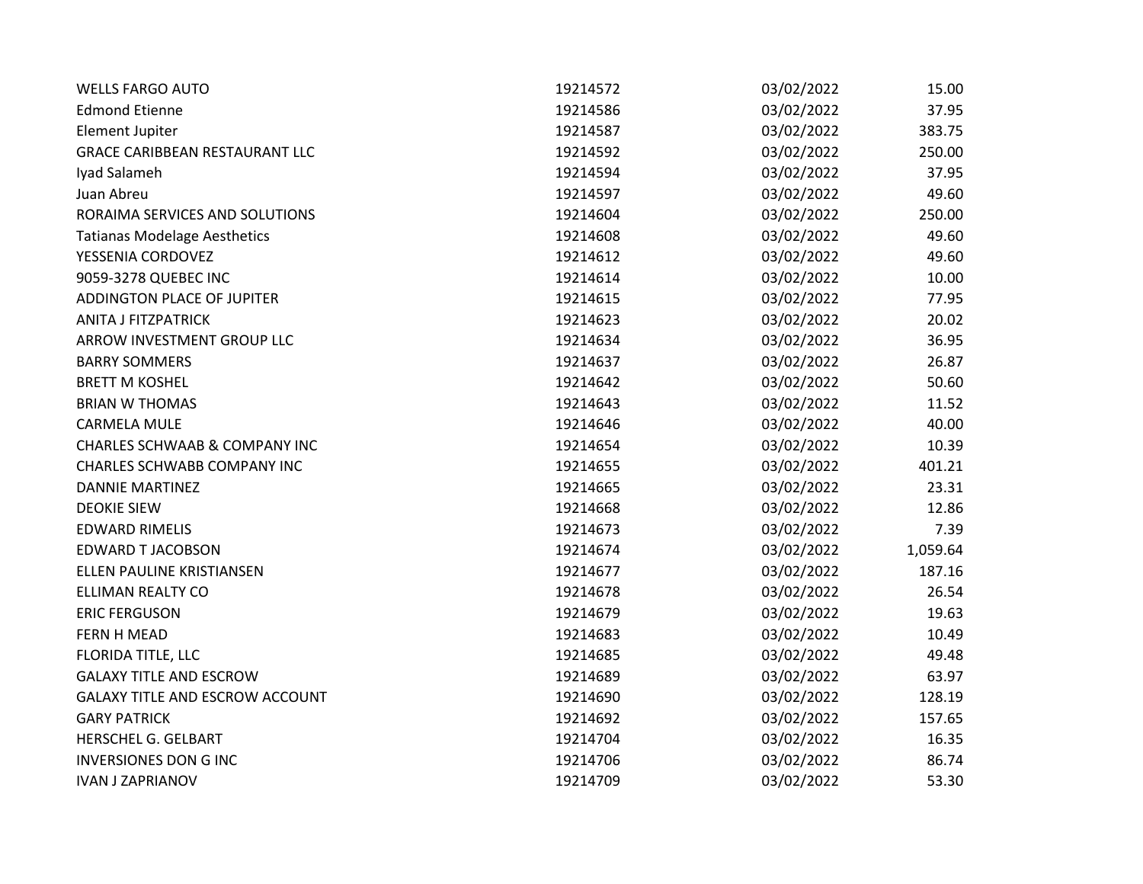| <b>WELLS FARGO AUTO</b>                  | 19214572 | 03/02/2022 | 15.00    |
|------------------------------------------|----------|------------|----------|
| <b>Edmond Etienne</b>                    | 19214586 | 03/02/2022 | 37.95    |
| <b>Element Jupiter</b>                   | 19214587 | 03/02/2022 | 383.75   |
| <b>GRACE CARIBBEAN RESTAURANT LLC</b>    | 19214592 | 03/02/2022 | 250.00   |
| Iyad Salameh                             | 19214594 | 03/02/2022 | 37.95    |
| Juan Abreu                               | 19214597 | 03/02/2022 | 49.60    |
| RORAIMA SERVICES AND SOLUTIONS           | 19214604 | 03/02/2022 | 250.00   |
| <b>Tatianas Modelage Aesthetics</b>      | 19214608 | 03/02/2022 | 49.60    |
| YESSENIA CORDOVEZ                        | 19214612 | 03/02/2022 | 49.60    |
| 9059-3278 QUEBEC INC                     | 19214614 | 03/02/2022 | 10.00    |
| ADDINGTON PLACE OF JUPITER               | 19214615 | 03/02/2022 | 77.95    |
| <b>ANITA J FITZPATRICK</b>               | 19214623 | 03/02/2022 | 20.02    |
| ARROW INVESTMENT GROUP LLC               | 19214634 | 03/02/2022 | 36.95    |
| <b>BARRY SOMMERS</b>                     | 19214637 | 03/02/2022 | 26.87    |
| <b>BRETT M KOSHEL</b>                    | 19214642 | 03/02/2022 | 50.60    |
| <b>BRIAN W THOMAS</b>                    | 19214643 | 03/02/2022 | 11.52    |
| <b>CARMELA MULE</b>                      | 19214646 | 03/02/2022 | 40.00    |
| <b>CHARLES SCHWAAB &amp; COMPANY INC</b> | 19214654 | 03/02/2022 | 10.39    |
| <b>CHARLES SCHWABB COMPANY INC</b>       | 19214655 | 03/02/2022 | 401.21   |
| <b>DANNIE MARTINEZ</b>                   | 19214665 | 03/02/2022 | 23.31    |
| <b>DEOKIE SIEW</b>                       | 19214668 | 03/02/2022 | 12.86    |
| <b>EDWARD RIMELIS</b>                    | 19214673 | 03/02/2022 | 7.39     |
| EDWARD T JACOBSON                        | 19214674 | 03/02/2022 | 1,059.64 |
| ELLEN PAULINE KRISTIANSEN                | 19214677 | 03/02/2022 | 187.16   |
| ELLIMAN REALTY CO                        | 19214678 | 03/02/2022 | 26.54    |
| <b>ERIC FERGUSON</b>                     | 19214679 | 03/02/2022 | 19.63    |
| FERN H MEAD                              | 19214683 | 03/02/2022 | 10.49    |
| FLORIDA TITLE, LLC                       | 19214685 | 03/02/2022 | 49.48    |
| <b>GALAXY TITLE AND ESCROW</b>           | 19214689 | 03/02/2022 | 63.97    |
| <b>GALAXY TITLE AND ESCROW ACCOUNT</b>   | 19214690 | 03/02/2022 | 128.19   |
| <b>GARY PATRICK</b>                      | 19214692 | 03/02/2022 | 157.65   |
| HERSCHEL G. GELBART                      | 19214704 | 03/02/2022 | 16.35    |
| <b>INVERSIONES DON G INC</b>             | 19214706 | 03/02/2022 | 86.74    |
| <b>IVAN J ZAPRIANOV</b>                  | 19214709 | 03/02/2022 | 53.30    |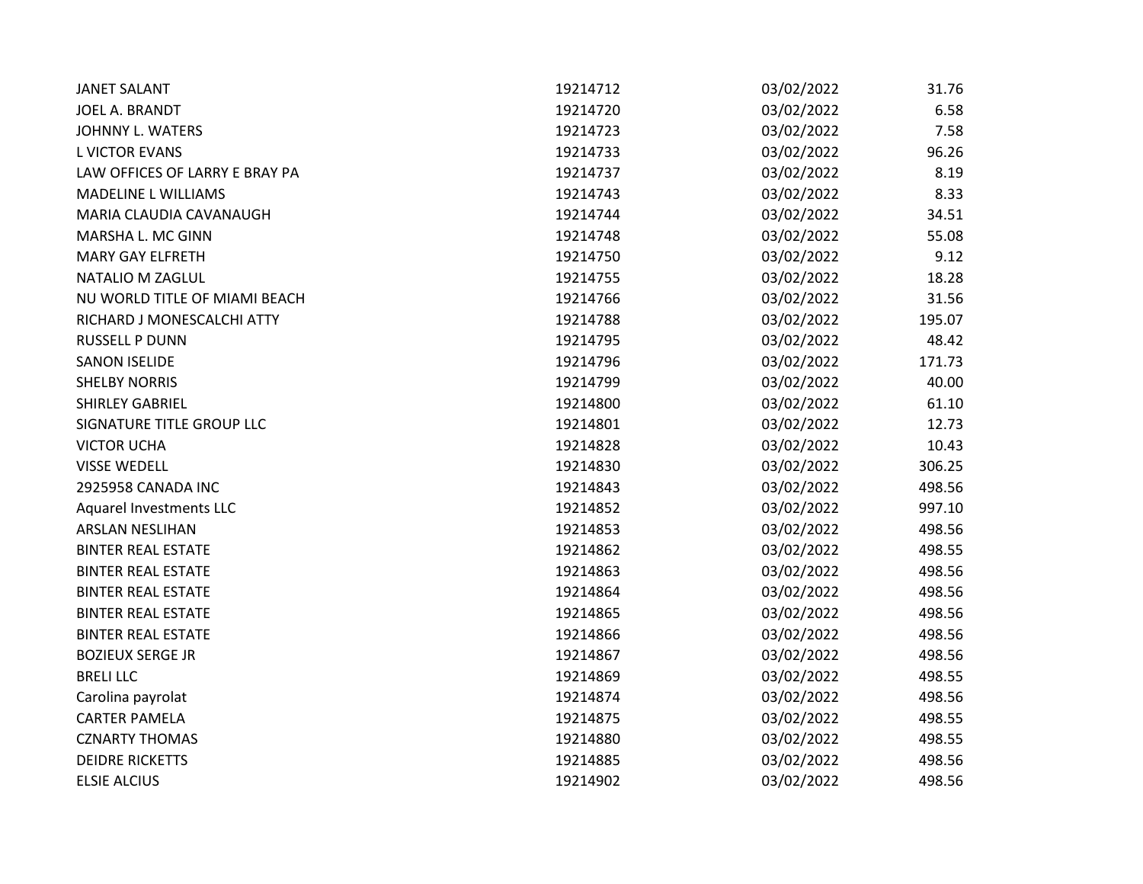| <b>JANET SALANT</b>            | 19214712 | 03/02/2022 | 31.76  |
|--------------------------------|----------|------------|--------|
| JOEL A. BRANDT                 | 19214720 | 03/02/2022 | 6.58   |
| <b>JOHNNY L. WATERS</b>        | 19214723 | 03/02/2022 | 7.58   |
| <b>L VICTOR EVANS</b>          | 19214733 | 03/02/2022 | 96.26  |
| LAW OFFICES OF LARRY E BRAY PA | 19214737 | 03/02/2022 | 8.19   |
| <b>MADELINE L WILLIAMS</b>     | 19214743 | 03/02/2022 | 8.33   |
| MARIA CLAUDIA CAVANAUGH        | 19214744 | 03/02/2022 | 34.51  |
| MARSHA L. MC GINN              | 19214748 | 03/02/2022 | 55.08  |
| <b>MARY GAY ELFRETH</b>        | 19214750 | 03/02/2022 | 9.12   |
| NATALIO M ZAGLUL               | 19214755 | 03/02/2022 | 18.28  |
| NU WORLD TITLE OF MIAMI BEACH  | 19214766 | 03/02/2022 | 31.56  |
| RICHARD J MONESCALCHI ATTY     | 19214788 | 03/02/2022 | 195.07 |
| <b>RUSSELL P DUNN</b>          | 19214795 | 03/02/2022 | 48.42  |
| <b>SANON ISELIDE</b>           | 19214796 | 03/02/2022 | 171.73 |
| <b>SHELBY NORRIS</b>           | 19214799 | 03/02/2022 | 40.00  |
| SHIRLEY GABRIEL                | 19214800 | 03/02/2022 | 61.10  |
| SIGNATURE TITLE GROUP LLC      | 19214801 | 03/02/2022 | 12.73  |
| <b>VICTOR UCHA</b>             | 19214828 | 03/02/2022 | 10.43  |
| <b>VISSE WEDELL</b>            | 19214830 | 03/02/2022 | 306.25 |
| 2925958 CANADA INC             | 19214843 | 03/02/2022 | 498.56 |
| Aquarel Investments LLC        | 19214852 | 03/02/2022 | 997.10 |
| <b>ARSLAN NESLIHAN</b>         | 19214853 | 03/02/2022 | 498.56 |
| <b>BINTER REAL ESTATE</b>      | 19214862 | 03/02/2022 | 498.55 |
| <b>BINTER REAL ESTATE</b>      | 19214863 | 03/02/2022 | 498.56 |
| <b>BINTER REAL ESTATE</b>      | 19214864 | 03/02/2022 | 498.56 |
| <b>BINTER REAL ESTATE</b>      | 19214865 | 03/02/2022 | 498.56 |
| <b>BINTER REAL ESTATE</b>      | 19214866 | 03/02/2022 | 498.56 |
| <b>BOZIEUX SERGE JR</b>        | 19214867 | 03/02/2022 | 498.56 |
| <b>BRELILLC</b>                | 19214869 | 03/02/2022 | 498.55 |
| Carolina payrolat              | 19214874 | 03/02/2022 | 498.56 |
| <b>CARTER PAMELA</b>           | 19214875 | 03/02/2022 | 498.55 |
| <b>CZNARTY THOMAS</b>          | 19214880 | 03/02/2022 | 498.55 |
| <b>DEIDRE RICKETTS</b>         | 19214885 | 03/02/2022 | 498.56 |
| <b>ELSIE ALCIUS</b>            | 19214902 | 03/02/2022 | 498.56 |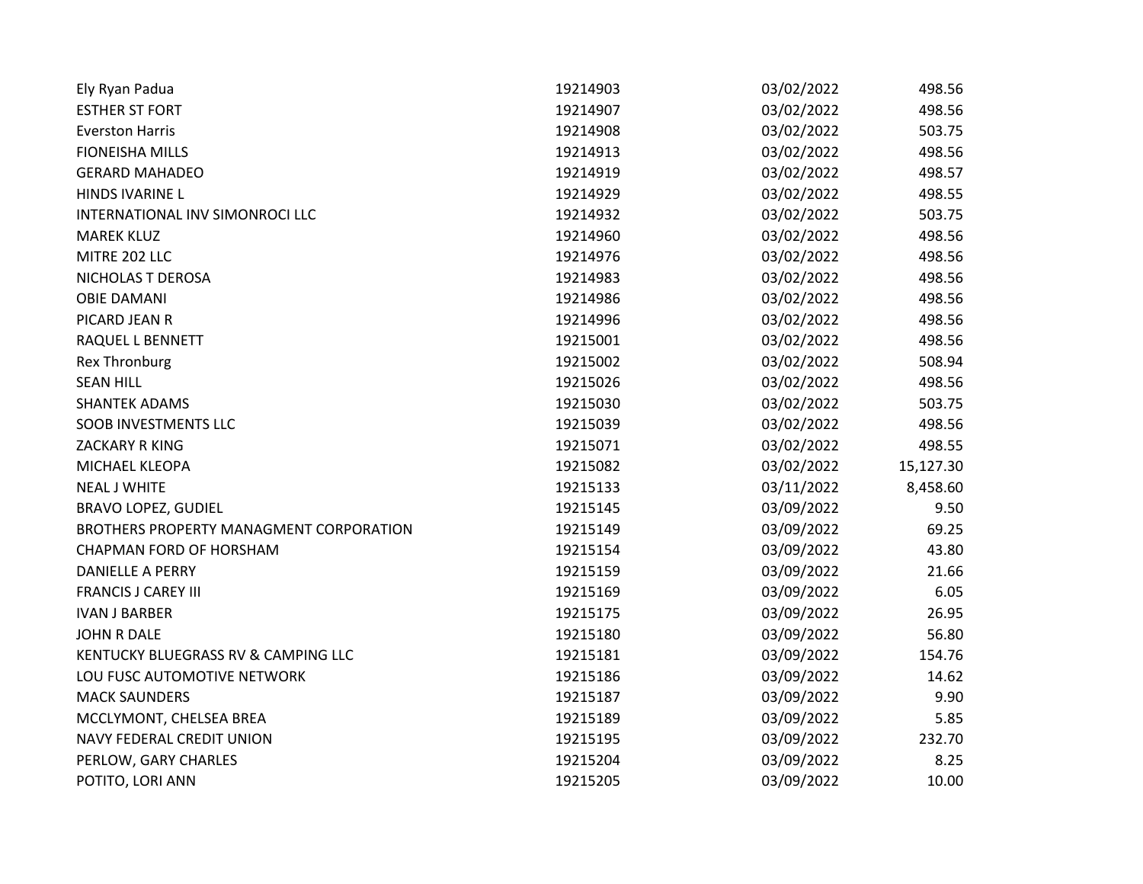| Ely Ryan Padua                          | 19214903 | 03/02/2022 | 498.56    |
|-----------------------------------------|----------|------------|-----------|
| <b>ESTHER ST FORT</b>                   | 19214907 | 03/02/2022 | 498.56    |
| <b>Everston Harris</b>                  | 19214908 | 03/02/2022 | 503.75    |
| <b>FIONEISHA MILLS</b>                  | 19214913 | 03/02/2022 | 498.56    |
| <b>GERARD MAHADEO</b>                   | 19214919 | 03/02/2022 | 498.57    |
| HINDS IVARINE L                         | 19214929 | 03/02/2022 | 498.55    |
| INTERNATIONAL INV SIMONROCI LLC         | 19214932 | 03/02/2022 | 503.75    |
| <b>MAREK KLUZ</b>                       | 19214960 | 03/02/2022 | 498.56    |
| MITRE 202 LLC                           | 19214976 | 03/02/2022 | 498.56    |
| NICHOLAS T DEROSA                       | 19214983 | 03/02/2022 | 498.56    |
| <b>OBIE DAMANI</b>                      | 19214986 | 03/02/2022 | 498.56    |
| PICARD JEAN R                           | 19214996 | 03/02/2022 | 498.56    |
| RAQUEL L BENNETT                        | 19215001 | 03/02/2022 | 498.56    |
| <b>Rex Thronburg</b>                    | 19215002 | 03/02/2022 | 508.94    |
| <b>SEAN HILL</b>                        | 19215026 | 03/02/2022 | 498.56    |
| <b>SHANTEK ADAMS</b>                    | 19215030 | 03/02/2022 | 503.75    |
| <b>SOOB INVESTMENTS LLC</b>             | 19215039 | 03/02/2022 | 498.56    |
| ZACKARY R KING                          | 19215071 | 03/02/2022 | 498.55    |
| MICHAEL KLEOPA                          | 19215082 | 03/02/2022 | 15,127.30 |
| <b>NEAL J WHITE</b>                     | 19215133 | 03/11/2022 | 8,458.60  |
| <b>BRAVO LOPEZ, GUDIEL</b>              | 19215145 | 03/09/2022 | 9.50      |
| BROTHERS PROPERTY MANAGMENT CORPORATION | 19215149 | 03/09/2022 | 69.25     |
| CHAPMAN FORD OF HORSHAM                 | 19215154 | 03/09/2022 | 43.80     |
| <b>DANIELLE A PERRY</b>                 | 19215159 | 03/09/2022 | 21.66     |
| <b>FRANCIS J CAREY III</b>              | 19215169 | 03/09/2022 | 6.05      |
| <b>IVAN J BARBER</b>                    | 19215175 | 03/09/2022 | 26.95     |
| <b>JOHN R DALE</b>                      | 19215180 | 03/09/2022 | 56.80     |
| KENTUCKY BLUEGRASS RV & CAMPING LLC     | 19215181 | 03/09/2022 | 154.76    |
| LOU FUSC AUTOMOTIVE NETWORK             | 19215186 | 03/09/2022 | 14.62     |
| <b>MACK SAUNDERS</b>                    | 19215187 | 03/09/2022 | 9.90      |
| MCCLYMONT, CHELSEA BREA                 | 19215189 | 03/09/2022 | 5.85      |
| NAVY FEDERAL CREDIT UNION               | 19215195 | 03/09/2022 | 232.70    |
| PERLOW, GARY CHARLES                    | 19215204 | 03/09/2022 | 8.25      |
| POTITO, LORI ANN                        | 19215205 | 03/09/2022 | 10.00     |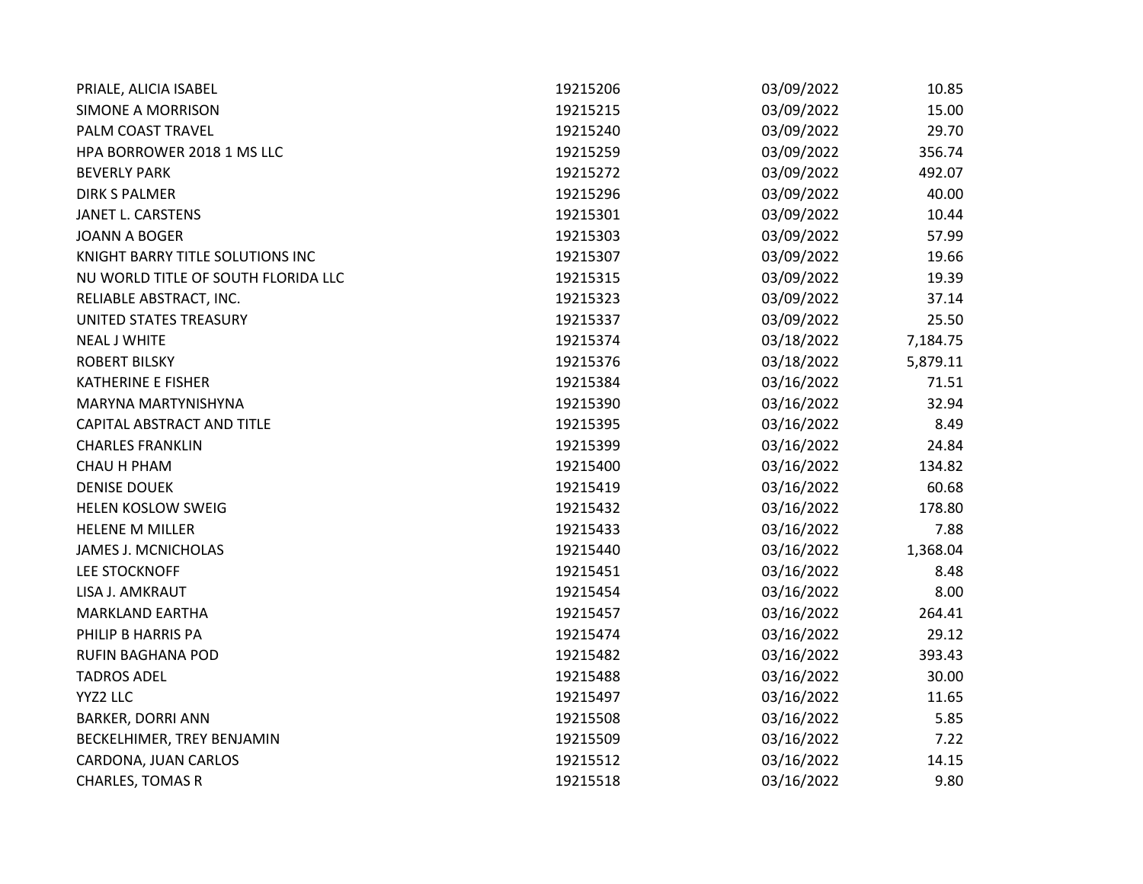| PRIALE, ALICIA ISABEL               | 19215206 | 03/09/2022 | 10.85    |
|-------------------------------------|----------|------------|----------|
| SIMONE A MORRISON                   | 19215215 | 03/09/2022 | 15.00    |
| PALM COAST TRAVEL                   | 19215240 | 03/09/2022 | 29.70    |
| HPA BORROWER 2018 1 MS LLC          | 19215259 | 03/09/2022 | 356.74   |
| <b>BEVERLY PARK</b>                 | 19215272 | 03/09/2022 | 492.07   |
| <b>DIRK S PALMER</b>                | 19215296 | 03/09/2022 | 40.00    |
| JANET L. CARSTENS                   | 19215301 | 03/09/2022 | 10.44    |
| <b>JOANN A BOGER</b>                | 19215303 | 03/09/2022 | 57.99    |
| KNIGHT BARRY TITLE SOLUTIONS INC    | 19215307 | 03/09/2022 | 19.66    |
| NU WORLD TITLE OF SOUTH FLORIDA LLC | 19215315 | 03/09/2022 | 19.39    |
| RELIABLE ABSTRACT, INC.             | 19215323 | 03/09/2022 | 37.14    |
| UNITED STATES TREASURY              | 19215337 | 03/09/2022 | 25.50    |
| <b>NEAL J WHITE</b>                 | 19215374 | 03/18/2022 | 7,184.75 |
| <b>ROBERT BILSKY</b>                | 19215376 | 03/18/2022 | 5,879.11 |
| <b>KATHERINE E FISHER</b>           | 19215384 | 03/16/2022 | 71.51    |
| MARYNA MARTYNISHYNA                 | 19215390 | 03/16/2022 | 32.94    |
| CAPITAL ABSTRACT AND TITLE          | 19215395 | 03/16/2022 | 8.49     |
| <b>CHARLES FRANKLIN</b>             | 19215399 | 03/16/2022 | 24.84    |
| CHAU H PHAM                         | 19215400 | 03/16/2022 | 134.82   |
| <b>DENISE DOUEK</b>                 | 19215419 | 03/16/2022 | 60.68    |
| <b>HELEN KOSLOW SWEIG</b>           | 19215432 | 03/16/2022 | 178.80   |
| <b>HELENE M MILLER</b>              | 19215433 | 03/16/2022 | 7.88     |
| <b>JAMES J. MCNICHOLAS</b>          | 19215440 | 03/16/2022 | 1,368.04 |
| <b>LEE STOCKNOFF</b>                | 19215451 | 03/16/2022 | 8.48     |
| LISA J. AMKRAUT                     | 19215454 | 03/16/2022 | 8.00     |
| <b>MARKLAND EARTHA</b>              | 19215457 | 03/16/2022 | 264.41   |
| PHILIP B HARRIS PA                  | 19215474 | 03/16/2022 | 29.12    |
| RUFIN BAGHANA POD                   | 19215482 | 03/16/2022 | 393.43   |
| <b>TADROS ADEL</b>                  | 19215488 | 03/16/2022 | 30.00    |
| YYZ2 LLC                            | 19215497 | 03/16/2022 | 11.65    |
| <b>BARKER, DORRI ANN</b>            | 19215508 | 03/16/2022 | 5.85     |
| BECKELHIMER, TREY BENJAMIN          | 19215509 | 03/16/2022 | 7.22     |
| CARDONA, JUAN CARLOS                | 19215512 | 03/16/2022 | 14.15    |
| <b>CHARLES, TOMAS R</b>             | 19215518 | 03/16/2022 | 9.80     |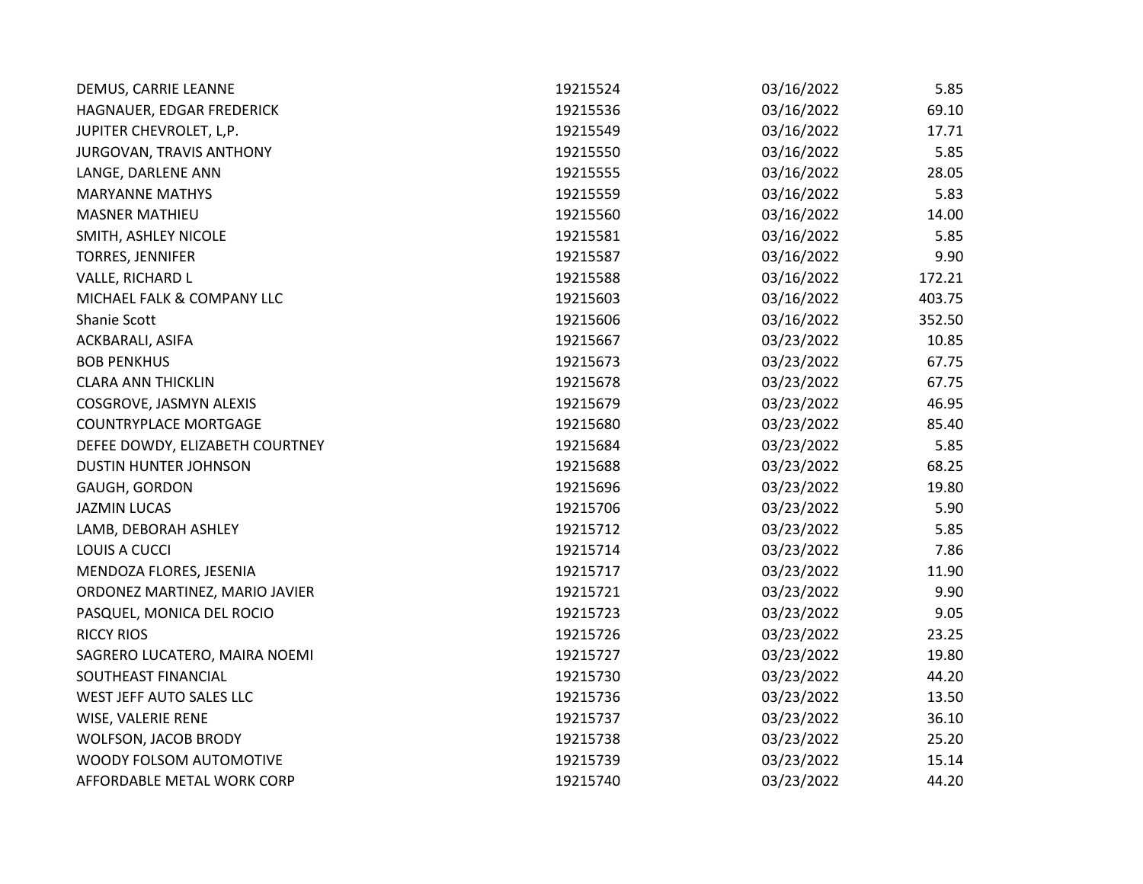| DEMUS, CARRIE LEANNE            | 19215524 | 03/16/2022 | 5.85   |
|---------------------------------|----------|------------|--------|
| HAGNAUER, EDGAR FREDERICK       | 19215536 | 03/16/2022 | 69.10  |
| JUPITER CHEVROLET, L,P.         | 19215549 | 03/16/2022 | 17.71  |
| JURGOVAN, TRAVIS ANTHONY        | 19215550 | 03/16/2022 | 5.85   |
| LANGE, DARLENE ANN              | 19215555 | 03/16/2022 | 28.05  |
| <b>MARYANNE MATHYS</b>          | 19215559 | 03/16/2022 | 5.83   |
| <b>MASNER MATHIEU</b>           | 19215560 | 03/16/2022 | 14.00  |
| SMITH, ASHLEY NICOLE            | 19215581 | 03/16/2022 | 5.85   |
| TORRES, JENNIFER                | 19215587 | 03/16/2022 | 9.90   |
| VALLE, RICHARD L                | 19215588 | 03/16/2022 | 172.21 |
| MICHAEL FALK & COMPANY LLC      | 19215603 | 03/16/2022 | 403.75 |
| Shanie Scott                    | 19215606 | 03/16/2022 | 352.50 |
| ACKBARALI, ASIFA                | 19215667 | 03/23/2022 | 10.85  |
| <b>BOB PENKHUS</b>              | 19215673 | 03/23/2022 | 67.75  |
| <b>CLARA ANN THICKLIN</b>       | 19215678 | 03/23/2022 | 67.75  |
| COSGROVE, JASMYN ALEXIS         | 19215679 | 03/23/2022 | 46.95  |
| <b>COUNTRYPLACE MORTGAGE</b>    | 19215680 | 03/23/2022 | 85.40  |
| DEFEE DOWDY, ELIZABETH COURTNEY | 19215684 | 03/23/2022 | 5.85   |
| DUSTIN HUNTER JOHNSON           | 19215688 | 03/23/2022 | 68.25  |
| GAUGH, GORDON                   | 19215696 | 03/23/2022 | 19.80  |
| <b>JAZMIN LUCAS</b>             | 19215706 | 03/23/2022 | 5.90   |
| LAMB, DEBORAH ASHLEY            | 19215712 | 03/23/2022 | 5.85   |
| LOUIS A CUCCI                   | 19215714 | 03/23/2022 | 7.86   |
| MENDOZA FLORES, JESENIA         | 19215717 | 03/23/2022 | 11.90  |
| ORDONEZ MARTINEZ, MARIO JAVIER  | 19215721 | 03/23/2022 | 9.90   |
| PASQUEL, MONICA DEL ROCIO       | 19215723 | 03/23/2022 | 9.05   |
| <b>RICCY RIOS</b>               | 19215726 | 03/23/2022 | 23.25  |
| SAGRERO LUCATERO, MAIRA NOEMI   | 19215727 | 03/23/2022 | 19.80  |
| SOUTHEAST FINANCIAL             | 19215730 | 03/23/2022 | 44.20  |
| WEST JEFF AUTO SALES LLC        | 19215736 | 03/23/2022 | 13.50  |
| WISE, VALERIE RENE              | 19215737 | 03/23/2022 | 36.10  |
| WOLFSON, JACOB BRODY            | 19215738 | 03/23/2022 | 25.20  |
| WOODY FOLSOM AUTOMOTIVE         | 19215739 | 03/23/2022 | 15.14  |
| AFFORDABLE METAL WORK CORP      | 19215740 | 03/23/2022 | 44.20  |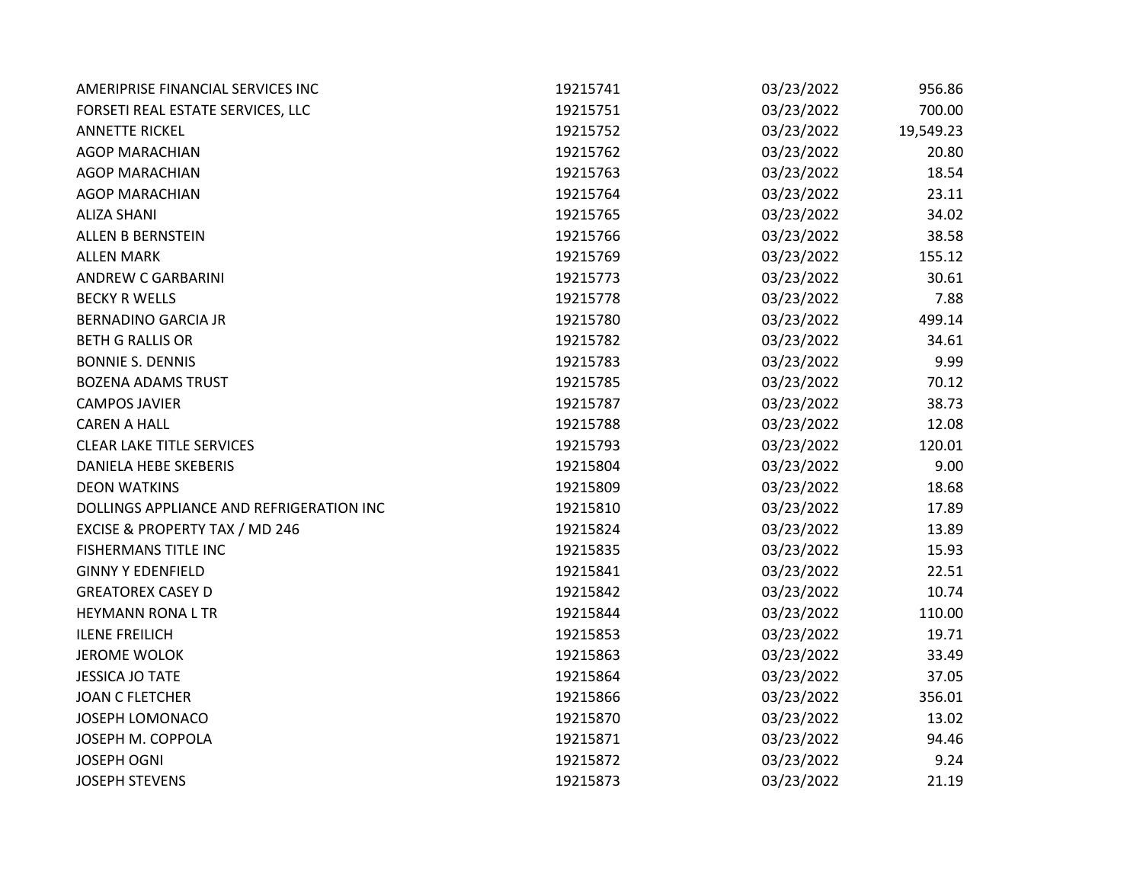| AMERIPRISE FINANCIAL SERVICES INC         | 19215741 | 03/23/2022 | 956.86    |
|-------------------------------------------|----------|------------|-----------|
| FORSETI REAL ESTATE SERVICES, LLC         | 19215751 | 03/23/2022 | 700.00    |
| <b>ANNETTE RICKEL</b>                     | 19215752 | 03/23/2022 | 19,549.23 |
| <b>AGOP MARACHIAN</b>                     | 19215762 | 03/23/2022 | 20.80     |
| <b>AGOP MARACHIAN</b>                     | 19215763 | 03/23/2022 | 18.54     |
| <b>AGOP MARACHIAN</b>                     | 19215764 | 03/23/2022 | 23.11     |
| <b>ALIZA SHANI</b>                        | 19215765 | 03/23/2022 | 34.02     |
| ALLEN B BERNSTEIN                         | 19215766 | 03/23/2022 | 38.58     |
| <b>ALLEN MARK</b>                         | 19215769 | 03/23/2022 | 155.12    |
| <b>ANDREW C GARBARINI</b>                 | 19215773 | 03/23/2022 | 30.61     |
| <b>BECKY R WELLS</b>                      | 19215778 | 03/23/2022 | 7.88      |
| <b>BERNADINO GARCIA JR</b>                | 19215780 | 03/23/2022 | 499.14    |
| <b>BETH G RALLIS OR</b>                   | 19215782 | 03/23/2022 | 34.61     |
| <b>BONNIE S. DENNIS</b>                   | 19215783 | 03/23/2022 | 9.99      |
| <b>BOZENA ADAMS TRUST</b>                 | 19215785 | 03/23/2022 | 70.12     |
| <b>CAMPOS JAVIER</b>                      | 19215787 | 03/23/2022 | 38.73     |
| <b>CAREN A HALL</b>                       | 19215788 | 03/23/2022 | 12.08     |
| <b>CLEAR LAKE TITLE SERVICES</b>          | 19215793 | 03/23/2022 | 120.01    |
| <b>DANIELA HEBE SKEBERIS</b>              | 19215804 | 03/23/2022 | 9.00      |
| <b>DEON WATKINS</b>                       | 19215809 | 03/23/2022 | 18.68     |
| DOLLINGS APPLIANCE AND REFRIGERATION INC  | 19215810 | 03/23/2022 | 17.89     |
| <b>EXCISE &amp; PROPERTY TAX / MD 246</b> | 19215824 | 03/23/2022 | 13.89     |
| FISHERMANS TITLE INC                      | 19215835 | 03/23/2022 | 15.93     |
| <b>GINNY Y EDENFIELD</b>                  | 19215841 | 03/23/2022 | 22.51     |
| <b>GREATOREX CASEY D</b>                  | 19215842 | 03/23/2022 | 10.74     |
| <b>HEYMANN RONA L TR</b>                  | 19215844 | 03/23/2022 | 110.00    |
| <b>ILENE FREILICH</b>                     | 19215853 | 03/23/2022 | 19.71     |
| <b>JEROME WOLOK</b>                       | 19215863 | 03/23/2022 | 33.49     |
| <b>JESSICA JO TATE</b>                    | 19215864 | 03/23/2022 | 37.05     |
| <b>JOAN C FLETCHER</b>                    | 19215866 | 03/23/2022 | 356.01    |
| JOSEPH LOMONACO                           | 19215870 | 03/23/2022 | 13.02     |
| JOSEPH M. COPPOLA                         | 19215871 | 03/23/2022 | 94.46     |
| <b>JOSEPH OGNI</b>                        | 19215872 | 03/23/2022 | 9.24      |
| <b>JOSEPH STEVENS</b>                     | 19215873 | 03/23/2022 | 21.19     |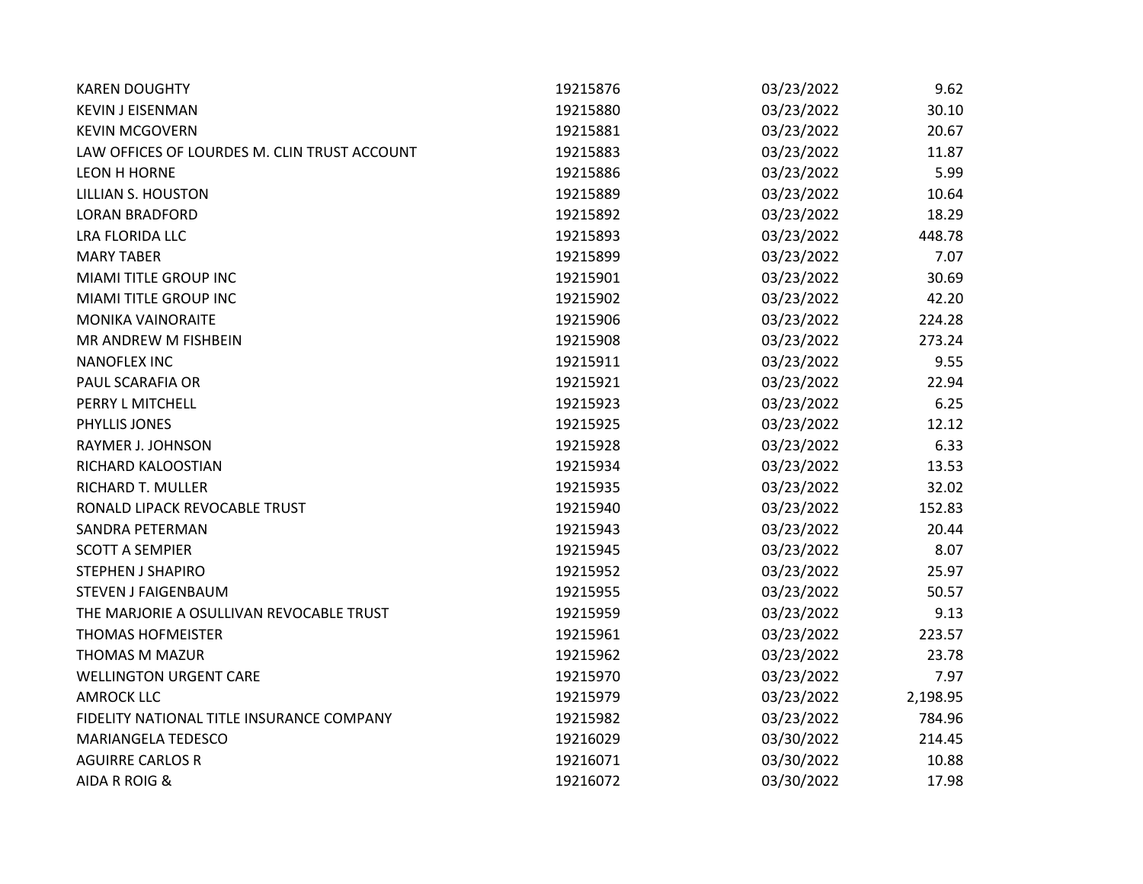| <b>KAREN DOUGHTY</b>                         | 19215876 | 03/23/2022 | 9.62     |
|----------------------------------------------|----------|------------|----------|
| <b>KEVIN J EISENMAN</b>                      | 19215880 | 03/23/2022 | 30.10    |
| <b>KEVIN MCGOVERN</b>                        | 19215881 | 03/23/2022 | 20.67    |
| LAW OFFICES OF LOURDES M. CLIN TRUST ACCOUNT | 19215883 | 03/23/2022 | 11.87    |
| <b>LEON H HORNE</b>                          | 19215886 | 03/23/2022 | 5.99     |
| <b>LILLIAN S. HOUSTON</b>                    | 19215889 | 03/23/2022 | 10.64    |
| <b>LORAN BRADFORD</b>                        | 19215892 | 03/23/2022 | 18.29    |
| <b>LRA FLORIDA LLC</b>                       | 19215893 | 03/23/2022 | 448.78   |
| <b>MARY TABER</b>                            | 19215899 | 03/23/2022 | 7.07     |
| MIAMI TITLE GROUP INC                        | 19215901 | 03/23/2022 | 30.69    |
| MIAMI TITLE GROUP INC                        | 19215902 | 03/23/2022 | 42.20    |
| <b>MONIKA VAINORAITE</b>                     | 19215906 | 03/23/2022 | 224.28   |
| MR ANDREW M FISHBEIN                         | 19215908 | 03/23/2022 | 273.24   |
| <b>NANOFLEX INC</b>                          | 19215911 | 03/23/2022 | 9.55     |
| PAUL SCARAFIA OR                             | 19215921 | 03/23/2022 | 22.94    |
| PERRY L MITCHELL                             | 19215923 | 03/23/2022 | 6.25     |
| PHYLLIS JONES                                | 19215925 | 03/23/2022 | 12.12    |
| RAYMER J. JOHNSON                            | 19215928 | 03/23/2022 | 6.33     |
| RICHARD KALOOSTIAN                           | 19215934 | 03/23/2022 | 13.53    |
| RICHARD T. MULLER                            | 19215935 | 03/23/2022 | 32.02    |
| RONALD LIPACK REVOCABLE TRUST                | 19215940 | 03/23/2022 | 152.83   |
| SANDRA PETERMAN                              | 19215943 | 03/23/2022 | 20.44    |
| <b>SCOTT A SEMPIER</b>                       | 19215945 | 03/23/2022 | 8.07     |
| <b>STEPHEN J SHAPIRO</b>                     | 19215952 | 03/23/2022 | 25.97    |
| <b>STEVEN J FAIGENBAUM</b>                   | 19215955 | 03/23/2022 | 50.57    |
| THE MARJORIE A OSULLIVAN REVOCABLE TRUST     | 19215959 | 03/23/2022 | 9.13     |
| <b>THOMAS HOFMEISTER</b>                     | 19215961 | 03/23/2022 | 223.57   |
| THOMAS M MAZUR                               | 19215962 | 03/23/2022 | 23.78    |
| <b>WELLINGTON URGENT CARE</b>                | 19215970 | 03/23/2022 | 7.97     |
| <b>AMROCK LLC</b>                            | 19215979 | 03/23/2022 | 2,198.95 |
| FIDELITY NATIONAL TITLE INSURANCE COMPANY    | 19215982 | 03/23/2022 | 784.96   |
| MARIANGELA TEDESCO                           | 19216029 | 03/30/2022 | 214.45   |
| <b>AGUIRRE CARLOS R</b>                      | 19216071 | 03/30/2022 | 10.88    |
| AIDA R ROIG &                                | 19216072 | 03/30/2022 | 17.98    |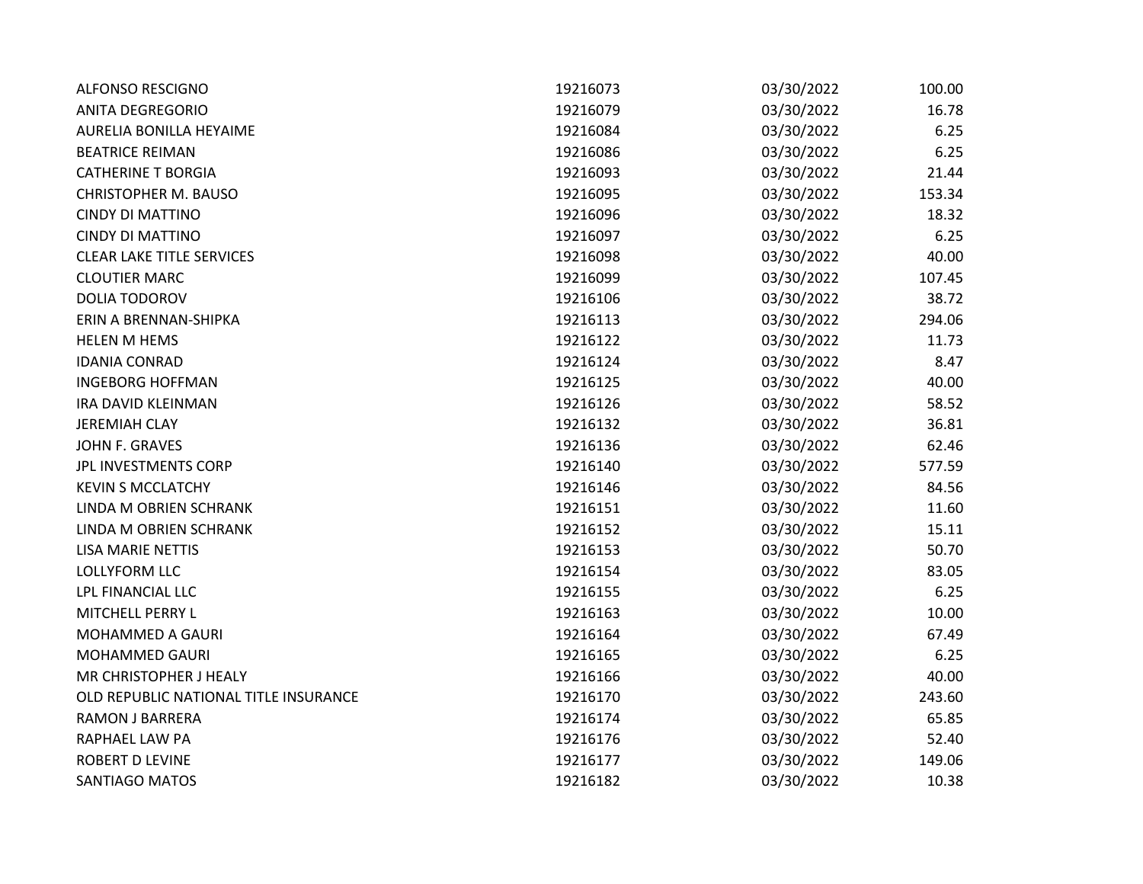| <b>ALFONSO RESCIGNO</b>               | 19216073 | 03/30/2022 | 100.00 |
|---------------------------------------|----------|------------|--------|
| <b>ANITA DEGREGORIO</b>               | 19216079 | 03/30/2022 | 16.78  |
| <b>AURELIA BONILLA HEYAIME</b>        | 19216084 | 03/30/2022 | 6.25   |
| <b>BEATRICE REIMAN</b>                | 19216086 | 03/30/2022 | 6.25   |
| <b>CATHERINE T BORGIA</b>             | 19216093 | 03/30/2022 | 21.44  |
| <b>CHRISTOPHER M. BAUSO</b>           | 19216095 | 03/30/2022 | 153.34 |
| <b>CINDY DI MATTINO</b>               | 19216096 | 03/30/2022 | 18.32  |
| <b>CINDY DI MATTINO</b>               | 19216097 | 03/30/2022 | 6.25   |
| <b>CLEAR LAKE TITLE SERVICES</b>      | 19216098 | 03/30/2022 | 40.00  |
| <b>CLOUTIER MARC</b>                  | 19216099 | 03/30/2022 | 107.45 |
| <b>DOLIA TODOROV</b>                  | 19216106 | 03/30/2022 | 38.72  |
| ERIN A BRENNAN-SHIPKA                 | 19216113 | 03/30/2022 | 294.06 |
| <b>HELEN M HEMS</b>                   | 19216122 | 03/30/2022 | 11.73  |
| <b>IDANIA CONRAD</b>                  | 19216124 | 03/30/2022 | 8.47   |
| <b>INGEBORG HOFFMAN</b>               | 19216125 | 03/30/2022 | 40.00  |
| <b>IRA DAVID KLEINMAN</b>             | 19216126 | 03/30/2022 | 58.52  |
| <b>JEREMIAH CLAY</b>                  | 19216132 | 03/30/2022 | 36.81  |
| JOHN F. GRAVES                        | 19216136 | 03/30/2022 | 62.46  |
| JPL INVESTMENTS CORP                  | 19216140 | 03/30/2022 | 577.59 |
| <b>KEVIN S MCCLATCHY</b>              | 19216146 | 03/30/2022 | 84.56  |
| LINDA M OBRIEN SCHRANK                | 19216151 | 03/30/2022 | 11.60  |
| LINDA M OBRIEN SCHRANK                | 19216152 | 03/30/2022 | 15.11  |
| <b>LISA MARIE NETTIS</b>              | 19216153 | 03/30/2022 | 50.70  |
| <b>LOLLYFORM LLC</b>                  | 19216154 | 03/30/2022 | 83.05  |
| LPL FINANCIAL LLC                     | 19216155 | 03/30/2022 | 6.25   |
| MITCHELL PERRY L                      | 19216163 | 03/30/2022 | 10.00  |
| MOHAMMED A GAURI                      | 19216164 | 03/30/2022 | 67.49  |
| <b>MOHAMMED GAURI</b>                 | 19216165 | 03/30/2022 | 6.25   |
| MR CHRISTOPHER J HEALY                | 19216166 | 03/30/2022 | 40.00  |
| OLD REPUBLIC NATIONAL TITLE INSURANCE | 19216170 | 03/30/2022 | 243.60 |
| <b>RAMON J BARRERA</b>                | 19216174 | 03/30/2022 | 65.85  |
| RAPHAEL LAW PA                        | 19216176 | 03/30/2022 | 52.40  |
| <b>ROBERT D LEVINE</b>                | 19216177 | 03/30/2022 | 149.06 |
| SANTIAGO MATOS                        | 19216182 | 03/30/2022 | 10.38  |